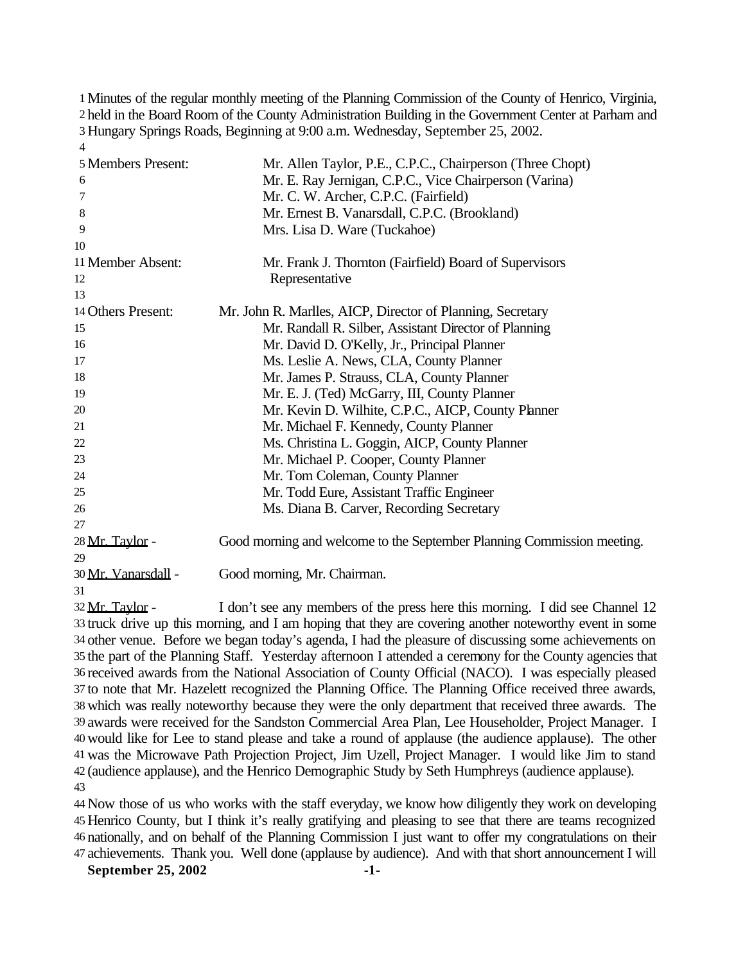Minutes of the regular monthly meeting of the Planning Commission of the County of Henrico, Virginia, held in the Board Room of the County Administration Building in the Government Center at Parham and Hungary Springs Roads, Beginning at 9:00 a.m. Wednesday, September 25, 2002.  $\overline{\mathbf{A}}$ 

| 5 Members Present:  | Mr. Allen Taylor, P.E., C.P.C., Chairperson (Three Chopt)              |
|---------------------|------------------------------------------------------------------------|
| 6                   | Mr. E. Ray Jernigan, C.P.C., Vice Chairperson (Varina)                 |
| 7                   | Mr. C. W. Archer, C.P.C. (Fairfield)                                   |
| 8                   | Mr. Ernest B. Vanarsdall, C.P.C. (Brookland)                           |
| 9                   | Mrs. Lisa D. Ware (Tuckahoe)                                           |
| 10                  |                                                                        |
| 11 Member Absent:   | Mr. Frank J. Thornton (Fairfield) Board of Supervisors                 |
| 12                  | Representative                                                         |
| 13                  |                                                                        |
| 14 Others Present:  | Mr. John R. Marlles, AICP, Director of Planning, Secretary             |
| 15                  | Mr. Randall R. Silber, Assistant Director of Planning                  |
| 16                  | Mr. David D. O'Kelly, Jr., Principal Planner                           |
| 17                  | Ms. Leslie A. News, CLA, County Planner                                |
| 18                  | Mr. James P. Strauss, CLA, County Planner                              |
| 19                  | Mr. E. J. (Ted) McGarry, III, County Planner                           |
| 20                  | Mr. Kevin D. Wilhite, C.P.C., AICP, County Planner                     |
| 21                  | Mr. Michael F. Kennedy, County Planner                                 |
| 22                  | Ms. Christina L. Goggin, AICP, County Planner                          |
| 23                  | Mr. Michael P. Cooper, County Planner                                  |
| 24                  | Mr. Tom Coleman, County Planner                                        |
| 25                  | Mr. Todd Eure, Assistant Traffic Engineer                              |
| 26                  | Ms. Diana B. Carver, Recording Secretary                               |
| 27                  |                                                                        |
| 28 Mr. Taylor -     | Good morning and welcome to the September Planning Commission meeting. |
| 29                  |                                                                        |
| 30 Mr. Vanarsdall - | Good morning, Mr. Chairman.                                            |

 Mr. Taylor - I don't see any members of the press here this morning. I did see Channel 12 truck drive up this morning, and I am hoping that they are covering another noteworthy event in some other venue. Before we began today's agenda, I had the pleasure of discussing some achievements on the part of the Planning Staff. Yesterday afternoon I attended a ceremony for the County agencies that received awards from the National Association of County Official (NACO). I was especially pleased to note that Mr. Hazelett recognized the Planning Office. The Planning Office received three awards, which was really noteworthy because they were the only department that received three awards. The awards were received for the Sandston Commercial Area Plan, Lee Householder, Project Manager. I would like for Lee to stand please and take a round of applause (the audience applause). The other was the Microwave Path Projection Project, Jim Uzell, Project Manager. I would like Jim to stand (audience applause), and the Henrico Demographic Study by Seth Humphreys (audience applause). 

 Now those of us who works with the staff everyday, we know how diligently they work on developing Henrico County, but I think it's really gratifying and pleasing to see that there are teams recognized nationally, and on behalf of the Planning Commission I just want to offer my congratulations on their achievements. Thank you. Well done (applause by audience). And with that short announcement I will

**September 25, 2002 -1-**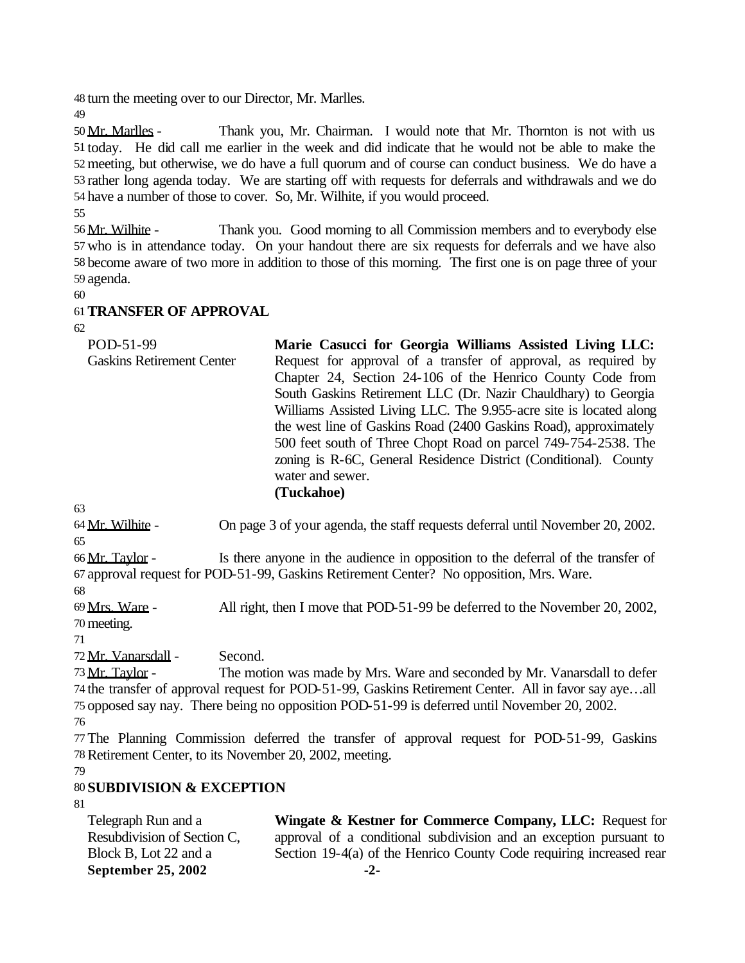turn the meeting over to our Director, Mr. Marlles.

 Mr. Marlles - Thank you, Mr. Chairman. I would note that Mr. Thornton is not with us today. He did call me earlier in the week and did indicate that he would not be able to make the meeting, but otherwise, we do have a full quorum and of course can conduct business. We do have a rather long agenda today. We are starting off with requests for deferrals and withdrawals and we do have a number of those to cover. So, Mr. Wilhite, if you would proceed.

 Mr. Wilhite - Thank you. Good morning to all Commission members and to everybody else who is in attendance today. On your handout there are six requests for deferrals and we have also become aware of two more in addition to those of this morning. The first one is on page three of your agenda.

## **TRANSFER OF APPROVAL**

| POD-51-99<br><b>Gaskins Retirement Center</b> | Marie Casucci for Georgia Williams Assisted Living LLC:<br>Request for approval of a transfer of approval, as required by<br>Chapter 24, Section 24-106 of the Henrico County Code from<br>South Gaskins Retirement LLC (Dr. Nazir Chauldhary) to Georgia<br>Williams Assisted Living LLC. The 9.955-acre site is located along<br>the west line of Gaskins Road (2400 Gaskins Road), approximately<br>500 feet south of Three Chopt Road on parcel 749-754-2538. The<br>zoning is R-6C, General Residence District (Conditional). County |
|-----------------------------------------------|-------------------------------------------------------------------------------------------------------------------------------------------------------------------------------------------------------------------------------------------------------------------------------------------------------------------------------------------------------------------------------------------------------------------------------------------------------------------------------------------------------------------------------------------|
|                                               | water and sewer.<br>(Tuckahoe)                                                                                                                                                                                                                                                                                                                                                                                                                                                                                                            |

Mr. Wilhite - On page 3 of your agenda, the staff requests deferral until November 20, 2002.

 Mr. Taylor - Is there anyone in the audience in opposition to the deferral of the transfer of approval request for POD-51-99, Gaskins Retirement Center? No opposition, Mrs. Ware.

 Mrs. Ware - All right, then I move that POD-51-99 be deferred to the November 20, 2002, meeting.

Mr. Vanarsdall - Second.

73 Mr. Taylor - The motion was made by Mrs. Ware and seconded by Mr. Vanarsdall to defer the transfer of approval request for POD-51-99, Gaskins Retirement Center. All in favor say aye…all opposed say nay. There being no opposition POD-51-99 is deferred until November 20, 2002.

 The Planning Commission deferred the transfer of approval request for POD-51-99, Gaskins Retirement Center, to its November 20, 2002, meeting.

## **SUBDIVISION & EXCEPTION**

| Telegraph Run and a         | Wingate & Kestner for Commerce Company, LLC: Request for            |
|-----------------------------|---------------------------------------------------------------------|
| Resubdivision of Section C, | approval of a conditional subdivision and an exception pursuant to  |
| Block B, Lot 22 and a       | Section 19-4(a) of the Henrico County Code requiring increased rear |
| September 25, 2002          | $-2-$                                                               |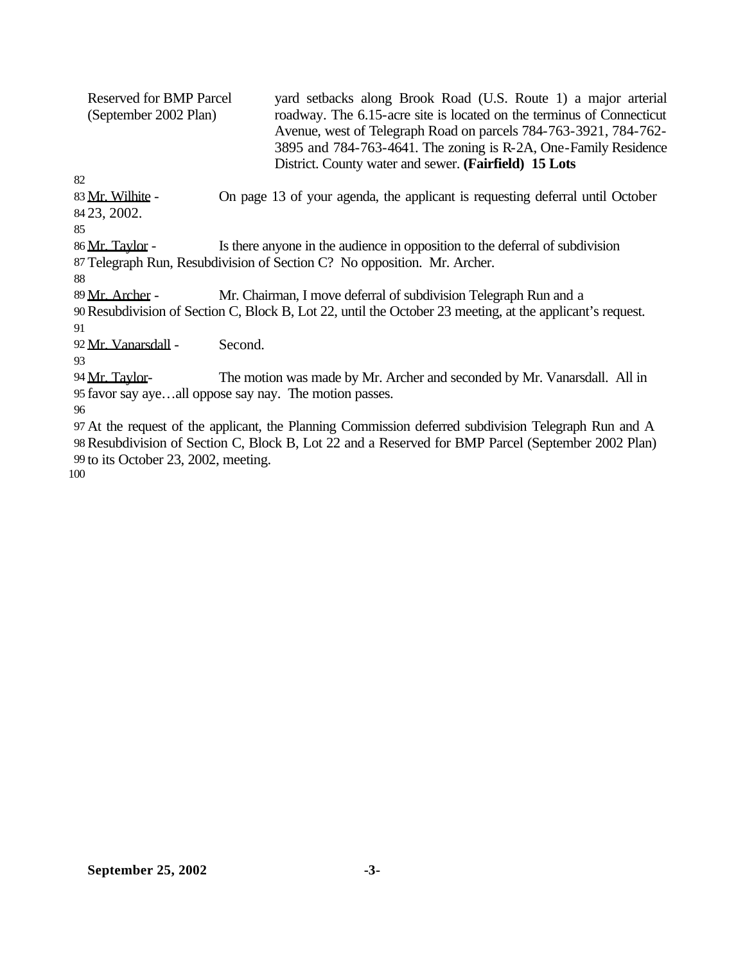| <b>Reserved for BMP Parcel</b><br>(September 2002 Plan)<br>82                                             | yard setbacks along Brook Road (U.S. Route 1) a major arterial<br>roadway. The 6.15-acre site is located on the terminus of Connecticut<br>Avenue, west of Telegraph Road on parcels 784-763-3921, 784-762-<br>3895 and 784-763-4641. The zoning is R-2A, One-Family Residence<br>District. County water and sewer. (Fairfield) 15 Lots |
|-----------------------------------------------------------------------------------------------------------|-----------------------------------------------------------------------------------------------------------------------------------------------------------------------------------------------------------------------------------------------------------------------------------------------------------------------------------------|
| 83 Mr. Wilhite -                                                                                          | On page 13 of your agenda, the applicant is requesting deferral until October                                                                                                                                                                                                                                                           |
| 84 23, 2002.                                                                                              |                                                                                                                                                                                                                                                                                                                                         |
| 85                                                                                                        |                                                                                                                                                                                                                                                                                                                                         |
| 86 Mr. Taylor -                                                                                           | Is there anyone in the audience in opposition to the deferral of subdivision                                                                                                                                                                                                                                                            |
|                                                                                                           | 87 Telegraph Run, Resubdivision of Section C? No opposition. Mr. Archer.                                                                                                                                                                                                                                                                |
| 88                                                                                                        |                                                                                                                                                                                                                                                                                                                                         |
| 89 Mr. Archer -                                                                                           | Mr. Chairman, I move deferral of subdivision Telegraph Run and a                                                                                                                                                                                                                                                                        |
| 90 Resubdivision of Section C, Block B, Lot 22, until the October 23 meeting, at the applicant's request. |                                                                                                                                                                                                                                                                                                                                         |
| 91                                                                                                        |                                                                                                                                                                                                                                                                                                                                         |
| 92 Mr. Vanarsdall -                                                                                       | Second.                                                                                                                                                                                                                                                                                                                                 |
| 93                                                                                                        |                                                                                                                                                                                                                                                                                                                                         |
| 94 <u>Mr. Tavlor</u> -                                                                                    | The motion was made by Mr. Archer and seconded by Mr. Vanarsdall. All in                                                                                                                                                                                                                                                                |
|                                                                                                           | 95 favor say ayeall oppose say nay. The motion passes.                                                                                                                                                                                                                                                                                  |
| 96                                                                                                        |                                                                                                                                                                                                                                                                                                                                         |
|                                                                                                           | 97 At the request of the applicant, the Planning Commission deferred subdivision Telegraph Run and A                                                                                                                                                                                                                                    |

98Resubdivision of Section C, Block B, Lot 22 and a Reserved for BMP Parcel (September 2002 Plan) 99 to its October 23, 2002, meeting.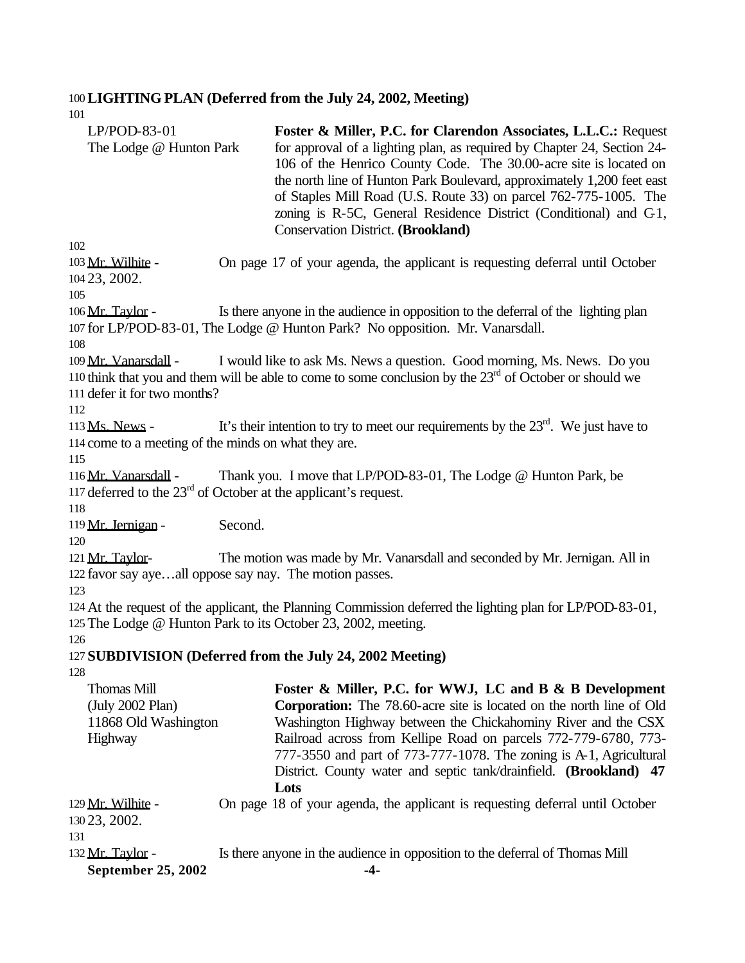#### 100**LIGHTING PLAN (Deferred from the July 24, 2002, Meeting)**

| 1 <sub>U</sub>                                                                            |         |                                                                                                                                                                                                                                                                                                                                                                                                                                                                                 |
|-------------------------------------------------------------------------------------------|---------|---------------------------------------------------------------------------------------------------------------------------------------------------------------------------------------------------------------------------------------------------------------------------------------------------------------------------------------------------------------------------------------------------------------------------------------------------------------------------------|
| $LP/POD-83-01$<br>The Lodge @ Hunton Park<br>102                                          |         | Foster & Miller, P.C. for Clarendon Associates, L.L.C.: Request<br>for approval of a lighting plan, as required by Chapter 24, Section 24-<br>106 of the Henrico County Code. The 30.00-acre site is located on<br>the north line of Hunton Park Boulevard, approximately 1,200 feet east<br>of Staples Mill Road (U.S. Route 33) on parcel 762-775-1005. The<br>zoning is R-5C, General Residence District (Conditional) and C-1,<br><b>Conservation District. (Brookland)</b> |
|                                                                                           |         |                                                                                                                                                                                                                                                                                                                                                                                                                                                                                 |
| 103 Mr. Wilhite -<br>104 23, 2002.<br>105                                                 |         | On page 17 of your agenda, the applicant is requesting deferral until October                                                                                                                                                                                                                                                                                                                                                                                                   |
|                                                                                           |         |                                                                                                                                                                                                                                                                                                                                                                                                                                                                                 |
| 106 Mr. Taylor -                                                                          |         | Is there anyone in the audience in opposition to the deferral of the lighting plan<br>107 for LP/POD-83-01, The Lodge @ Hunton Park? No opposition. Mr. Vanarsdall.                                                                                                                                                                                                                                                                                                             |
| 108                                                                                       |         |                                                                                                                                                                                                                                                                                                                                                                                                                                                                                 |
| 109 Mr. Vanarsdall -                                                                      |         | I would like to ask Ms. News a question. Good morning, Ms. News. Do you<br>110 think that you and them will be able to come to some conclusion by the $23rd$ of October or should we                                                                                                                                                                                                                                                                                            |
| 111 defer it for two months?                                                              |         |                                                                                                                                                                                                                                                                                                                                                                                                                                                                                 |
| 112                                                                                       |         |                                                                                                                                                                                                                                                                                                                                                                                                                                                                                 |
| 113 Ms. News -                                                                            |         | It's their intention to try to meet our requirements by the $23rd$ . We just have to                                                                                                                                                                                                                                                                                                                                                                                            |
| 114 come to a meeting of the minds on what they are.                                      |         |                                                                                                                                                                                                                                                                                                                                                                                                                                                                                 |
| 115                                                                                       |         |                                                                                                                                                                                                                                                                                                                                                                                                                                                                                 |
| 116 Mr. Vanarsdall -<br>117 deferred to the $23rd$ of October at the applicant's request. |         | Thank you. I move that LP/POD-83-01, The Lodge @ Hunton Park, be                                                                                                                                                                                                                                                                                                                                                                                                                |
| 118                                                                                       |         |                                                                                                                                                                                                                                                                                                                                                                                                                                                                                 |
| 119 Mr. Jernigan -<br>120                                                                 | Second. |                                                                                                                                                                                                                                                                                                                                                                                                                                                                                 |
| 121 Mr. Taylor-                                                                           |         | The motion was made by Mr. Vanarsdall and seconded by Mr. Jernigan. All in                                                                                                                                                                                                                                                                                                                                                                                                      |
| 122 favor say ayeall oppose say nay. The motion passes.                                   |         |                                                                                                                                                                                                                                                                                                                                                                                                                                                                                 |
| 123                                                                                       |         |                                                                                                                                                                                                                                                                                                                                                                                                                                                                                 |
|                                                                                           |         | 124 At the request of the applicant, the Planning Commission deferred the lighting plan for LP/POD-83-01,                                                                                                                                                                                                                                                                                                                                                                       |
|                                                                                           |         | 125 The Lodge @ Hunton Park to its October 23, 2002, meeting.                                                                                                                                                                                                                                                                                                                                                                                                                   |
| 126                                                                                       |         |                                                                                                                                                                                                                                                                                                                                                                                                                                                                                 |
|                                                                                           |         | 127 SUBDIVISION (Deferred from the July 24, 2002 Meeting)                                                                                                                                                                                                                                                                                                                                                                                                                       |
| 128                                                                                       |         |                                                                                                                                                                                                                                                                                                                                                                                                                                                                                 |
| <b>Thomas Mill</b><br>(July 2002 Plan)<br>11868 Old Washington<br>Highway                 |         | Foster & Miller, P.C. for WWJ, LC and B & B Development<br><b>Corporation:</b> The 78.60-acre site is located on the north line of Old<br>Washington Highway between the Chickahominy River and the CSX<br>Railroad across from Kellipe Road on parcels 772-779-6780, 773-<br>777-3550 and part of 773-777-1078. The zoning is A-1, Agricultural<br>District. County water and septic tank/drainfield. (Brookland) 47                                                           |
|                                                                                           |         | Lots                                                                                                                                                                                                                                                                                                                                                                                                                                                                            |
| 129 Mr. Wilhite -                                                                         |         | On page 18 of your agenda, the applicant is requesting deferral until October                                                                                                                                                                                                                                                                                                                                                                                                   |
| 130 23, 2002.                                                                             |         |                                                                                                                                                                                                                                                                                                                                                                                                                                                                                 |
| 131                                                                                       |         |                                                                                                                                                                                                                                                                                                                                                                                                                                                                                 |
| 132 Mr. Taylor -                                                                          |         | Is there anyone in the audience in opposition to the deferral of Thomas Mill                                                                                                                                                                                                                                                                                                                                                                                                    |
| <b>September 25, 2002</b>                                                                 |         | $-4-$                                                                                                                                                                                                                                                                                                                                                                                                                                                                           |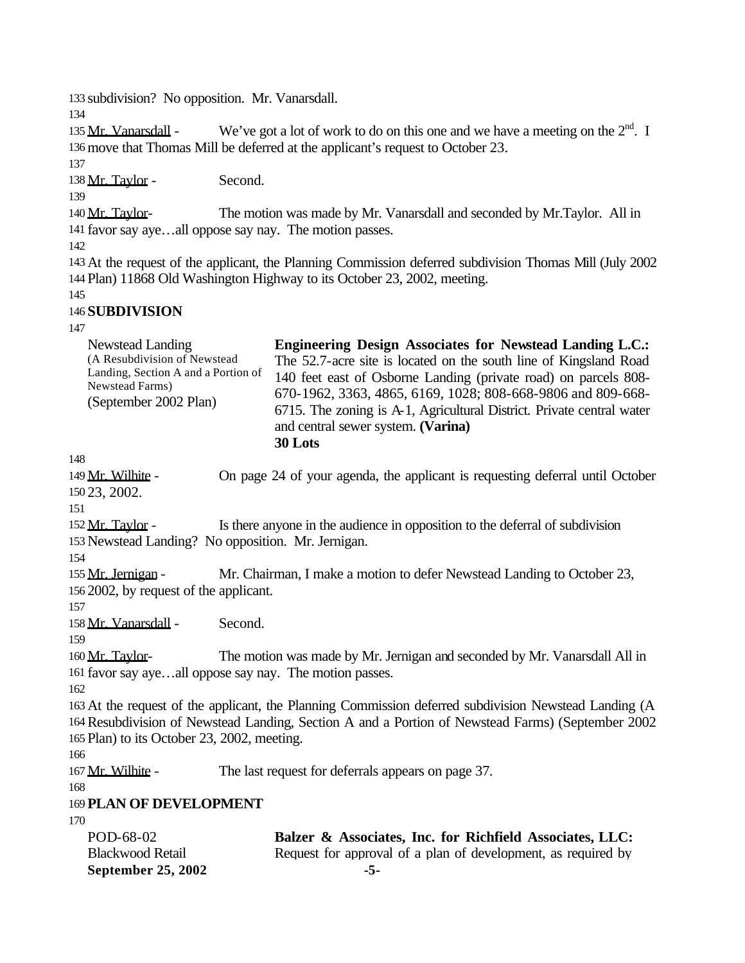133 subdivision? No opposition. Mr. Vanarsdall.

134

135 Mr. Vanarsdall - We've got a lot of work to do on this one and we have a meeting on the  $2<sup>nd</sup>$ . I 136 move that Thomas Mill be deferred at the applicant's request to October 23.

137

138 Mr. Taylor - Second.

139

140 Mr. Taylor- The motion was made by Mr. Vanarsdall and seconded by Mr. Taylor. All in 141 favor say aye…all oppose say nay. The motion passes.

142

143 At the request of the applicant, the Planning Commission deferred subdivision Thomas Mill (July 2002 144 Plan) 11868 Old Washington Highway to its October 23, 2002, meeting.

145

## 146 **SUBDIVISION**

| 141                                                                                                                                 |                                                                                                                                                                                                                                                                                                                                                                                                  |
|-------------------------------------------------------------------------------------------------------------------------------------|--------------------------------------------------------------------------------------------------------------------------------------------------------------------------------------------------------------------------------------------------------------------------------------------------------------------------------------------------------------------------------------------------|
| Newstead Landing<br>(A Resubdivision of Newstead<br>Landing, Section A and a Portion of<br>Newstead Farms)<br>(September 2002 Plan) | <b>Engineering Design Associates for Newstead Landing L.C.:</b><br>The 52.7-acre site is located on the south line of Kingsland Road<br>140 feet east of Osborne Landing (private road) on parcels 808-<br>670-1962, 3363, 4865, 6169, 1028; 808-668-9806 and 809-668-<br>6715. The zoning is A-1, Agricultural District. Private central water<br>and central sewer system. (Varina)<br>30 Lots |
| 148                                                                                                                                 |                                                                                                                                                                                                                                                                                                                                                                                                  |
| 149 Mr. Wilhite -<br>150 23, 2002.                                                                                                  | On page 24 of your agenda, the applicant is requesting deferral until October                                                                                                                                                                                                                                                                                                                    |
| 151                                                                                                                                 |                                                                                                                                                                                                                                                                                                                                                                                                  |
| 152 Mr. Taylor -                                                                                                                    | Is there anyone in the audience in opposition to the deferral of subdivision                                                                                                                                                                                                                                                                                                                     |
| 153 Newstead Landing? No opposition. Mr. Jernigan.                                                                                  |                                                                                                                                                                                                                                                                                                                                                                                                  |
| 154                                                                                                                                 |                                                                                                                                                                                                                                                                                                                                                                                                  |
| 155 Mr. Jernigan -<br>156 2002, by request of the applicant.                                                                        | Mr. Chairman, I make a motion to defer Newstead Landing to October 23,                                                                                                                                                                                                                                                                                                                           |
| 157                                                                                                                                 |                                                                                                                                                                                                                                                                                                                                                                                                  |
| 158 Mr. Vanarsdall -                                                                                                                | Second.                                                                                                                                                                                                                                                                                                                                                                                          |
| 159                                                                                                                                 |                                                                                                                                                                                                                                                                                                                                                                                                  |
| 160 Mr. Taylor-                                                                                                                     | The motion was made by Mr. Jernigan and seconded by Mr. Vanarsdall All in<br>161 favor say ayeall oppose say nay. The motion passes.                                                                                                                                                                                                                                                             |
| 162                                                                                                                                 |                                                                                                                                                                                                                                                                                                                                                                                                  |
| 165 Plan) to its October 23, 2002, meeting.<br>166                                                                                  | 163 At the request of the applicant, the Planning Commission deferred subdivision Newstead Landing (A<br>164 Resubdivision of Newstead Landing, Section A and a Portion of Newstead Farms) (September 2002                                                                                                                                                                                       |
| 167 Mr. Wilhite -                                                                                                                   | The last request for deferrals appears on page 37.                                                                                                                                                                                                                                                                                                                                               |
| 168                                                                                                                                 |                                                                                                                                                                                                                                                                                                                                                                                                  |
| <b>169 PLAN OF DEVELOPMENT</b>                                                                                                      |                                                                                                                                                                                                                                                                                                                                                                                                  |
| 170                                                                                                                                 |                                                                                                                                                                                                                                                                                                                                                                                                  |
| POD-68-02                                                                                                                           | Balzer & Associates, Inc. for Richfield Associates, LLC:                                                                                                                                                                                                                                                                                                                                         |
| <b>Blackwood Retail</b>                                                                                                             | Request for approval of a plan of development, as required by                                                                                                                                                                                                                                                                                                                                    |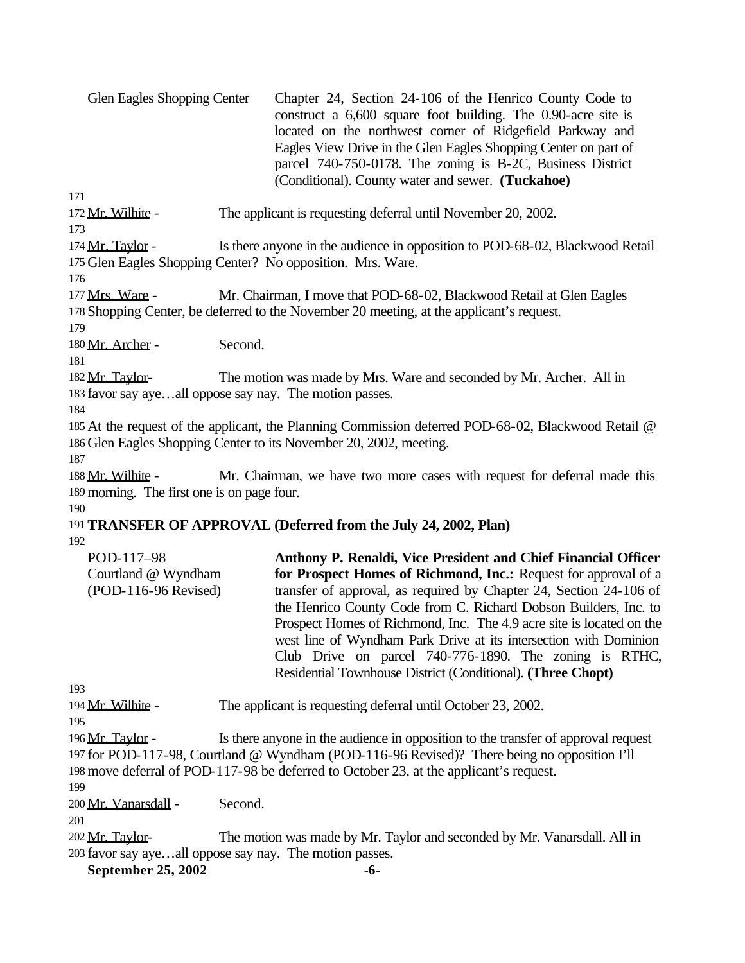| <b>Glen Eagles Shopping Center</b> | Chapter 24, Section 24-106 of the Henrico County Code to<br>construct a $6,600$ square foot building. The 0.90-acre site is |
|------------------------------------|-----------------------------------------------------------------------------------------------------------------------------|
|                                    | located on the northwest corner of Ridgefield Parkway and                                                                   |
|                                    | Eagles View Drive in the Glen Eagles Shopping Center on part of                                                             |
|                                    | parcel 740-750-0178. The zoning is B-2C, Business District                                                                  |
|                                    | (Conditional). County water and sewer. (Tuckahoe)                                                                           |
| 171                                |                                                                                                                             |

172 Mr. Wilhite - The applicant is requesting deferral until November 20, 2002. 173

174 Mr. Taylor - Is there anyone in the audience in opposition to POD-68-02, Blackwood Retail 175 Glen Eagles Shopping Center? No opposition. Mrs. Ware.

176

177 Mrs. Ware - Mr. Chairman, I move that POD-68-02, Blackwood Retail at Glen Eagles 178 Shopping Center, be deferred to the November 20 meeting, at the applicant's request.

179

180 Mr. Archer - Second.

181

182 Mr. Taylor- The motion was made by Mrs. Ware and seconded by Mr. Archer. All in 183 favor say aye…all oppose say nay. The motion passes.

184

185 At the request of the applicant, the Planning Commission deferred POD-68-02, Blackwood Retail @ 186 Glen Eagles Shopping Center to its November 20, 2002, meeting.

187

188 Mr. Wilhite - Mr. Chairman, we have two more cases with request for deferral made this 189 morning. The first one is on page four.

190

# 191**TRANSFER OF APPROVAL (Deferred from the July 24, 2002, Plan)**

192

| Anthony P. Renaldi, Vice President and Chief Financial Officer       |
|----------------------------------------------------------------------|
| for Prospect Homes of Richmond, Inc.: Request for approval of a      |
| transfer of approval, as required by Chapter 24, Section 24-106 of   |
| the Henrico County Code from C. Richard Dobson Builders, Inc. to     |
| Prospect Homes of Richmond, Inc. The 4.9 acre site is located on the |
| west line of Wyndham Park Drive at its intersection with Dominion    |
| Club Drive on parcel 740-776-1890. The zoning is RTHC,               |
| Residential Townhouse District (Conditional). (Three Chopt)          |
|                                                                      |

193

194 Mr. Wilhite - The applicant is requesting deferral until October 23, 2002.

195

196 Mr. Taylor - Is there anyone in the audience in opposition to the transfer of approval request 197 for POD-117-98, Courtland @ Wyndham (POD-116-96 Revised)? There being no opposition I'll 198 move deferral of POD-117-98 be deferred to October 23, at the applicant's request.

199

200 Mr. Vanarsdall - Second.

201

202 Mr. Taylor- The motion was made by Mr. Taylor and seconded by Mr. Vanarsdall. All in 203 favor say aye…all oppose say nay. The motion passes.

**September 25, 2002 -6-**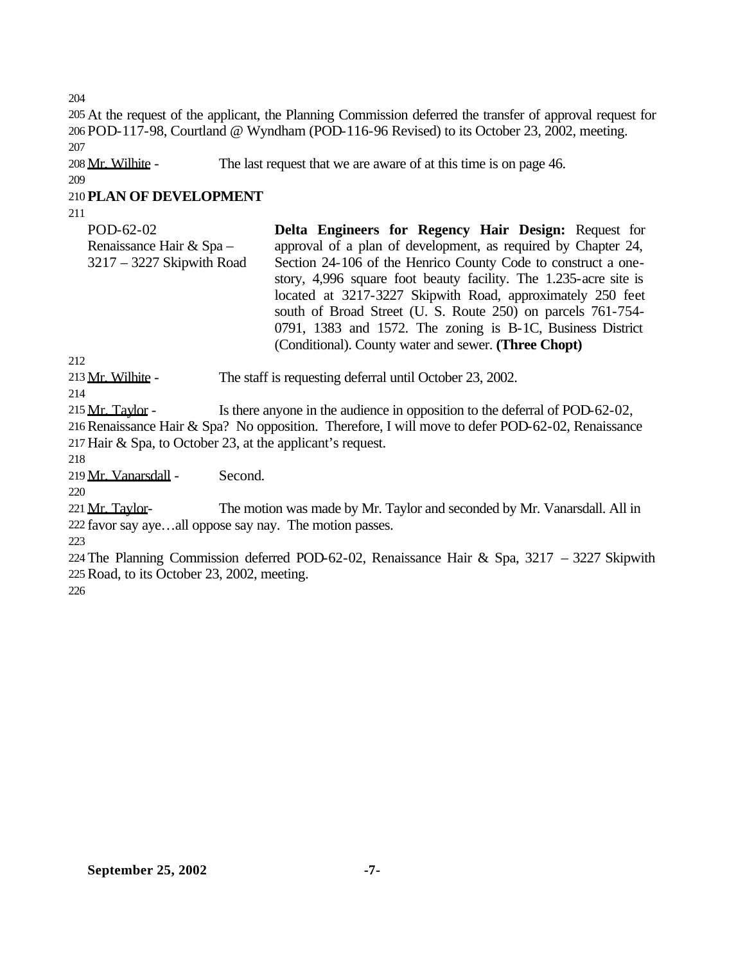204

205 At the request of the applicant, the Planning Commission deferred the transfer of approval request for 206 POD-117-98, Courtland @ Wyndham (POD-116-96 Revised) to its October 23, 2002, meeting. 207

208 Mr. Wilhite - The last request that we are aware of at this time is on page 46.

209

# 210 **PLAN OF DEVELOPMENT**

211

| POD-62-02                   | Delta Engineers for Regency Hair Design: Request for             |
|-----------------------------|------------------------------------------------------------------|
| Renaissance Hair & Spa -    | approval of a plan of development, as required by Chapter 24,    |
| $3217 - 3227$ Skipwith Road | Section 24-106 of the Henrico County Code to construct a one-    |
|                             | story, 4,996 square foot beauty facility. The 1.235-acre site is |
|                             | located at 3217-3227 Skipwith Road, approximately 250 feet       |
|                             | south of Broad Street (U. S. Route 250) on parcels 761-754-      |
|                             | 0791, 1383 and 1572. The zoning is B-1C, Business District       |
|                             | (Conditional). County water and sewer. (Three Chopt)             |

212

213 Mr. Wilhite - The staff is requesting deferral until October 23, 2002.

214

215 Mr. Taylor - Is there anyone in the audience in opposition to the deferral of POD-62-02, 216Renaissance Hair & Spa? No opposition. Therefore, I will move to defer POD-62-02, Renaissance 217 Hair & Spa, to October 23, at the applicant's request.

218

219 Mr. Vanarsdall - Second.

220

221 Mr. Taylor- The motion was made by Mr. Taylor and seconded by Mr. Vanarsdall. All in 222 favor say aye…all oppose say nay. The motion passes.

223

224 The Planning Commission deferred POD-62-02, Renaissance Hair & Spa, 3217 – 3227 Skipwith 225Road, to its October 23, 2002, meeting.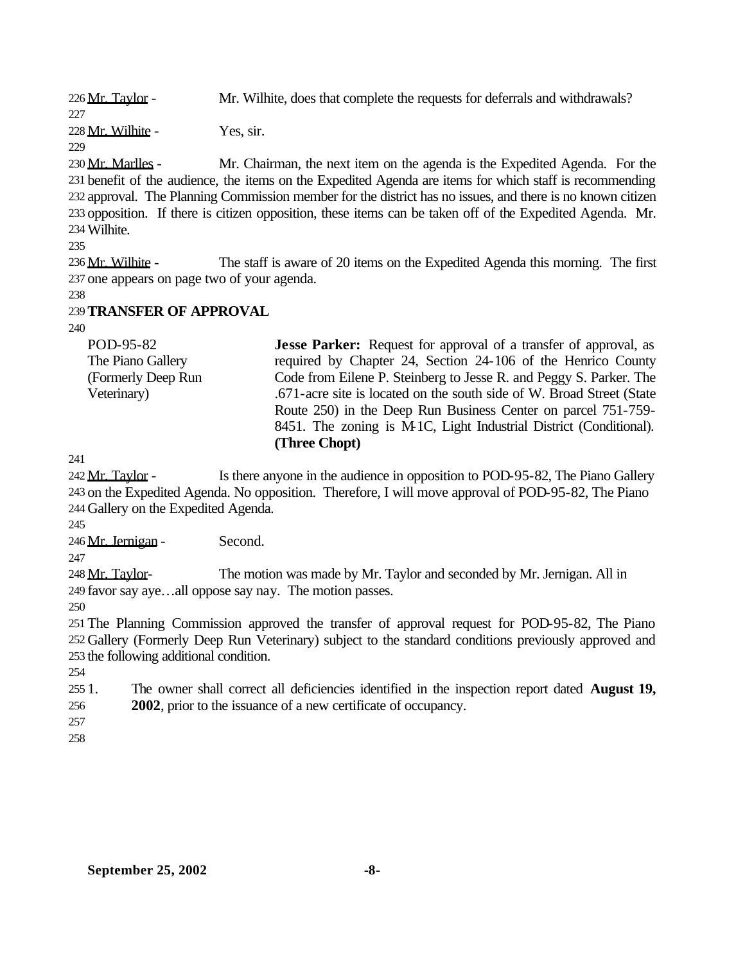226 Mr. Taylor - Mr. Wilhite, does that complete the requests for deferrals and withdrawals?

228 Mr. Wilhite - Yes, sir.

# 229

227

230 Mr. Marlles - Mr. Chairman, the next item on the agenda is the Expedited Agenda. For the 231 benefit of the audience, the items on the Expedited Agenda are items for which staff is recommending 232 approval. The Planning Commission member for the district has no issues, and there is no known citizen 233 opposition. If there is citizen opposition, these items can be taken off of the Expedited Agenda. Mr. 234Wilhite.

235

236 Mr. Wilhite - The staff is aware of 20 items on the Expedited Agenda this morning. The first 237 one appears on page two of your agenda.

238

## 239**TRANSFER OF APPROVAL**

240

POD-95-82 The Piano Gallery (Formerly Deep Run Veterinary) **Jesse Parker:** Request for approval of a transfer of approval, as required by Chapter 24, Section 24-106 of the Henrico County Code from Eilene P. Steinberg to Jesse R. and Peggy S. Parker. The .671-acre site is located on the south side of W. Broad Street (State Route 250) in the Deep Run Business Center on parcel 751-759- 8451. The zoning is M-1C, Light Industrial District (Conditional). **(Three Chopt)**

241

242 Mr. Taylor - Is there anyone in the audience in opposition to POD-95-82, The Piano Gallery 243 on the Expedited Agenda. No opposition. Therefore, I will move approval of POD-95-82, The Piano 244 Gallery on the Expedited Agenda.

245

246 Mr. Jernigan - Second.

247

248 Mr. Taylor- The motion was made by Mr. Taylor and seconded by Mr. Jernigan. All in 249 favor say aye…all oppose say nay. The motion passes.

250

251 The Planning Commission approved the transfer of approval request for POD-95-82, The Piano 252 Gallery (Formerly Deep Run Veterinary) subject to the standard conditions previously approved and 253 the following additional condition.

- 255 1. The owner shall correct all deficiencies identified in the inspection report dated **August 19,**  256 **2002**, prior to the issuance of a new certificate of occupancy.
- 257
- 258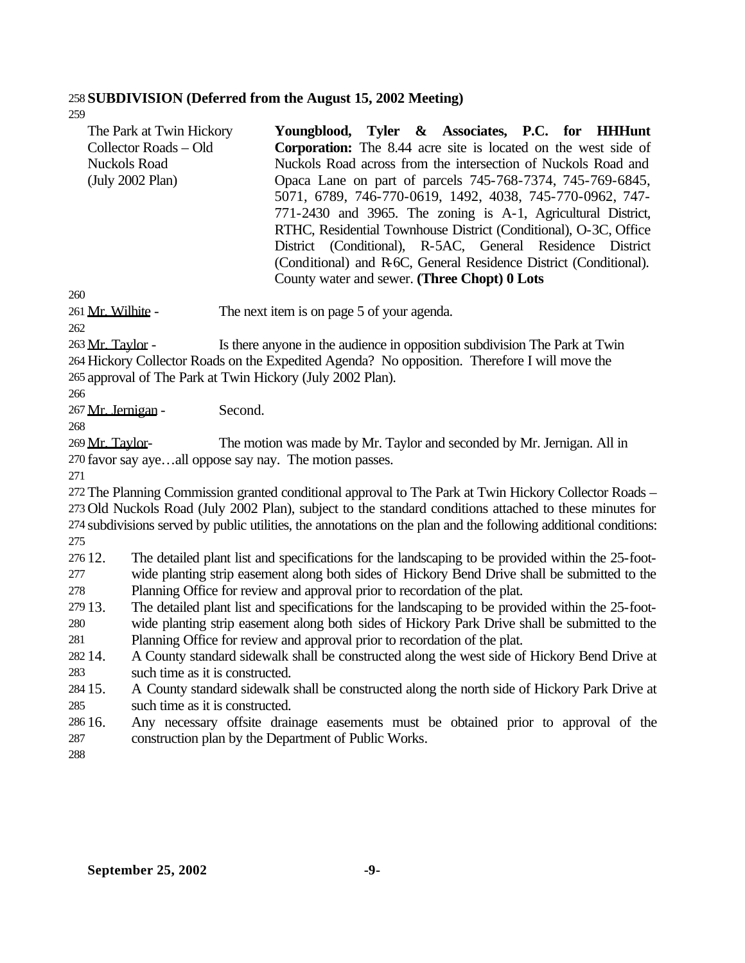#### **SUBDIVISION (Deferred from the August 15, 2002 Meeting)**

| The Park at Twin Hickory | Youngblood, Tyler & Associates, P.C. for HHHunt                       |
|--------------------------|-----------------------------------------------------------------------|
| Collector Roads - Old    | <b>Corporation:</b> The 8.44 acre site is located on the west side of |
| Nuckols Road             | Nuckols Road across from the intersection of Nuckols Road and         |
| (July 2002 Plan)         | Opaca Lane on part of parcels 745-768-7374, 745-769-6845,             |
|                          | 5071, 6789, 746-770-0619, 1492, 4038, 745-770-0962, 747-              |
|                          | 771-2430 and 3965. The zoning is A-1, Agricultural District,          |
|                          | RTHC, Residential Townhouse District (Conditional), O-3C, Office      |
|                          | District (Conditional), R-5AC, General Residence District             |
|                          | (Conditional) and R-6C, General Residence District (Conditional).     |
|                          | County water and sewer. (Three Chopt) 0 Lots                          |
|                          |                                                                       |

261 Mr. Wilhite - The next item is on page 5 of your agenda.

263 Mr. Taylor - Is there anyone in the audience in opposition subdivision The Park at Twin Hickory Collector Roads on the Expedited Agenda? No opposition. Therefore I will move the approval of The Park at Twin Hickory (July 2002 Plan).

Mr. Jernigan - Second.

 Mr. Taylor- The motion was made by Mr. Taylor and seconded by Mr. Jernigan. All in favor say aye…all oppose say nay. The motion passes.

 The Planning Commission granted conditional approval to The Park at Twin Hickory Collector Roads – Old Nuckols Road (July 2002 Plan), subject to the standard conditions attached to these minutes for subdivisions served by public utilities, the annotations on the plan and the following additional conditions: 

 12. The detailed plant list and specifications for the landscaping to be provided within the 25-foot-wide planting strip easement along both sides of Hickory Bend Drive shall be submitted to the

Planning Office for review and approval prior to recordation of the plat.

 13. The detailed plant list and specifications for the landscaping to be provided within the 25-foot-wide planting strip easement along both sides of Hickory Park Drive shall be submitted to the

Planning Office for review and approval prior to recordation of the plat.

 14. A County standard sidewalk shall be constructed along the west side of Hickory Bend Drive at such time as it is constructed.

- 15. A County standard sidewalk shall be constructed along the north side of Hickory Park Drive at such time as it is constructed.
- 16. Any necessary offsite drainage easements must be obtained prior to approval of the construction plan by the Department of Public Works.
-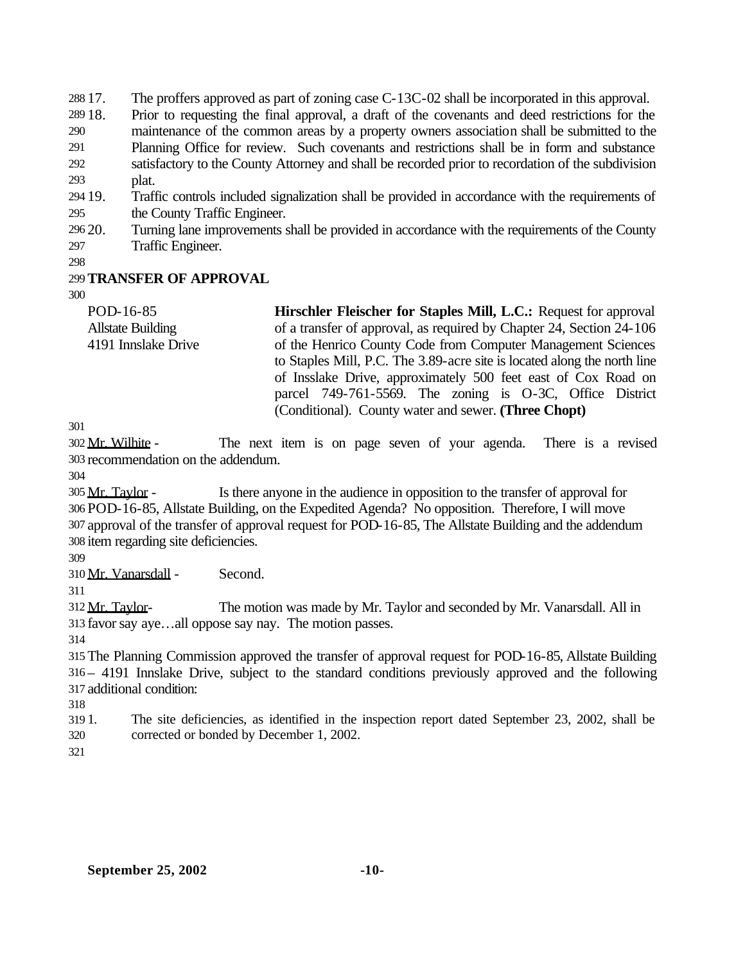17. The proffers approved as part of zoning case C-13C-02 shall be incorporated in this approval.

- 18. Prior to requesting the final approval, a draft of the covenants and deed restrictions for the maintenance of the common areas by a property owners association shall be submitted to the Planning Office for review. Such covenants and restrictions shall be in form and substance satisfactory to the County Attorney and shall be recorded prior to recordation of the subdivision plat.
- 19. Traffic controls included signalization shall be provided in accordance with the requirements of the County Traffic Engineer.
- 20. Turning lane improvements shall be provided in accordance with the requirements of the County Traffic Engineer.

## **TRANSFER OF APPROVAL**

| POD-16-85                | <b>Hirschler Fleischer for Staples Mill, L.C.: Request for approval</b>  |
|--------------------------|--------------------------------------------------------------------------|
| <b>Allstate Building</b> | of a transfer of approval, as required by Chapter 24, Section 24-106     |
| 4191 Innslake Drive      | of the Henrico County Code from Computer Management Sciences             |
|                          | to Staples Mill, P.C. The 3.89-acre site is located along the north line |
|                          | of Insslake Drive, approximately 500 feet east of Cox Road on            |
|                          | parcel 749-761-5569. The zoning is O-3C, Office District                 |
|                          | (Conditional). County water and sewer. (Three Chopt)                     |

 Mr. Wilhite - The next item is on page seven of your agenda. There is a revised recommendation on the addendum.

 Mr. Taylor - Is there anyone in the audience in opposition to the transfer of approval for POD-16-85, Allstate Building, on the Expedited Agenda? No opposition. Therefore, I will move approval of the transfer of approval request for POD-16-85, The Allstate Building and the addendum item regarding site deficiencies.

Mr. Vanarsdall - Second.

312 Mr. Taylor- The motion was made by Mr. Taylor and seconded by Mr. Vanarsdall. All in favor say aye…all oppose say nay. The motion passes.

 The Planning Commission approved the transfer of approval request for POD-16-85, Allstate Building – 4191 Innslake Drive, subject to the standard conditions previously approved and the following additional condition:

 1. The site deficiencies, as identified in the inspection report dated September 23, 2002, shall be corrected or bonded by December 1, 2002.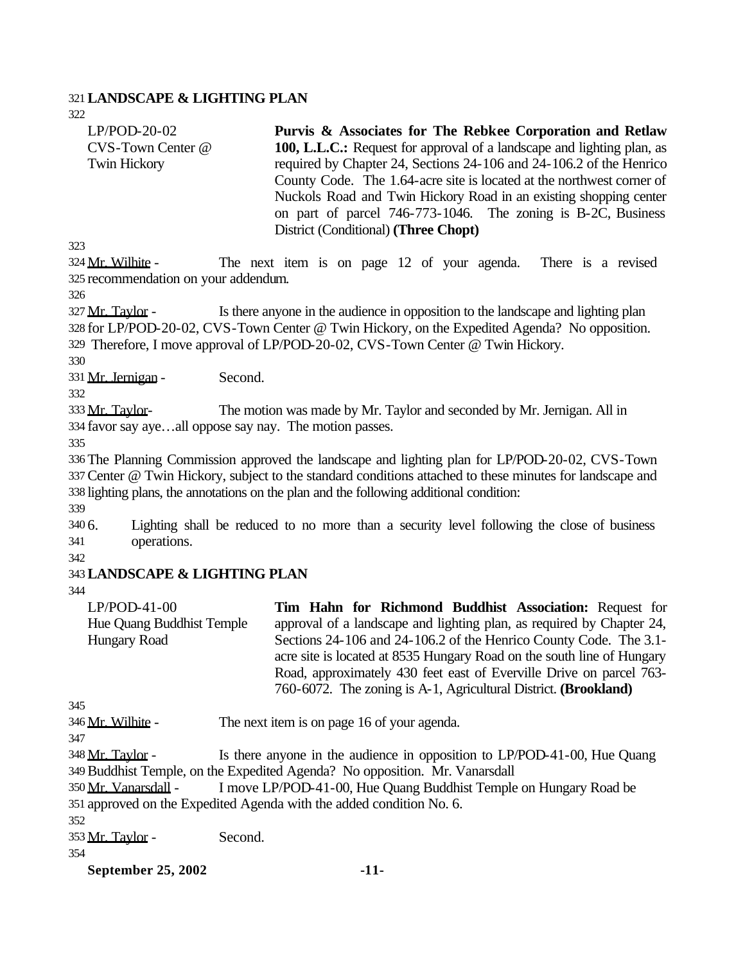#### 321**LANDSCAPE & LIGHTING PLAN**

322

LP/POD-20-02 CVS-Town Center @ Twin Hickory

**Purvis & Associates for The Rebkee Corporation and Retlaw 100, L.L.C.:** Request for approval of a landscape and lighting plan, as required by Chapter 24, Sections 24-106 and 24-106.2 of the Henrico County Code. The 1.64-acre site is located at the northwest corner of Nuckols Road and Twin Hickory Road in an existing shopping center on part of parcel 746-773-1046. The zoning is B-2C, Business District (Conditional) **(Three Chopt)**

323

324 Mr. Wilhite - The next item is on page 12 of your agenda. There is a revised 325 recommendation on your addendum.

326

327 Mr. Taylor - Is there anyone in the audience in opposition to the landscape and lighting plan 328 for LP/POD-20-02, CVS-Town Center @ Twin Hickory, on the Expedited Agenda? No opposition. 329 Therefore, I move approval of LP/POD-20-02, CVS-Town Center @ Twin Hickory.

330

331 Mr. Jernigan - Second.

332

333 Mr. Taylor- The motion was made by Mr. Taylor and seconded by Mr. Jernigan. All in 334 favor say aye…all oppose say nay. The motion passes.

335

336 The Planning Commission approved the landscape and lighting plan for LP/POD-20-02, CVS-Town 337Center @ Twin Hickory, subject to the standard conditions attached to these minutes for landscape and 338 lighting plans, the annotations on the plan and the following additional condition:

339

340 6. Lighting shall be reduced to no more than a security level following the close of business 341 operations.

342

## 343**LANDSCAPE & LIGHTING PLAN**

344

LP/POD-41-00 Hue Quang Buddhist Temple Hungary Road **Tim Hahn for Richmond Buddhist Association:** Request for approval of a landscape and lighting plan, as required by Chapter 24, Sections 24-106 and 24-106.2 of the Henrico County Code. The 3.1 acre site is located at 8535 Hungary Road on the south line of Hungary Road, approximately 430 feet east of Everville Drive on parcel 763-

760-6072. The zoning is A-1, Agricultural District. **(Brookland)**

345

346 Mr. Wilhite - The next item is on page 16 of your agenda.

347

348 Mr. Taylor - Is there anyone in the audience in opposition to LP/POD-41-00, Hue Quang 349Buddhist Temple, on the Expedited Agenda? No opposition. Mr. Vanarsdall

350 Mr. Vanarsdall - I move LP/POD-41-00, Hue Quang Buddhist Temple on Hungary Road be 351 approved on the Expedited Agenda with the added condition No. 6.

352

353 Mr. Taylor - Second.

354

**September 25, 2002 -11-**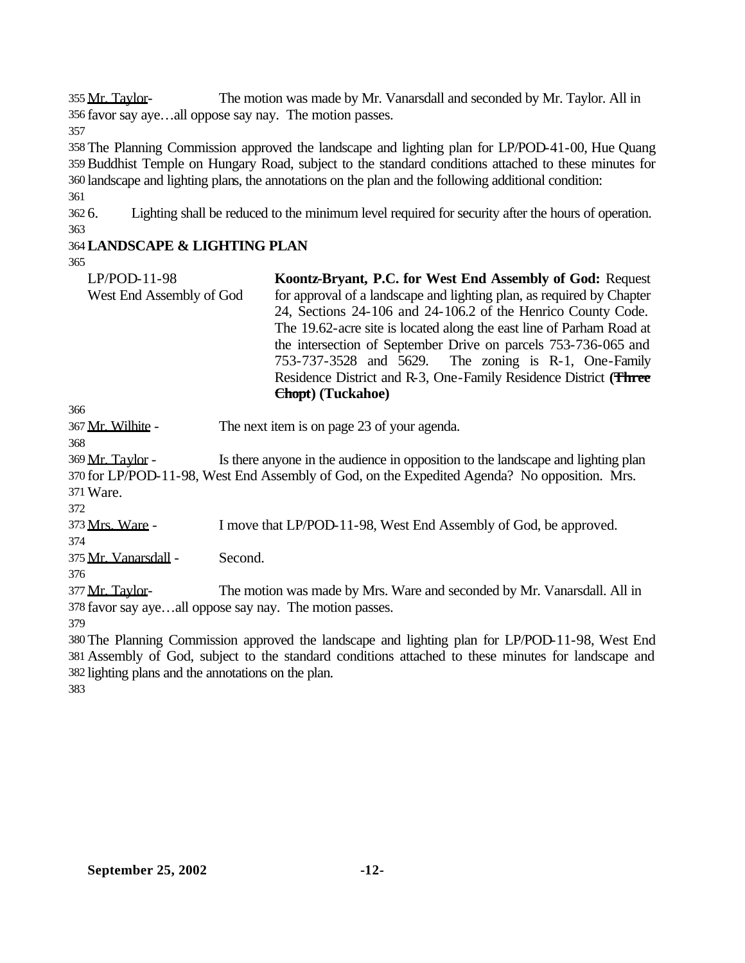355 Mr. Taylor- The motion was made by Mr. Vanarsdall and seconded by Mr. Taylor. All in favor say aye…all oppose say nay. The motion passes.

 The Planning Commission approved the landscape and lighting plan for LP/POD-41-00, Hue Quang Buddhist Temple on Hungary Road, subject to the standard conditions attached to these minutes for landscape and lighting plans, the annotations on the plan and the following additional condition:

 6. Lighting shall be reduced to the minimum level required for security after the hours of operation. 

## **LANDSCAPE & LIGHTING PLAN**

| Koontz-Bryant, P.C. for West End Assembly of God: Request             |
|-----------------------------------------------------------------------|
| for approval of a landscape and lighting plan, as required by Chapter |
| 24, Sections 24-106 and 24-106.2 of the Henrico County Code.          |
| The 19.62-acre site is located along the east line of Parham Road at  |
| the intersection of September Drive on parcels 753-736-065 and        |
| 753-737-3528 and 5629. The zoning is R-1, One-Family                  |
| Residence District and R-3, One-Family Residence District (Three      |
| Chopt) (Tuckahoe)                                                     |
|                                                                       |

Mr. Wilhite - The next item is on page 23 of your agenda.

369 Mr. Taylor - Is there anyone in the audience in opposition to the landscape and lighting plan for LP/POD-11-98, West End Assembly of God, on the Expedited Agenda? No opposition. Mrs. Ware.

Mrs. Ware - I move that LP/POD-11-98, West End Assembly of God, be approved.

Mr. Vanarsdall - Second.

377 Mr. Taylor- The motion was made by Mrs. Ware and seconded by Mr. Vanarsdall. All in favor say aye…all oppose say nay. The motion passes.

 The Planning Commission approved the landscape and lighting plan for LP/POD-11-98, West End Assembly of God, subject to the standard conditions attached to these minutes for landscape and lighting plans and the annotations on the plan.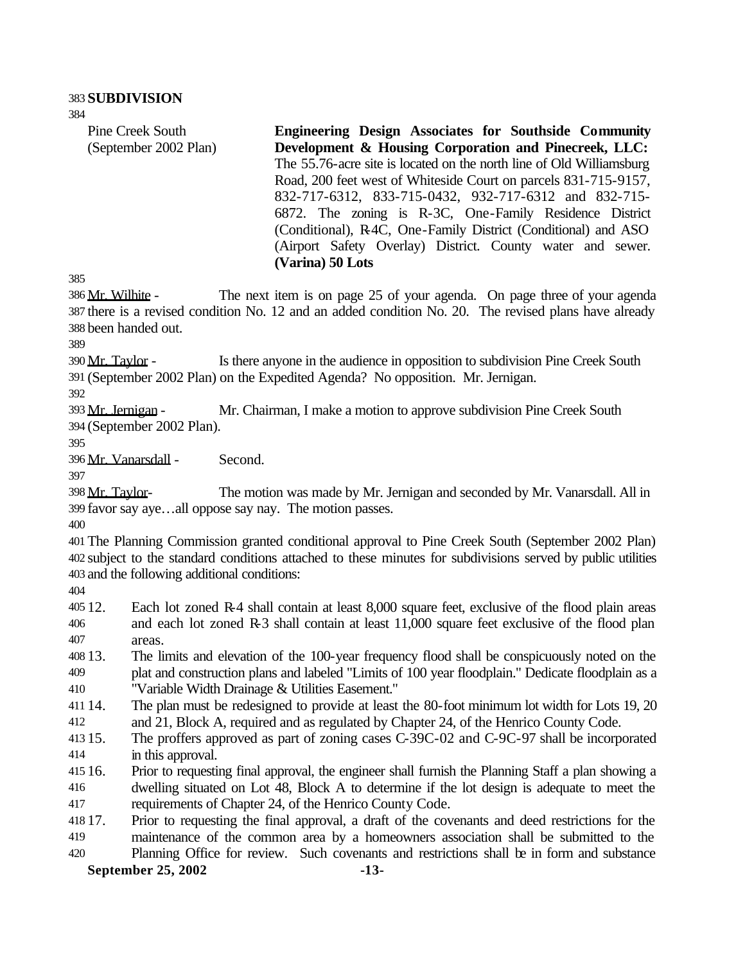Pine Creek South (September 2002 Plan) **Engineering Design Associates for Southside Community Development & Housing Corporation and Pinecreek, LLC:**  The 55.76-acre site is located on the north line of Old Williamsburg Road, 200 feet west of Whiteside Court on parcels 831-715-9157, 832-717-6312, 833-715-0432, 932-717-6312 and 832-715- 6872. The zoning is R-3C, One-Family Residence District (Conditional), R-4C, One-Family District (Conditional) and ASO (Airport Safety Overlay) District. County water and sewer. **(Varina) 50 Lots**

 Mr. Wilhite - The next item is on page 25 of your agenda. On page three of your agenda there is a revised condition No. 12 and an added condition No. 20. The revised plans have already been handed out.

 Mr. Taylor - Is there anyone in the audience in opposition to subdivision Pine Creek South (September 2002 Plan) on the Expedited Agenda? No opposition. Mr. Jernigan.

 Mr. Jernigan - Mr. Chairman, I make a motion to approve subdivision Pine Creek South (September 2002 Plan).

Mr. Vanarsdall - Second.

 Mr. Taylor- The motion was made by Mr. Jernigan and seconded by Mr. Vanarsdall. All in favor say aye…all oppose say nay. The motion passes.

 The Planning Commission granted conditional approval to Pine Creek South (September 2002 Plan) subject to the standard conditions attached to these minutes for subdivisions served by public utilities and the following additional conditions:

 12. Each lot zoned R-4 shall contain at least 8,000 square feet, exclusive of the flood plain areas and each lot zoned R-3 shall contain at least 11,000 square feet exclusive of the flood plan areas.

 13. The limits and elevation of the 100-year frequency flood shall be conspicuously noted on the plat and construction plans and labeled "Limits of 100 year floodplain." Dedicate floodplain as a "Variable Width Drainage & Utilities Easement."

- 14. The plan must be redesigned to provide at least the 80-foot minimum lot width for Lots 19, 20 and 21, Block A, required and as regulated by Chapter 24, of the Henrico County Code.
- 15. The proffers approved as part of zoning cases C-39C-02 and C-9C-97 shall be incorporated in this approval.

 16. Prior to requesting final approval, the engineer shall furnish the Planning Staff a plan showing a dwelling situated on Lot 48, Block A to determine if the lot design is adequate to meet the requirements of Chapter 24, of the Henrico County Code.

 17. Prior to requesting the final approval, a draft of the covenants and deed restrictions for the maintenance of the common area by a homeowners association shall be submitted to the

**September 25, 2002 -13-** Planning Office for review. Such covenants and restrictions shall be in form and substance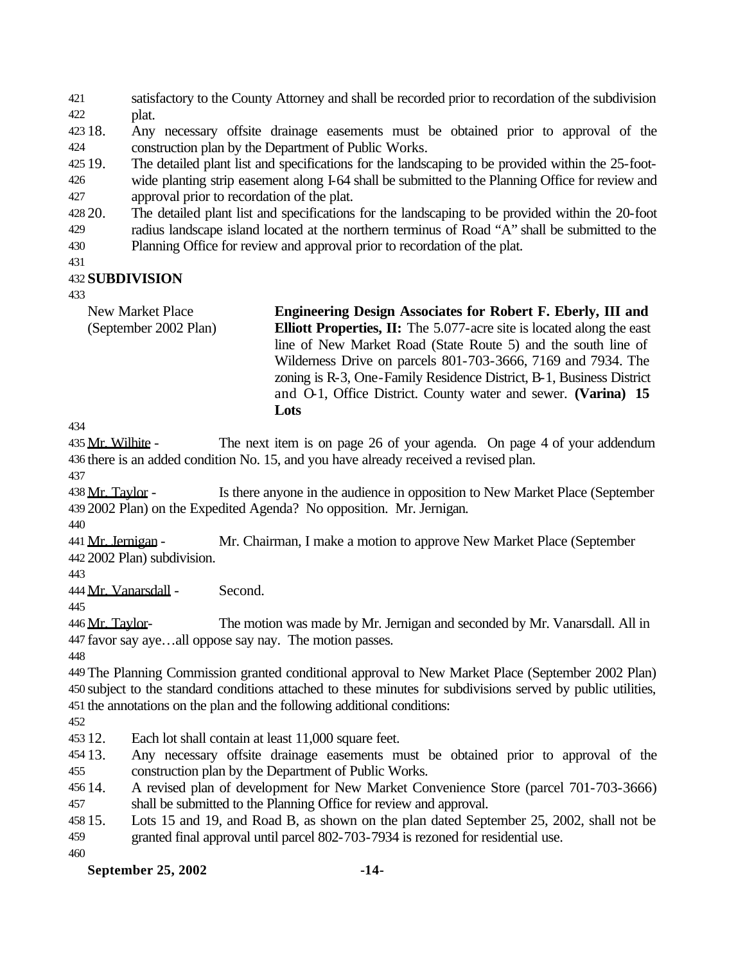satisfactory to the County Attorney and shall be recorded prior to recordation of the subdivision plat.

 18. Any necessary offsite drainage easements must be obtained prior to approval of the construction plan by the Department of Public Works.

 19. The detailed plant list and specifications for the landscaping to be provided within the 25-foot- wide planting strip easement along I-64 shall be submitted to the Planning Office for review and approval prior to recordation of the plat.

 20. The detailed plant list and specifications for the landscaping to be provided within the 20-foot radius landscape island located at the northern terminus of Road "A" shall be submitted to the

Planning Office for review and approval prior to recordation of the plat.

#### **SUBDIVISION**

New Market Place (September 2002 Plan) **Engineering Design Associates for Robert F. Eberly, III and Elliott Properties, II:** The 5.077-acre site is located along the east line of New Market Road (State Route 5) and the south line of Wilderness Drive on parcels 801-703-3666, 7169 and 7934. The zoning is R-3, One-Family Residence District, B-1, Business District and O-1, Office District. County water and sewer. **(Varina) 15 Lots**

435 Mr. Wilhite - The next item is on page 26 of your agenda. On page 4 of your addendum there is an added condition No. 15, and you have already received a revised plan.

438 Mr. Taylor - Is there anyone in the audience in opposition to New Market Place (September 2002 Plan) on the Expedited Agenda? No opposition. Mr. Jernigan.

441 Mr. Jernigan - Mr. Chairman, I make a motion to approve New Market Place (September 2002 Plan) subdivision.

Mr. Vanarsdall - Second.

446 Mr. Taylor- The motion was made by Mr. Jernigan and seconded by Mr. Vanarsdall. All in favor say aye…all oppose say nay. The motion passes.

 The Planning Commission granted conditional approval to New Market Place (September 2002 Plan) subject to the standard conditions attached to these minutes for subdivisions served by public utilities, the annotations on the plan and the following additional conditions:

12. Each lot shall contain at least 11,000 square feet.

 13. Any necessary offsite drainage easements must be obtained prior to approval of the construction plan by the Department of Public Works.

 14. A revised plan of development for New Market Convenience Store (parcel 701-703-3666) shall be submitted to the Planning Office for review and approval.

 15. Lots 15 and 19, and Road B, as shown on the plan dated September 25, 2002, shall not be granted final approval until parcel 802-703-7934 is rezoned for residential use.

**September 25, 2002 -14-**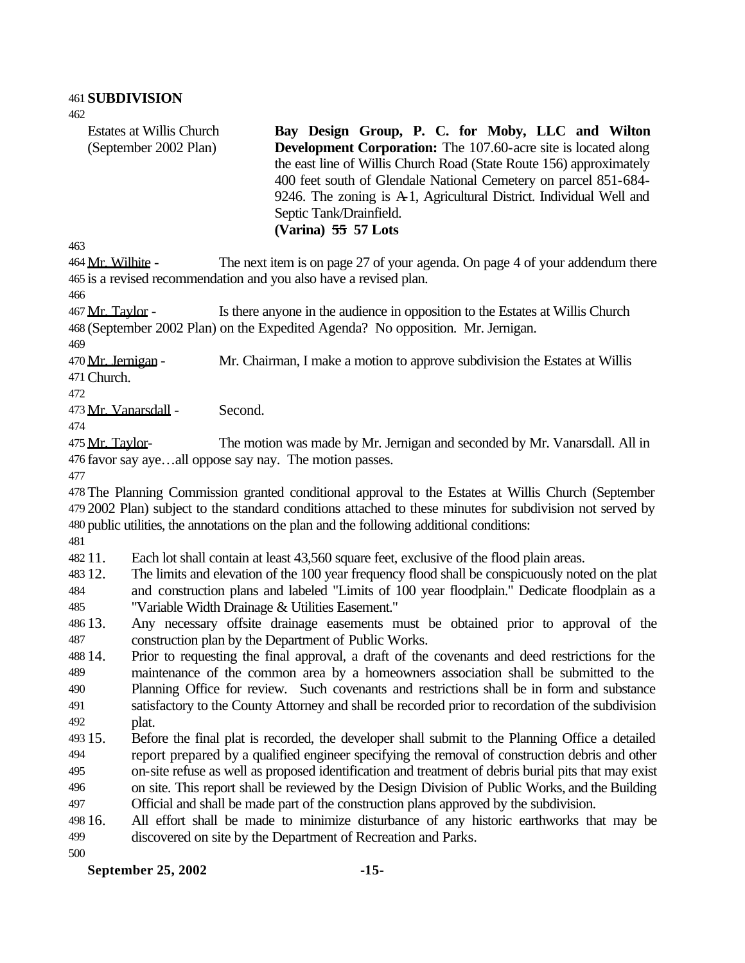Estates at Willis Church (September 2002 Plan)

**Bay Design Group, P. C. for Moby, LLC and Wilton Development Corporation:** The 107.60-acre site is located along the east line of Willis Church Road (State Route 156) approximately 400 feet south of Glendale National Cemetery on parcel 851-684- 9246. The zoning is A-1, Agricultural District. Individual Well and Septic Tank/Drainfield. **(Varina) 55 57 Lots**

464 Mr. Wilhite - The next item is on page 27 of your agenda. On page 4 of your addendum there is a revised recommendation and you also have a revised plan.

 Mr. Taylor - Is there anyone in the audience in opposition to the Estates at Willis Church (September 2002 Plan) on the Expedited Agenda? No opposition. Mr. Jernigan.

470 Mr. Jernigan - Mr. Chairman, I make a motion to approve subdivision the Estates at Willis Church.

Mr. Vanarsdall - Second.

475 Mr. Taylor- The motion was made by Mr. Jernigan and seconded by Mr. Vanarsdall. All in favor say aye…all oppose say nay. The motion passes.

 The Planning Commission granted conditional approval to the Estates at Willis Church (September 2002 Plan) subject to the standard conditions attached to these minutes for subdivision not served by public utilities, the annotations on the plan and the following additional conditions:

11. Each lot shall contain at least 43,560 square feet, exclusive of the flood plain areas.

 12. The limits and elevation of the 100 year frequency flood shall be conspicuously noted on the plat and construction plans and labeled "Limits of 100 year floodplain." Dedicate floodplain as a "Variable Width Drainage & Utilities Easement."

 13. Any necessary offsite drainage easements must be obtained prior to approval of the construction plan by the Department of Public Works.

 14. Prior to requesting the final approval, a draft of the covenants and deed restrictions for the maintenance of the common area by a homeowners association shall be submitted to the Planning Office for review. Such covenants and restrictions shall be in form and substance satisfactory to the County Attorney and shall be recorded prior to recordation of the subdivision plat.

- 15. Before the final plat is recorded, the developer shall submit to the Planning Office a detailed report prepared by a qualified engineer specifying the removal of construction debris and other on-site refuse as well as proposed identification and treatment of debris burial pits that may exist on site. This report shall be reviewed by the Design Division of Public Works, and the Building
- Official and shall be made part of the construction plans approved by the subdivision.

 16. All effort shall be made to minimize disturbance of any historic earthworks that may be discovered on site by the Department of Recreation and Parks.

**September 25, 2002 -15-**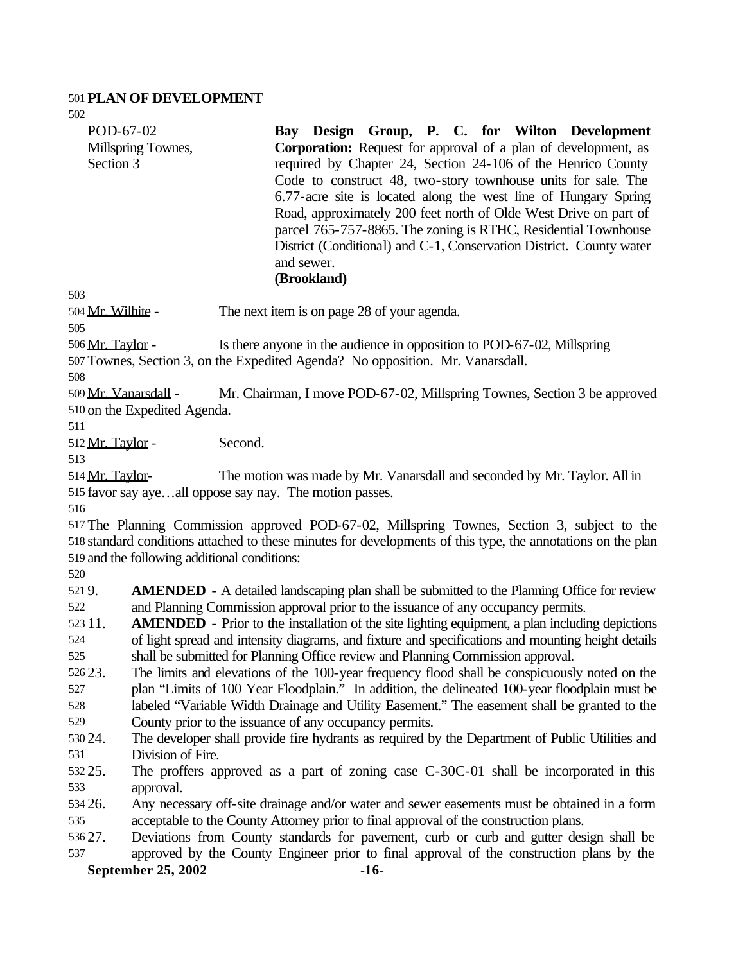#### **PLAN OF DEVELOPMENT**

**September 25, 2002 -16-** POD-67-02 Millspring Townes, Section 3 **Bay Design Group, P. C. for Wilton Development Corporation:** Request for approval of a plan of development, as required by Chapter 24, Section 24-106 of the Henrico County Code to construct 48, two-story townhouse units for sale. The 6.77-acre site is located along the west line of Hungary Spring Road, approximately 200 feet north of Olde West Drive on part of parcel 765-757-8865. The zoning is RTHC, Residential Townhouse District (Conditional) and C-1, Conservation District. County water and sewer. **(Brookland)** Mr. Wilhite - The next item is on page 28 of your agenda. Mr. Taylor - Is there anyone in the audience in opposition to POD-67-02, Millspring Townes, Section 3, on the Expedited Agenda? No opposition. Mr. Vanarsdall. Mr. Vanarsdall - Mr. Chairman, I move POD-67-02, Millspring Townes, Section 3 be approved on the Expedited Agenda. Mr. Taylor - Second. Mr. Taylor- The motion was made by Mr. Vanarsdall and seconded by Mr. Taylor. All in favor say aye…all oppose say nay. The motion passes. The Planning Commission approved POD-67-02, Millspring Townes, Section 3, subject to the standard conditions attached to these minutes for developments of this type, the annotations on the plan and the following additional conditions: 9. **AMENDED** - A detailed landscaping plan shall be submitted to the Planning Office for review and Planning Commission approval prior to the issuance of any occupancy permits. 11. **AMENDED** - Prior to the installation of the site lighting equipment, a plan including depictions of light spread and intensity diagrams, and fixture and specifications and mounting height details shall be submitted for Planning Office review and Planning Commission approval. 23. The limits and elevations of the 100-year frequency flood shall be conspicuously noted on the plan "Limits of 100 Year Floodplain." In addition, the delineated 100-year floodplain must be labeled "Variable Width Drainage and Utility Easement." The easement shall be granted to the County prior to the issuance of any occupancy permits. 24. The developer shall provide fire hydrants as required by the Department of Public Utilities and Division of Fire. 25. The proffers approved as a part of zoning case C-30C-01 shall be incorporated in this approval. 26. Any necessary off-site drainage and/or water and sewer easements must be obtained in a form acceptable to the County Attorney prior to final approval of the construction plans. 27. Deviations from County standards for pavement, curb or curb and gutter design shall be approved by the County Engineer prior to final approval of the construction plans by the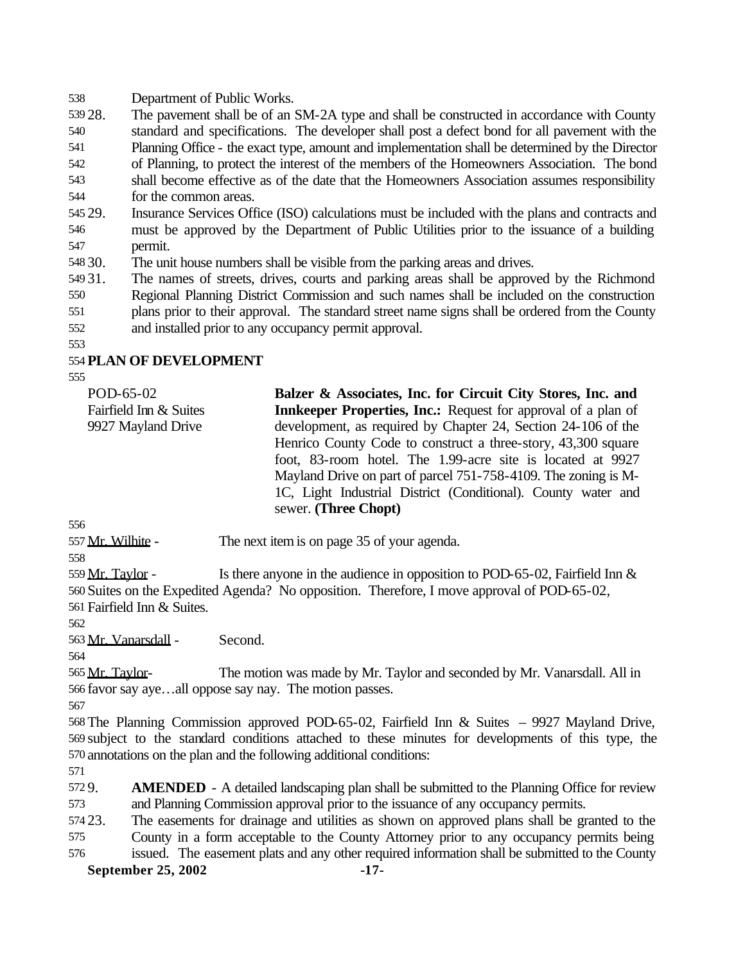Department of Public Works.

 28. The pavement shall be of an SM-2A type and shall be constructed in accordance with County standard and specifications. The developer shall post a defect bond for all pavement with the Planning Office - the exact type, amount and implementation shall be determined by the Director of Planning, to protect the interest of the members of the Homeowners Association. The bond shall become effective as of the date that the Homeowners Association assumes responsibility for the common areas.

 29. Insurance Services Office (ISO) calculations must be included with the plans and contracts and must be approved by the Department of Public Utilities prior to the issuance of a building permit.

30. The unit house numbers shall be visible from the parking areas and drives.

 31. The names of streets, drives, courts and parking areas shall be approved by the Richmond Regional Planning District Commission and such names shall be included on the construction

 plans prior to their approval. The standard street name signs shall be ordered from the County and installed prior to any occupancy permit approval.

# **PLAN OF DEVELOPMENT**

POD-65-02 Fairfield Inn & Suites 9927 Mayland Drive **Balzer & Associates, Inc. for Circuit City Stores, Inc. and Innkeeper Properties, Inc.:** Request for approval of a plan of development, as required by Chapter 24, Section 24-106 of the Henrico County Code to construct a three-story, 43,300 square foot, 83-room hotel. The 1.99-acre site is located at 9927 Mayland Drive on part of parcel 751-758-4109. The zoning is M-1C, Light Industrial District (Conditional). County water and sewer. **(Three Chopt)**

557 Mr. Wilhite - The next item is on page 35 of your agenda.

559 Mr. Taylor - Is there anyone in the audience in opposition to POD-65-02, Fairfield Inn  $\&$  Suites on the Expedited Agenda? No opposition. Therefore, I move approval of POD-65-02, Fairfield Inn & Suites.

Mr. Vanarsdall - Second.

565 Mr. Taylor- The motion was made by Mr. Taylor and seconded by Mr. Vanarsdall. All in favor say aye…all oppose say nay. The motion passes.

 The Planning Commission approved POD-65-02, Fairfield Inn & Suites – 9927 Mayland Drive, subject to the standard conditions attached to these minutes for developments of this type, the annotations on the plan and the following additional conditions:

 9. **AMENDED** - A detailed landscaping plan shall be submitted to the Planning Office for review and Planning Commission approval prior to the issuance of any occupancy permits.

23. The easements for drainage and utilities as shown on approved plans shall be granted to the

 County in a form acceptable to the County Attorney prior to any occupancy permits being issued. The easement plats and any other required information shall be submitted to the County

#### **September 25, 2002 -17-**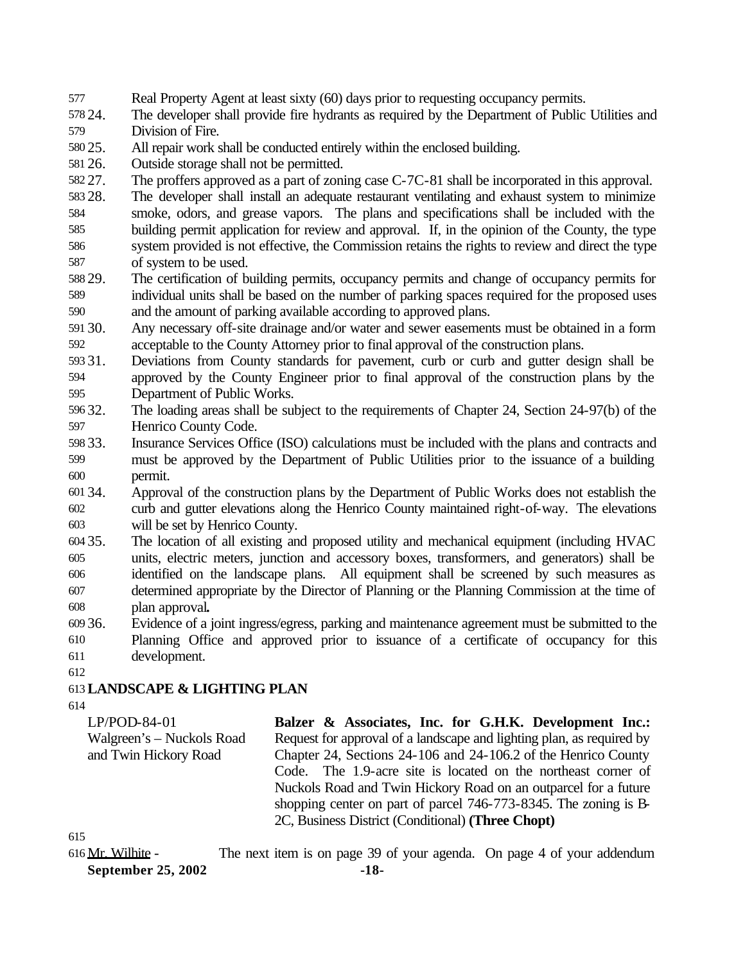- Real Property Agent at least sixty (60) days prior to requesting occupancy permits.
- 24. The developer shall provide fire hydrants as required by the Department of Public Utilities and Division of Fire.
- 25. All repair work shall be conducted entirely within the enclosed building.
- 26. Outside storage shall not be permitted.
- 27. The proffers approved as a part of zoning case C-7C-81 shall be incorporated in this approval.
- 28. The developer shall install an adequate restaurant ventilating and exhaust system to minimize smoke, odors, and grease vapors. The plans and specifications shall be included with the building permit application for review and approval. If, in the opinion of the County, the type system provided is not effective, the Commission retains the rights to review and direct the type of system to be used.
- 29. The certification of building permits, occupancy permits and change of occupancy permits for individual units shall be based on the number of parking spaces required for the proposed uses and the amount of parking available according to approved plans.
- 30. Any necessary off-site drainage and/or water and sewer easements must be obtained in a form acceptable to the County Attorney prior to final approval of the construction plans.
- 31. Deviations from County standards for pavement, curb or curb and gutter design shall be approved by the County Engineer prior to final approval of the construction plans by the Department of Public Works.
- 32. The loading areas shall be subject to the requirements of Chapter 24, Section 24-97(b) of the Henrico County Code.
- 33. Insurance Services Office (ISO) calculations must be included with the plans and contracts and must be approved by the Department of Public Utilities prior to the issuance of a building permit.
- 34. Approval of the construction plans by the Department of Public Works does not establish the curb and gutter elevations along the Henrico County maintained right-of-way. The elevations will be set by Henrico County.
- 35. The location of all existing and proposed utility and mechanical equipment (including HVAC units, electric meters, junction and accessory boxes, transformers, and generators) shall be identified on the landscape plans. All equipment shall be screened by such measures as determined appropriate by the Director of Planning or the Planning Commission at the time of plan approval**.**
- 36. Evidence of a joint ingress/egress, parking and maintenance agreement must be submitted to the Planning Office and approved prior to issuance of a certificate of occupancy for this development.
- 

## **LANDSCAPE & LIGHTING PLAN**

LP/POD-84-01 Walgreen's – Nuckols Road and Twin Hickory Road **Balzer & Associates, Inc. for G.H.K. Development Inc.:** Request for approval of a landscape and lighting plan, as required by Chapter 24, Sections 24-106 and 24-106.2 of the Henrico County Code. The 1.9-acre site is located on the northeast corner of Nuckols Road and Twin Hickory Road on an outparcel for a future shopping center on part of parcel 746-773-8345. The zoning is B-2C, Business District (Conditional) **(Three Chopt)**

**September 25, 2002 -18-** Mr. Wilhite - The next item is on page 39 of your agenda. On page 4 of your addendum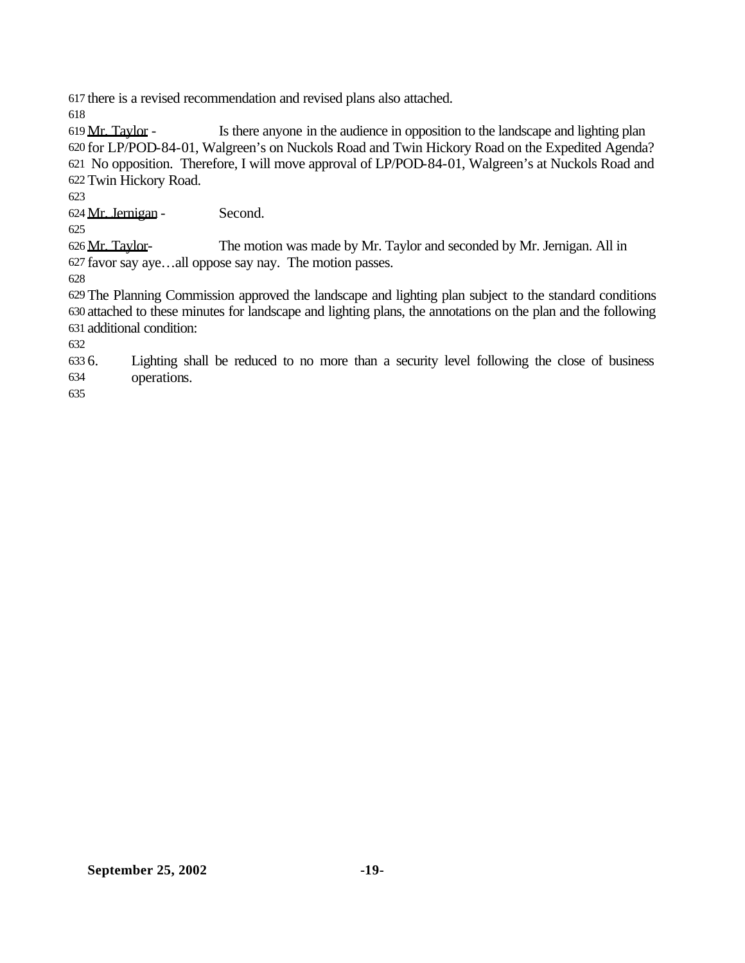there is a revised recommendation and revised plans also attached.

 Mr. Taylor - Is there anyone in the audience in opposition to the landscape and lighting plan for LP/POD-84-01, Walgreen's on Nuckols Road and Twin Hickory Road on the Expedited Agenda? No opposition. Therefore, I will move approval of LP/POD-84-01, Walgreen's at Nuckols Road and Twin Hickory Road.

Mr. Jernigan - Second.

 Mr. Taylor- The motion was made by Mr. Taylor and seconded by Mr. Jernigan. All in favor say aye…all oppose say nay. The motion passes.

 The Planning Commission approved the landscape and lighting plan subject to the standard conditions attached to these minutes for landscape and lighting plans, the annotations on the plan and the following additional condition:

 6. Lighting shall be reduced to no more than a security level following the close of business operations.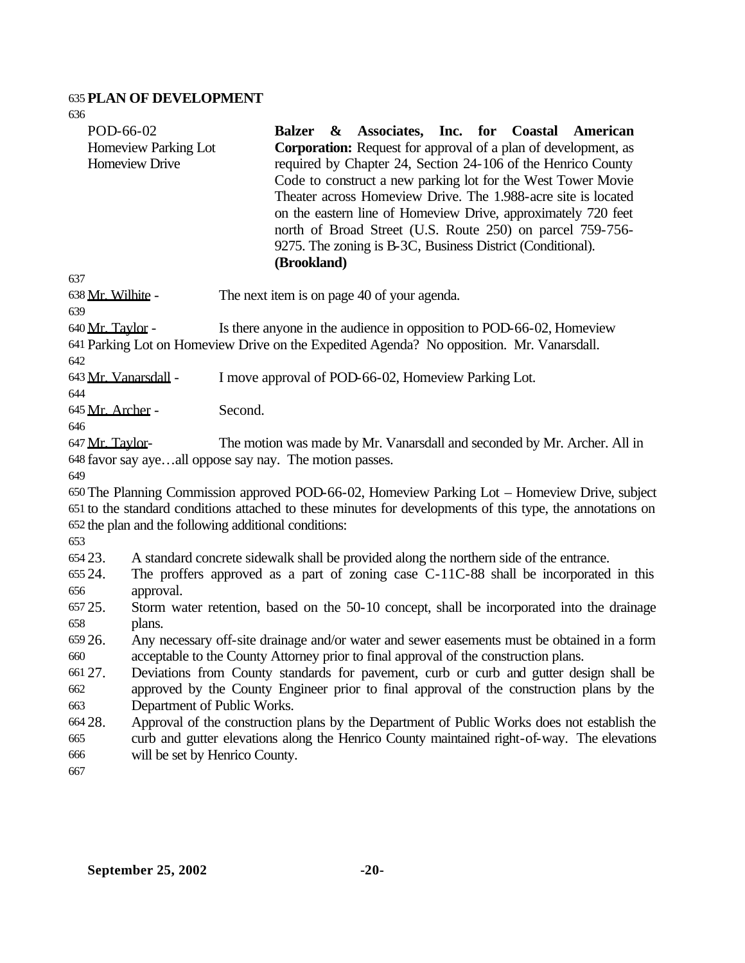## **PLAN OF DEVELOPMENT**

| 636                            |                                                                                                                                                                                     |         |                                                                                                                                                                                                                                                                                                                                                                                                                                                                                                                |                              |  |  |                                                                                                                                                                                                              |
|--------------------------------|-------------------------------------------------------------------------------------------------------------------------------------------------------------------------------------|---------|----------------------------------------------------------------------------------------------------------------------------------------------------------------------------------------------------------------------------------------------------------------------------------------------------------------------------------------------------------------------------------------------------------------------------------------------------------------------------------------------------------------|------------------------------|--|--|--------------------------------------------------------------------------------------------------------------------------------------------------------------------------------------------------------------|
| POD-66-02                      | Homeview Parking Lot<br>Homeview Drive                                                                                                                                              |         | <b>Balzer</b><br>$\alpha$<br><b>Corporation:</b> Request for approval of a plan of development, as<br>required by Chapter 24, Section 24-106 of the Henrico County<br>Code to construct a new parking lot for the West Tower Movie<br>Theater across Homeview Drive. The 1.988-acre site is located<br>on the eastern line of Homeview Drive, approximately 720 feet<br>north of Broad Street (U.S. Route 250) on parcel 759-756-<br>9275. The zoning is B-3C, Business District (Conditional).<br>(Brookland) | Associates, Inc. for Coastal |  |  | American                                                                                                                                                                                                     |
| 637                            |                                                                                                                                                                                     |         |                                                                                                                                                                                                                                                                                                                                                                                                                                                                                                                |                              |  |  |                                                                                                                                                                                                              |
| 638 Mr. Wilhite -              |                                                                                                                                                                                     |         | The next item is on page 40 of your agenda.                                                                                                                                                                                                                                                                                                                                                                                                                                                                    |                              |  |  |                                                                                                                                                                                                              |
| 639<br>640 Mr. Taylor -<br>642 |                                                                                                                                                                                     |         | Is there anyone in the audience in opposition to POD-66-02, Homeview<br>641 Parking Lot on Homeview Drive on the Expedited Agenda? No opposition. Mr. Vanarsdall.                                                                                                                                                                                                                                                                                                                                              |                              |  |  |                                                                                                                                                                                                              |
| 643 Mr. Vanarsdall -           |                                                                                                                                                                                     |         | I move approval of POD-66-02, Homeview Parking Lot.                                                                                                                                                                                                                                                                                                                                                                                                                                                            |                              |  |  |                                                                                                                                                                                                              |
| 644                            |                                                                                                                                                                                     |         |                                                                                                                                                                                                                                                                                                                                                                                                                                                                                                                |                              |  |  |                                                                                                                                                                                                              |
| 645 Mr. Archer -               |                                                                                                                                                                                     | Second. |                                                                                                                                                                                                                                                                                                                                                                                                                                                                                                                |                              |  |  |                                                                                                                                                                                                              |
| 646                            |                                                                                                                                                                                     |         |                                                                                                                                                                                                                                                                                                                                                                                                                                                                                                                |                              |  |  |                                                                                                                                                                                                              |
| 649                            | 647 Mr. Taylor-<br>The motion was made by Mr. Vanarsdall and seconded by Mr. Archer. All in<br>648 favor say ayeall oppose say nay. The motion passes.                              |         |                                                                                                                                                                                                                                                                                                                                                                                                                                                                                                                |                              |  |  |                                                                                                                                                                                                              |
| 653                            | 652 the plan and the following additional conditions:                                                                                                                               |         |                                                                                                                                                                                                                                                                                                                                                                                                                                                                                                                |                              |  |  | 650 The Planning Commission approved POD-66-02, Homeview Parking Lot - Homeview Drive, subject<br>651 to the standard conditions attached to these minutes for developments of this type, the annotations on |
| 654 23.<br>655 24.<br>656      | approval.                                                                                                                                                                           |         | A standard concrete sidewalk shall be provided along the northern side of the entrance.                                                                                                                                                                                                                                                                                                                                                                                                                        |                              |  |  | The proffers approved as a part of zoning case C-11C-88 shall be incorporated in this                                                                                                                        |
| 657 25.                        | Storm water retention, based on the 50-10 concept, shall be incorporated into the drainage                                                                                          |         |                                                                                                                                                                                                                                                                                                                                                                                                                                                                                                                |                              |  |  |                                                                                                                                                                                                              |
| 658                            | plans.                                                                                                                                                                              |         |                                                                                                                                                                                                                                                                                                                                                                                                                                                                                                                |                              |  |  |                                                                                                                                                                                                              |
| 659 26.                        |                                                                                                                                                                                     |         |                                                                                                                                                                                                                                                                                                                                                                                                                                                                                                                |                              |  |  |                                                                                                                                                                                                              |
| 660                            | Any necessary off-site drainage and/or water and sewer easements must be obtained in a form<br>acceptable to the County Attorney prior to final approval of the construction plans. |         |                                                                                                                                                                                                                                                                                                                                                                                                                                                                                                                |                              |  |  |                                                                                                                                                                                                              |
| 661 27.                        | Deviations from County standards for pavement, curb or curb and gutter design shall be                                                                                              |         |                                                                                                                                                                                                                                                                                                                                                                                                                                                                                                                |                              |  |  |                                                                                                                                                                                                              |
| 662                            | approved by the County Engineer prior to final approval of the construction plans by the                                                                                            |         |                                                                                                                                                                                                                                                                                                                                                                                                                                                                                                                |                              |  |  |                                                                                                                                                                                                              |
| 663                            | Department of Public Works.                                                                                                                                                         |         |                                                                                                                                                                                                                                                                                                                                                                                                                                                                                                                |                              |  |  |                                                                                                                                                                                                              |
| 664 28.                        |                                                                                                                                                                                     |         |                                                                                                                                                                                                                                                                                                                                                                                                                                                                                                                |                              |  |  | Approval of the construction plans by the Department of Public Works does not establish the                                                                                                                  |
| 665                            |                                                                                                                                                                                     |         |                                                                                                                                                                                                                                                                                                                                                                                                                                                                                                                |                              |  |  | curb and gutter elevations along the Henrico County maintained right-of-way. The elevations                                                                                                                  |
| 666                            | will be set by Henrico County.                                                                                                                                                      |         |                                                                                                                                                                                                                                                                                                                                                                                                                                                                                                                |                              |  |  |                                                                                                                                                                                                              |
| 667                            |                                                                                                                                                                                     |         |                                                                                                                                                                                                                                                                                                                                                                                                                                                                                                                |                              |  |  |                                                                                                                                                                                                              |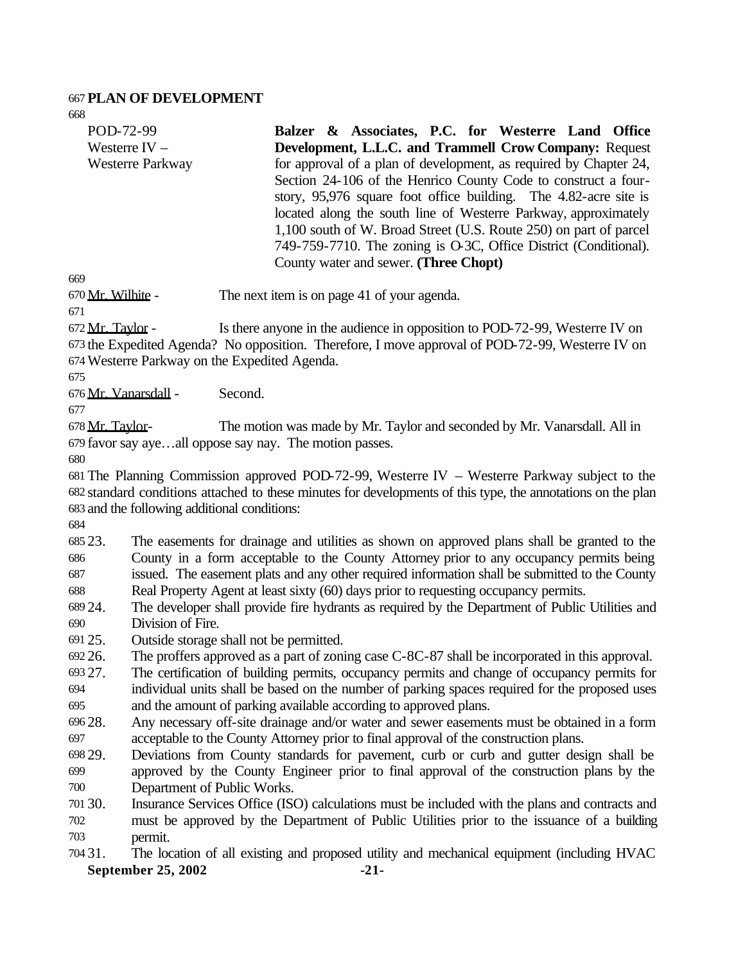#### **PLAN OF DEVELOPMENT**

POD-72-99 Westerre IV – Westerre Parkway **Balzer & Associates, P.C. for Westerre Land Office Development, L.L.C. and Trammell Crow Company:** Request for approval of a plan of development, as required by Chapter 24, Section 24-106 of the Henrico County Code to construct a fourstory, 95,976 square foot office building. The 4.82-acre site is located along the south line of Westerre Parkway, approximately 1,100 south of W. Broad Street (U.S. Route 250) on part of parcel 749-759-7710. The zoning is O-3C, Office District (Conditional). County water and sewer. **(Three Chopt)**

Mr. Wilhite - The next item is on page 41 of your agenda.

 Mr. Taylor - Is there anyone in the audience in opposition to POD-72-99, Westerre IV on the Expedited Agenda? No opposition. Therefore, I move approval of POD-72-99, Westerre IV on Westerre Parkway on the Expedited Agenda.

Mr. Vanarsdall - Second.

678 Mr. Taylor- The motion was made by Mr. Taylor and seconded by Mr. Vanarsdall. All in favor say aye…all oppose say nay. The motion passes.

 The Planning Commission approved POD-72-99, Westerre IV – Westerre Parkway subject to the standard conditions attached to these minutes for developments of this type, the annotations on the plan and the following additional conditions:

 23. The easements for drainage and utilities as shown on approved plans shall be granted to the County in a form acceptable to the County Attorney prior to any occupancy permits being issued. The easement plats and any other required information shall be submitted to the County

Real Property Agent at least sixty (60) days prior to requesting occupancy permits.

 24. The developer shall provide fire hydrants as required by the Department of Public Utilities and Division of Fire.

25. Outside storage shall not be permitted.

26. The proffers approved as a part of zoning case C-8C-87 shall be incorporated in this approval.

- 27. The certification of building permits, occupancy permits and change of occupancy permits for individual units shall be based on the number of parking spaces required for the proposed uses and the amount of parking available according to approved plans.
- 28. Any necessary off-site drainage and/or water and sewer easements must be obtained in a form acceptable to the County Attorney prior to final approval of the construction plans.
- 29. Deviations from County standards for pavement, curb or curb and gutter design shall be approved by the County Engineer prior to final approval of the construction plans by the Department of Public Works.
- 30. Insurance Services Office (ISO) calculations must be included with the plans and contracts and must be approved by the Department of Public Utilities prior to the issuance of a building permit.
- **September 25, 2002** -21-31. The location of all existing and proposed utility and mechanical equipment (including HVAC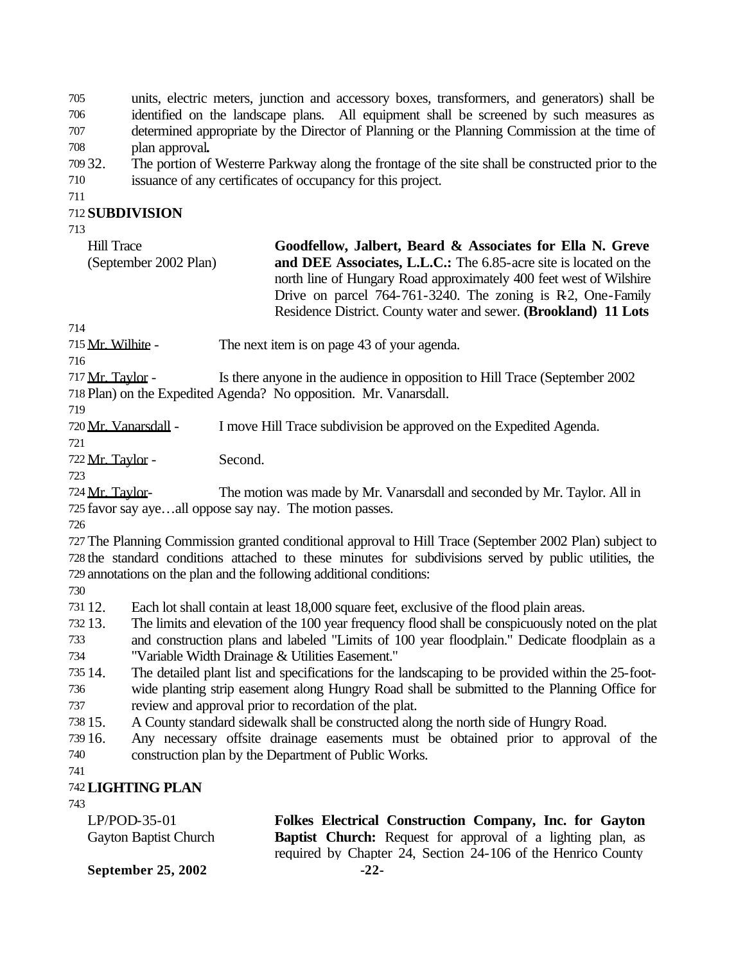units, electric meters, junction and accessory boxes, transformers, and generators) shall be identified on the landscape plans. All equipment shall be screened by such measures as determined appropriate by the Director of Planning or the Planning Commission at the time of plan approval**.**

- 32. The portion of Westerre Parkway along the frontage of the site shall be constructed prior to the issuance of any certificates of occupancy for this project.
- 

#### **SUBDIVISION**

| <b>Hill Trace</b>     | Goodfellow, Jalbert, Beard & Associates for Ella N. Greve          |
|-----------------------|--------------------------------------------------------------------|
| (September 2002 Plan) | and DEE Associates, L.L.C.: The 6.85-acre site is located on the   |
|                       | north line of Hungary Road approximately 400 feet west of Wilshire |
|                       | Drive on parcel $764-761-3240$ . The zoning is R2, One-Family      |
|                       | Residence District. County water and sewer. (Brookland) 11 Lots    |

715 Mr. Wilhite - The next item is on page 43 of your agenda.

 Mr. Taylor - Is there anyone in the audience in opposition to Hill Trace (September 2002 Plan) on the Expedited Agenda? No opposition. Mr. Vanarsdall.

Mr. Vanarsdall - I move Hill Trace subdivision be approved on the Expedited Agenda.

722 Mr. Taylor - Second.

724 Mr. Taylor- The motion was made by Mr. Vanarsdall and seconded by Mr. Taylor. All in favor say aye…all oppose say nay. The motion passes.

 The Planning Commission granted conditional approval to Hill Trace (September 2002 Plan) subject to the standard conditions attached to these minutes for subdivisions served by public utilities, the annotations on the plan and the following additional conditions:

12. Each lot shall contain at least 18,000 square feet, exclusive of the flood plain areas.

13. The limits and elevation of the 100 year frequency flood shall be conspicuously noted on the plat

 and construction plans and labeled "Limits of 100 year floodplain." Dedicate floodplain as a "Variable Width Drainage & Utilities Easement."

 14. The detailed plant list and specifications for the landscaping to be provided within the 25-foot-wide planting strip easement along Hungry Road shall be submitted to the Planning Office for

review and approval prior to recordation of the plat.

15. A County standard sidewalk shall be constructed along the north side of Hungry Road.

 16. Any necessary offsite drainage easements must be obtained prior to approval of the construction plan by the Department of Public Works.

## **LIGHTING PLAN**

LP/POD-35-01 Gayton Baptist Church **Folkes Electrical Construction Company, Inc. for Gayton Baptist Church:** Request for approval of a lighting plan, as required by Chapter 24, Section 24-106 of the Henrico County

**September 25, 2002** -22-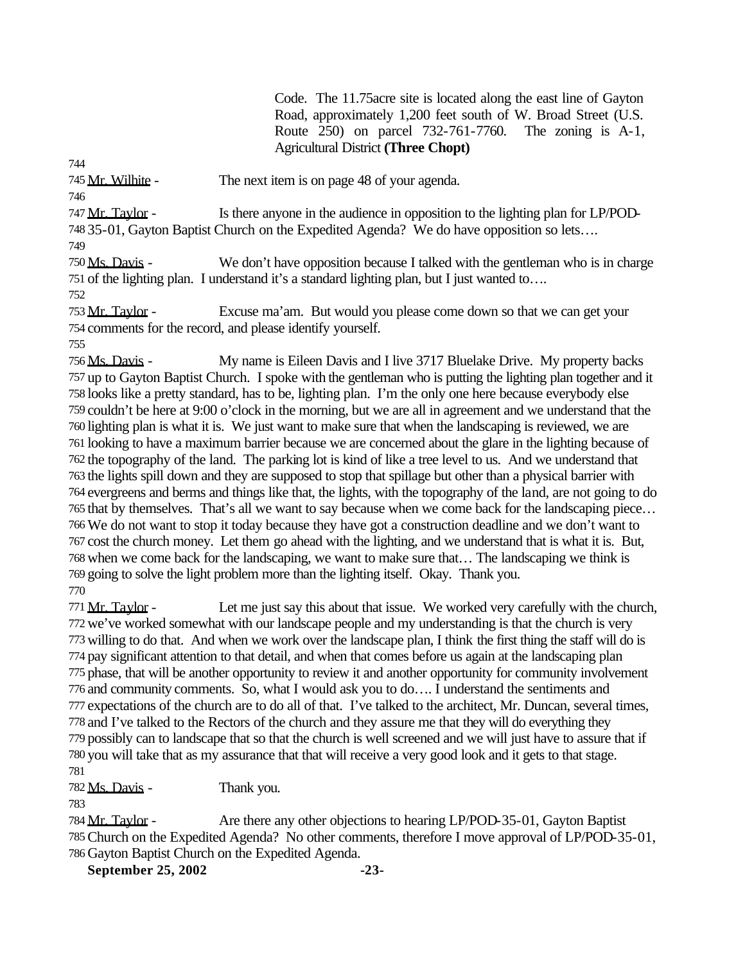Code. The 11.75acre site is located along the east line of Gayton Road, approximately 1,200 feet south of W. Broad Street (U.S. Route 250) on parcel 732-761-7760. The zoning is A-1, Agricultural District **(Three Chopt)**

745 Mr. Wilhite - The next item is on page 48 of your agenda.

 Mr. Taylor - Is there anyone in the audience in opposition to the lighting plan for LP/POD-35-01, Gayton Baptist Church on the Expedited Agenda? We do have opposition so lets….

 Ms. Davis - We don't have opposition because I talked with the gentleman who is in charge of the lighting plan. I understand it's a standard lighting plan, but I just wanted to….

 Mr. Taylor - Excuse ma'am. But would you please come down so that we can get your comments for the record, and please identify yourself.

 Ms. Davis - My name is Eileen Davis and I live 3717 Bluelake Drive. My property backs up to Gayton Baptist Church. I spoke with the gentleman who is putting the lighting plan together and it looks like a pretty standard, has to be, lighting plan. I'm the only one here because everybody else couldn't be here at 9:00 o'clock in the morning, but we are all in agreement and we understand that the lighting plan is what it is. We just want to make sure that when the landscaping is reviewed, we are looking to have a maximum barrier because we are concerned about the glare in the lighting because of the topography of the land. The parking lot is kind of like a tree level to us. And we understand that the lights spill down and they are supposed to stop that spillage but other than a physical barrier with evergreens and berms and things like that, the lights, with the topography of the land, are not going to do that by themselves. That's all we want to say because when we come back for the landscaping piece… We do not want to stop it today because they have got a construction deadline and we don't want to cost the church money. Let them go ahead with the lighting, and we understand that is what it is. But, when we come back for the landscaping, we want to make sure that… The landscaping we think is going to solve the light problem more than the lighting itself. Okay. Thank you. 

771 Mr. Taylor - Let me just say this about that issue. We worked very carefully with the church, we've worked somewhat with our landscape people and my understanding is that the church is very willing to do that. And when we work over the landscape plan, I think the first thing the staff will do is pay significant attention to that detail, and when that comes before us again at the landscaping plan phase, that will be another opportunity to review it and another opportunity for community involvement and community comments. So, what I would ask you to do…. I understand the sentiments and expectations of the church are to do all of that. I've talked to the architect, Mr. Duncan, several times, and I've talked to the Rectors of the church and they assure me that they will do everything they possibly can to landscape that so that the church is well screened and we will just have to assure that if you will take that as my assurance that that will receive a very good look and it gets to that stage. 

782 Ms. Davis - Thank you.

784 Mr. Taylor - Are there any other objections to hearing LP/POD-35-01, Gayton Baptist Church on the Expedited Agenda? No other comments, therefore I move approval of LP/POD-35-01, Gayton Baptist Church on the Expedited Agenda.

**September 25, 2002** -23-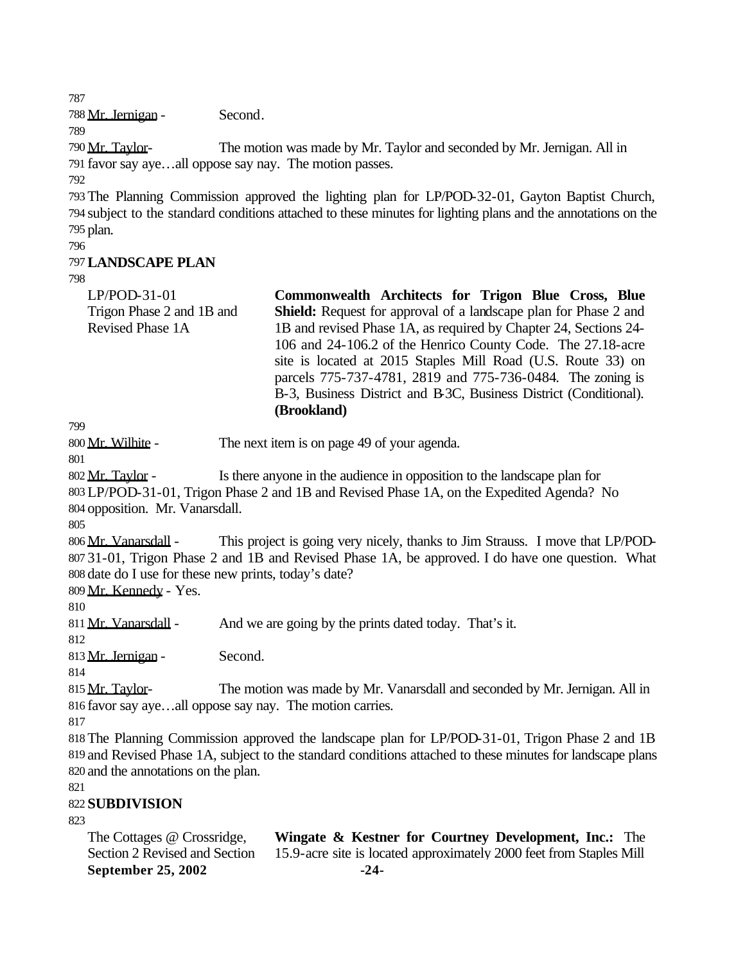Mr. Jernigan - Second.

 Mr. Taylor- The motion was made by Mr. Taylor and seconded by Mr. Jernigan. All in favor say aye…all oppose say nay. The motion passes.

 The Planning Commission approved the lighting plan for LP/POD-32-01, Gayton Baptist Church, subject to the standard conditions attached to these minutes for lighting plans and the annotations on the plan.

# **LANDSCAPE PLAN**

| $LP/POD-31-01$            | Commonwealth Architects for Trigon Blue Cross, Blue                     |
|---------------------------|-------------------------------------------------------------------------|
| Trigon Phase 2 and 1B and | <b>Shield:</b> Request for approval of a landscape plan for Phase 2 and |
| Revised Phase 1A          | 1B and revised Phase 1A, as required by Chapter 24, Sections 24-        |
|                           | 106 and 24-106.2 of the Henrico County Code. The 27.18-acre             |
|                           | site is located at 2015 Staples Mill Road (U.S. Route 33) on            |
|                           | parcels 775-737-4781, 2819 and 775-736-0484. The zoning is              |

B-3, Business District and B-3C, Business District (Conditional).

Mr. Wilhite - The next item is on page 49 of your agenda.

**(Brookland)**

 Mr. Taylor - Is there anyone in the audience in opposition to the landscape plan for LP/POD-31-01, Trigon Phase 2 and 1B and Revised Phase 1A, on the Expedited Agenda? No

opposition. Mr. Vanarsdall.

 Mr. Vanarsdall - This project is going very nicely, thanks to Jim Strauss. I move that LP/POD- 31-01, Trigon Phase 2 and 1B and Revised Phase 1A, be approved. I do have one question. What date do I use for these new prints, today's date?

Mr. Kennedy - Yes.

811 Mr. Vanarsdall - And we are going by the prints dated today. That's it.

813 Mr. Jernigan - Second.

 Mr. Taylor- The motion was made by Mr. Vanarsdall and seconded by Mr. Jernigan. All in favor say aye…all oppose say nay. The motion carries.

 The Planning Commission approved the landscape plan for LP/POD-31-01, Trigon Phase 2 and 1B and Revised Phase 1A, subject to the standard conditions attached to these minutes for landscape plans and the annotations on the plan.

**SUBDIVISION**

| The Cottages @ Crossridge, | <b>Wingate &amp; Kestner for Courtney Development, Inc.:</b> The                                  |
|----------------------------|---------------------------------------------------------------------------------------------------|
|                            | Section 2 Revised and Section 15.9-acre site is located approximately 2000 feet from Staples Mill |
| September 25, 2002         | $-24-$                                                                                            |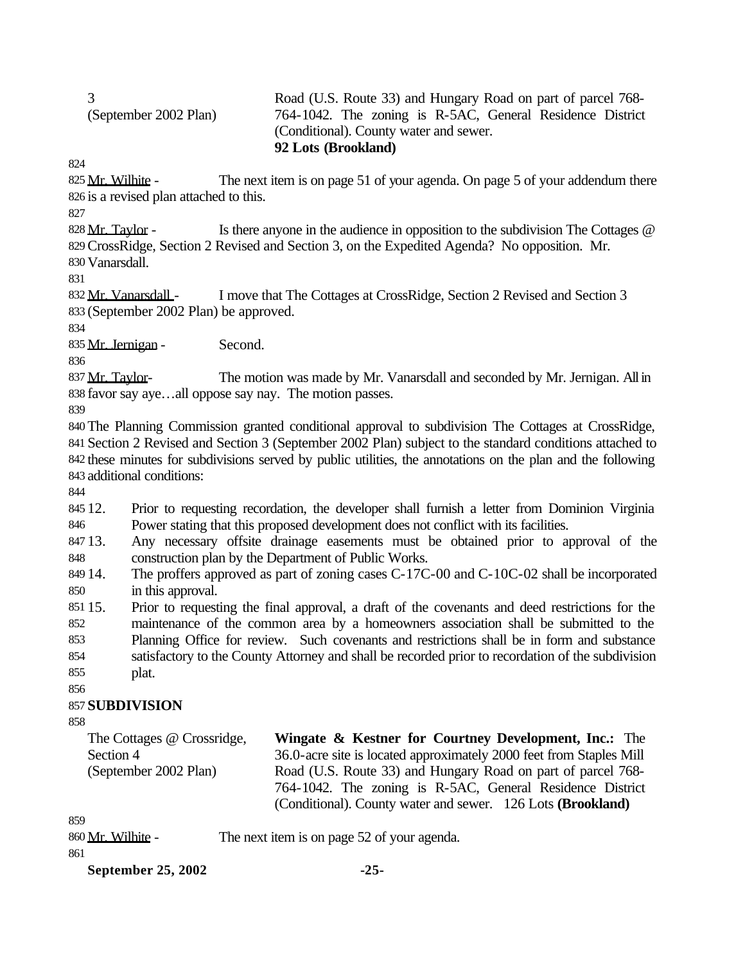| (September 2002 Plan) |  |
|-----------------------|--|
|                       |  |

#### Road (U.S. Route 33) and Hungary Road on part of parcel 768- 764-1042. The zoning is R-5AC, General Residence District (Conditional). County water and sewer. **92 Lots (Brookland)**

825 Mr. Wilhite - The next item is on page 51 of your agenda. On page 5 of your addendum there is a revised plan attached to this.

828 Mr. Taylor - Is there anyone in the audience in opposition to the subdivision The Cottages @ CrossRidge, Section 2 Revised and Section 3, on the Expedited Agenda? No opposition. Mr. Vanarsdall.

832 Mr. Vanarsdall - I move that The Cottages at CrossRidge, Section 2 Revised and Section 3 (September 2002 Plan) be approved.

835 Mr. Jernigan - Second.

837 Mr. Taylor- The motion was made by Mr. Vanarsdall and seconded by Mr. Jernigan. All in favor say aye…all oppose say nay. The motion passes.

 The Planning Commission granted conditional approval to subdivision The Cottages at CrossRidge, Section 2 Revised and Section 3 (September 2002 Plan) subject to the standard conditions attached to these minutes for subdivisions served by public utilities, the annotations on the plan and the following additional conditions:

 12. Prior to requesting recordation, the developer shall furnish a letter from Dominion Virginia Power stating that this proposed development does not conflict with its facilities.

 13. Any necessary offsite drainage easements must be obtained prior to approval of the construction plan by the Department of Public Works.

849 14. The proffers approved as part of zoning cases C-17C-00 and C-10C-02 shall be incorporated in this approval.

 15. Prior to requesting the final approval, a draft of the covenants and deed restrictions for the maintenance of the common area by a homeowners association shall be submitted to the Planning Office for review. Such covenants and restrictions shall be in form and substance satisfactory to the County Attorney and shall be recorded prior to recordation of the subdivision

plat.

# **SUBDIVISION**

The Cottages @ Crossridge, Section 4 (September 2002 Plan) **Wingate & Kestner for Courtney Development, Inc.:** The 36.0-acre site is located approximately 2000 feet from Staples Mill Road (U.S. Route 33) and Hungary Road on part of parcel 768- 764-1042. The zoning is R-5AC, General Residence District (Conditional). County water and sewer. 126 Lots **(Brookland)**

860 Mr. Wilhite - The next item is on page 52 of your agenda.

**September 25, 2002** -25-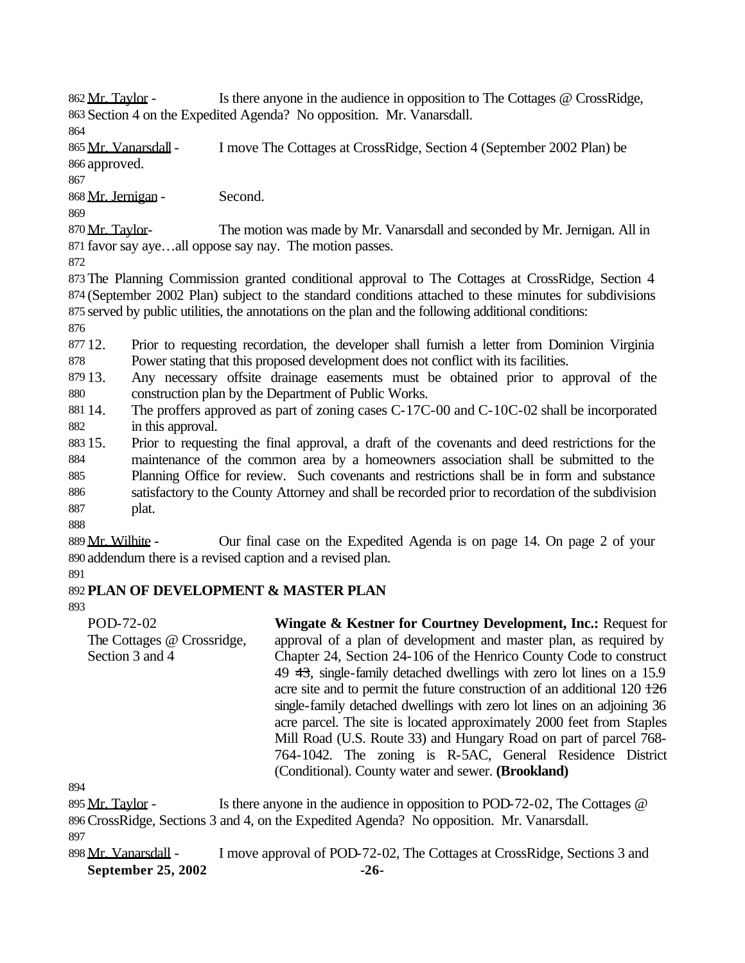862 Mr. Taylor - Is there anyone in the audience in opposition to The Cottages @ CrossRidge, Section 4 on the Expedited Agenda? No opposition. Mr. Vanarsdall.

 Mr. Vanarsdall- I move The Cottages at CrossRidge, Section 4 (September 2002 Plan) be approved.

Mr. Jernigan - Second.

870 Mr. Taylor- The motion was made by Mr. Vanarsdall and seconded by Mr. Jernigan. All in favor say aye…all oppose say nay. The motion passes.

 The Planning Commission granted conditional approval to The Cottages at CrossRidge, Section 4 (September 2002 Plan) subject to the standard conditions attached to these minutes for subdivisions served by public utilities, the annotations on the plan and the following additional conditions:

 12. Prior to requesting recordation, the developer shall furnish a letter from Dominion Virginia Power stating that this proposed development does not conflict with its facilities.

 13. Any necessary offsite drainage easements must be obtained prior to approval of the construction plan by the Department of Public Works.

 14. The proffers approved as part of zoning cases C-17C-00 and C-10C-02 shall be incorporated in this approval.

 15. Prior to requesting the final approval, a draft of the covenants and deed restrictions for the maintenance of the common area by a homeowners association shall be submitted to the Planning Office for review. Such covenants and restrictions shall be in form and substance satisfactory to the County Attorney and shall be recorded prior to recordation of the subdivision plat.

889 Mr. Wilhite - Our final case on the Expedited Agenda is on page 14. On page 2 of your addendum there is a revised caption and a revised plan.

# **PLAN OF DEVELOPMENT & MASTER PLAN**

POD-72-02 The Cottages @ Crossridge, Section 3 and 4 **Wingate & Kestner for Courtney Development, Inc.:** Request for approval of a plan of development and master plan, as required by Chapter 24, Section 24-106 of the Henrico County Code to construct 49 43, single-family detached dwellings with zero lot lines on a 15.9 acre site and to permit the future construction of an additional  $120\frac{126}{126}$ single-family detached dwellings with zero lot lines on an adjoining 36 acre parcel. The site is located approximately 2000 feet from Staples Mill Road (U.S. Route 33) and Hungary Road on part of parcel 768- 764-1042. The zoning is R-5AC, General Residence District (Conditional). County water and sewer. **(Brookland)**

 Mr. Taylor - Is there anyone in the audience in opposition to POD-72-02, The Cottages @ CrossRidge, Sections 3 and 4, on the Expedited Agenda? No opposition. Mr. Vanarsdall.

**September 25, 2002** -26-898 Mr. Vanarsdall - I move approval of POD-72-02, The Cottages at CrossRidge, Sections 3 and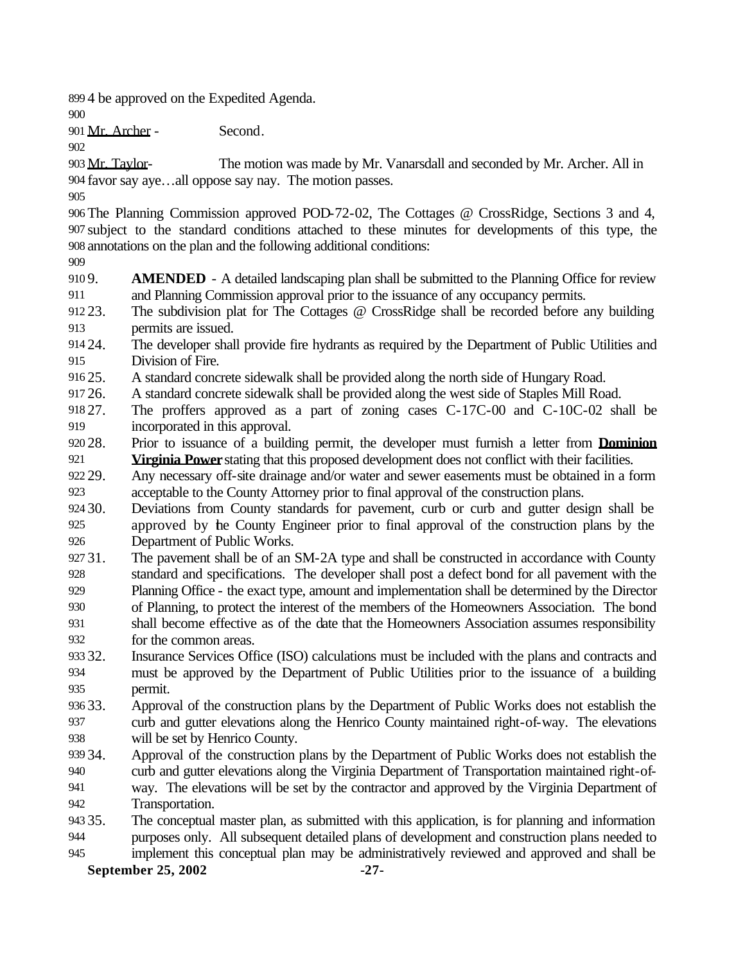4 be approved on the Expedited Agenda.

Mr. Archer - Second.

903 Mr. Taylor- The motion was made by Mr. Vanarsdall and seconded by Mr. Archer. All in favor say aye…all oppose say nay. The motion passes.

 The Planning Commission approved POD-72-02, The Cottages @ CrossRidge, Sections 3 and 4, subject to the standard conditions attached to these minutes for developments of this type, the annotations on the plan and the following additional conditions:

 9. **AMENDED** - A detailed landscaping plan shall be submitted to the Planning Office for review and Planning Commission approval prior to the issuance of any occupancy permits.

- 23. The subdivision plat for The Cottages @ CrossRidge shall be recorded before any building permits are issued.
- 24. The developer shall provide fire hydrants as required by the Department of Public Utilities and Division of Fire.
- 25. A standard concrete sidewalk shall be provided along the north side of Hungary Road.
- 26. A standard concrete sidewalk shall be provided along the west side of Staples Mill Road.
- 27. The proffers approved as a part of zoning cases C-17C-00 and C-10C-02 shall be incorporated in this approval.
- 28. Prior to issuance of a building permit, the developer must furnish a letter from **Dominion Virginia Power** stating that this proposed development does not conflict with their facilities.

 29. Any necessary off-site drainage and/or water and sewer easements must be obtained in a form acceptable to the County Attorney prior to final approval of the construction plans.

 30. Deviations from County standards for pavement, curb or curb and gutter design shall be approved by the County Engineer prior to final approval of the construction plans by the Department of Public Works.

 31. The pavement shall be of an SM-2A type and shall be constructed in accordance with County standard and specifications. The developer shall post a defect bond for all pavement with the Planning Office - the exact type, amount and implementation shall be determined by the Director of Planning, to protect the interest of the members of the Homeowners Association. The bond shall become effective as of the date that the Homeowners Association assumes responsibility

for the common areas.

- 32. Insurance Services Office (ISO) calculations must be included with the plans and contracts and must be approved by the Department of Public Utilities prior to the issuance of a building permit.
- 33. Approval of the construction plans by the Department of Public Works does not establish the curb and gutter elevations along the Henrico County maintained right-of-way. The elevations will be set by Henrico County.
- 34. Approval of the construction plans by the Department of Public Works does not establish the curb and gutter elevations along the Virginia Department of Transportation maintained right-of- way. The elevations will be set by the contractor and approved by the Virginia Department of Transportation.
- 35. The conceptual master plan, as submitted with this application, is for planning and information purposes only. All subsequent detailed plans of development and construction plans needed to
- implement this conceptual plan may be administratively reviewed and approved and shall be

**September 25, 2002** -27-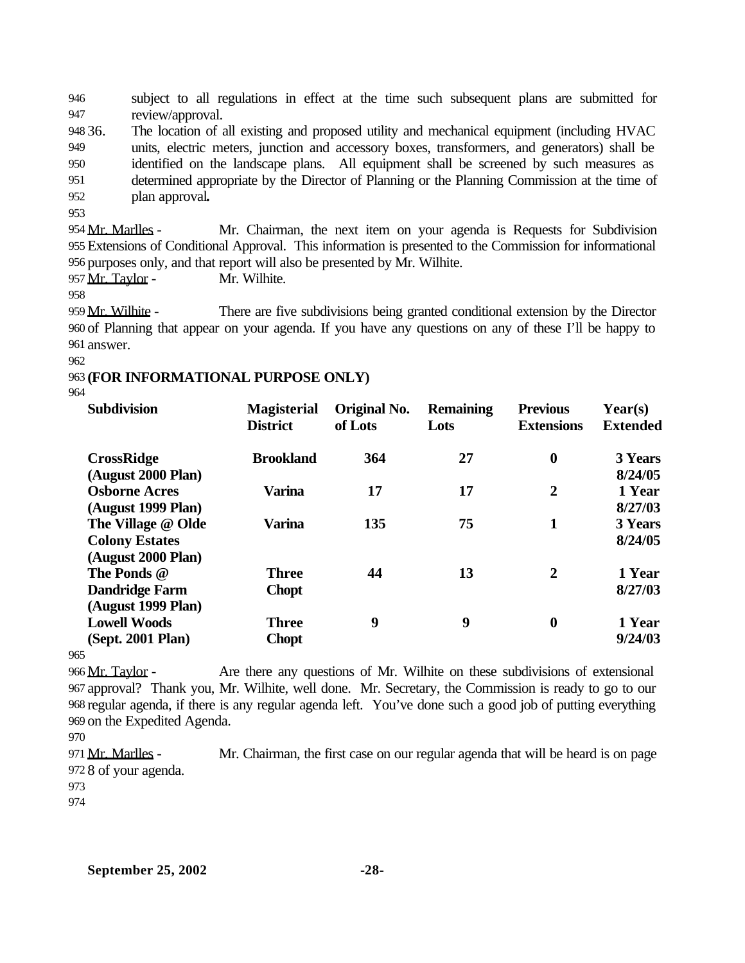946 subject to all regulations in effect at the time such subsequent plans are submitted for 947 review/approval.

 36. The location of all existing and proposed utility and mechanical equipment (including HVAC units, electric meters, junction and accessory boxes, transformers, and generators) shall be identified on the landscape plans. All equipment shall be screened by such measures as determined appropriate by the Director of Planning or the Planning Commission at the time of plan approval**.**

953

954 Mr. Marlles - Mr. Chairman, the next item on your agenda is Requests for Subdivision 955 Extensions of Conditional Approval. This information is presented to the Commission for informational 956 purposes only, and that report will also be presented by Mr. Wilhite.

957 Mr. Taylor - Mr. Wilhite.

958

959 Mr. Wilhite - There are five subdivisions being granted conditional extension by the Director 960 of Planning that appear on your agenda. If you have any questions on any of these I'll be happy to 961 answer.

962

#### 963 **(FOR INFORMATIONAL PURPOSE ONLY)**

964

| <b>Subdivision</b>                          | <b>Magisterial</b><br><b>District</b> | <b>Original No.</b><br>of Lots | <b>Remaining</b><br>Lots | <b>Previous</b><br><b>Extensions</b> | $\text{Year}(s)$<br><b>Extended</b> |
|---------------------------------------------|---------------------------------------|--------------------------------|--------------------------|--------------------------------------|-------------------------------------|
| <b>CrossRidge</b><br>(August 2000 Plan)     | <b>Brookland</b>                      | 364                            | 27                       | $\boldsymbol{0}$                     | 3 Years<br>8/24/05                  |
| <b>Osborne Acres</b><br>(August 1999 Plan)  | <b>Varina</b>                         | 17                             | 17                       | $\overline{2}$                       | 1 Year<br>8/27/03                   |
| The Village @ Olde<br><b>Colony Estates</b> | <b>Varina</b>                         | 135                            | 75                       | 1                                    | 3 Years<br>8/24/05                  |
| (August 2000 Plan)<br>The Ponds @           | <b>Three</b>                          | 44                             | 13                       | $\overline{2}$                       | 1 Year                              |
| <b>Dandridge Farm</b><br>(August 1999 Plan) | <b>Chopt</b>                          |                                |                          |                                      | 8/27/03                             |
| <b>Lowell Woods</b><br>(Sept. 2001 Plan)    | <b>Three</b><br><b>Chopt</b>          | 9                              | 9                        | $\boldsymbol{0}$                     | 1 Year<br>9/24/03                   |

965

966 Mr. Taylor - Are there any questions of Mr. Wilhite on these subdivisions of extensional approval? Thank you, Mr. Wilhite, well done. Mr. Secretary, the Commission is ready to go to our regular agenda, if there is any regular agenda left. You've done such a good job of putting everything on the Expedited Agenda.

971 Mr. Marlles - Mr. Chairman, the first case on our regular agenda that will be heard is on page 972 8 of your agenda.

<sup>970</sup>

<sup>973</sup>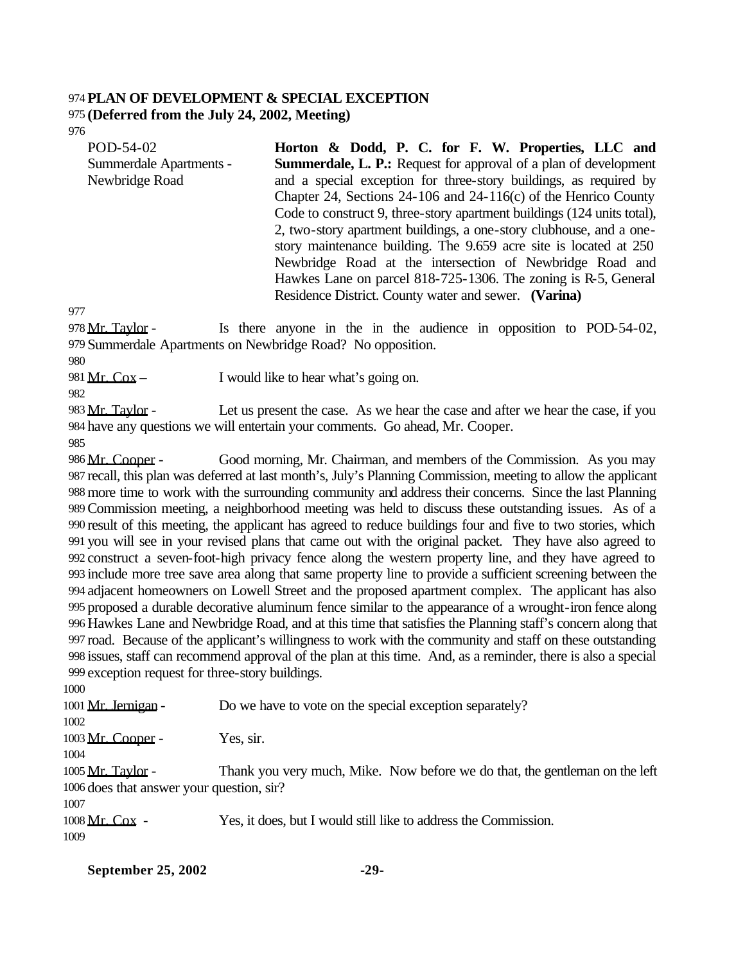#### **PLAN OF DEVELOPMENT & SPECIAL EXCEPTION (Deferred from the July 24, 2002, Meeting)**

| POD-54-02               | Horton & Dodd, P. C. for F. W. Properties, LLC and                      |
|-------------------------|-------------------------------------------------------------------------|
| Summerdale Apartments - | <b>Summerdale, L. P.:</b> Request for approval of a plan of development |
| Newbridge Road          | and a special exception for three-story buildings, as required by       |
|                         | Chapter 24, Sections 24-106 and 24-116(c) of the Henrico County         |
|                         | Code to construct 9, three-story apartment buildings (124 units total), |
|                         | 2, two-story apartment buildings, a one-story clubhouse, and a one-     |
|                         | story maintenance building. The 9.659 acre site is located at 250       |
|                         | Newbridge Road at the intersection of Newbridge Road and                |
|                         | Hawkes Lane on parcel 818-725-1306. The zoning is R-5, General          |
|                         | Residence District. County water and sewer. (Varina)                    |

 Mr. Taylor - Is there anyone in the in the audience in opposition to POD-54-02, Summerdale Apartments on Newbridge Road? No opposition.

981  $Mr. Cox - I$  would like to hear what's going on.

983 Mr. Taylor - Let us present the case. As we hear the case and after we hear the case, if you have any questions we will entertain your comments. Go ahead, Mr. Cooper.

986 Mr. Cooper - Good morning, Mr. Chairman, and members of the Commission. As you may recall, this plan was deferred at last month's, July's Planning Commission, meeting to allow the applicant more time to work with the surrounding community and address their concerns. Since the last Planning Commission meeting, a neighborhood meeting was held to discuss these outstanding issues. As of a result of this meeting, the applicant has agreed to reduce buildings four and five to two stories, which you will see in your revised plans that came out with the original packet. They have also agreed to construct a seven-foot-high privacy fence along the western property line, and they have agreed to include more tree save area along that same property line to provide a sufficient screening between the adjacent homeowners on Lowell Street and the proposed apartment complex. The applicant has also proposed a durable decorative aluminum fence similar to the appearance of a wrought-iron fence along Hawkes Lane and Newbridge Road, and at this time that satisfies the Planning staff's concern along that road. Because of the applicant's willingness to work with the community and staff on these outstanding issues, staff can recommend approval of the plan at this time. And, as a reminder, there is also a special exception request for three-story buildings.

1001 Mr. Jernigan - Do we have to vote on the special exception separately? 1003 Mr. Cooper - Yes, sir. Mr. Taylor - Thank you very much, Mike. Now before we do that, the gentleman on the left does that answer your question, sir? Mr. Cox - Yes, it does, but I would still like to address the Commission.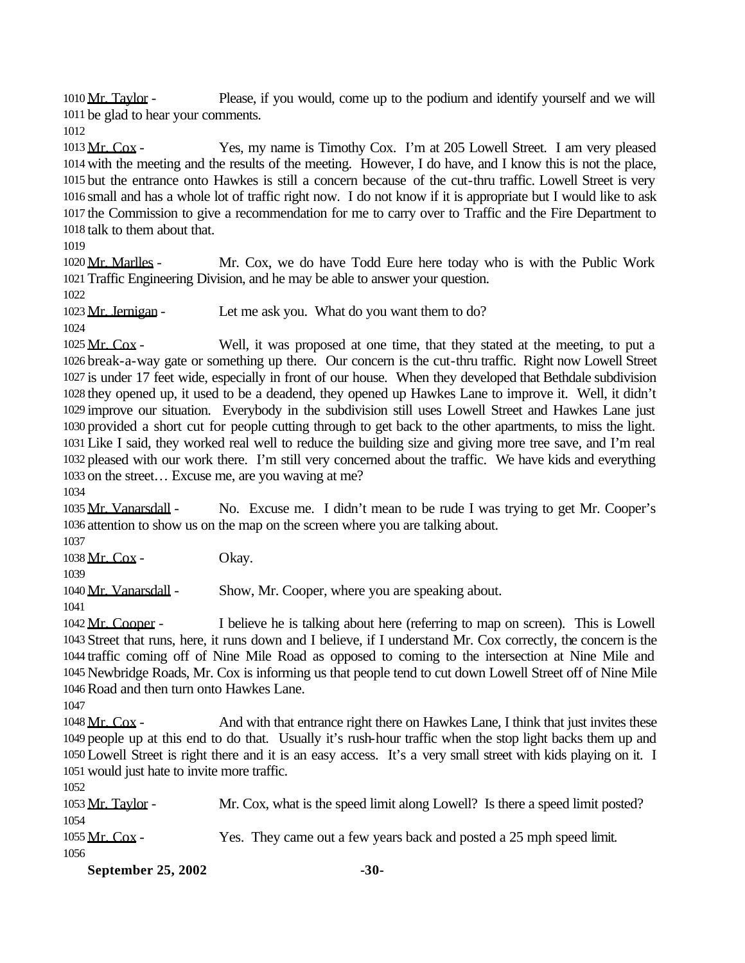1010 Mr. Taylor - Please, if you would, come up to the podium and identify yourself and we will be glad to hear your comments.

 Mr. Cox - Yes, my name is Timothy Cox. I'm at 205 Lowell Street. I am very pleased with the meeting and the results of the meeting. However, I do have, and I know this is not the place, but the entrance onto Hawkes is still a concern because of the cut-thru traffic. Lowell Street is very small and has a whole lot of traffic right now. I do not know if it is appropriate but I would like to ask the Commission to give a recommendation for me to carry over to Traffic and the Fire Department to talk to them about that.

 Mr. Marlles - Mr. Cox, we do have Todd Eure here today who is with the Public Work Traffic Engineering Division, and he may be able to answer your question.

1023 Mr. Jernigan - Let me ask you. What do you want them to do?

1025 Mr. Cox - Well, it was proposed at one time, that they stated at the meeting, to put a break-a-way gate or something up there. Our concern is the cut-thru traffic. Right now Lowell Street is under 17 feet wide, especially in front of our house. When they developed that Bethdale subdivision they opened up, it used to be a deadend, they opened up Hawkes Lane to improve it. Well, it didn't improve our situation. Everybody in the subdivision still uses Lowell Street and Hawkes Lane just provided a short cut for people cutting through to get back to the other apartments, to miss the light. Like I said, they worked real well to reduce the building size and giving more tree save, and I'm real pleased with our work there. I'm still very concerned about the traffic. We have kids and everything on the street… Excuse me, are you waving at me?

 Mr. Vanarsdall - No. Excuse me. I didn't mean to be rude I was trying to get Mr. Cooper's attention to show us on the map on the screen where you are talking about.

 1038 Mr. Cox - Okay.

1040 Mr. Vanarsdall - Show, Mr. Cooper, where you are speaking about.

1042 Mr. Cooper - I believe he is talking about here (referring to map on screen). This is Lowell Street that runs, here, it runs down and I believe, if I understand Mr. Cox correctly, the concern is the traffic coming off of Nine Mile Road as opposed to coming to the intersection at Nine Mile and Newbridge Roads, Mr. Cox is informing us that people tend to cut down Lowell Street off of Nine Mile Road and then turn onto Hawkes Lane.

1048 Mr. Cox - And with that entrance right there on Hawkes Lane, I think that just invites these people up at this end to do that. Usually it's rush-hour traffic when the stop light backs them up and Lowell Street is right there and it is an easy access. It's a very small street with kids playing on it. I would just hate to invite more traffic.

 Mr. Taylor - Mr. Cox, what is the speed limit along Lowell? Is there a speed limit posted? Mr. Cox - Yes. They came out a few years back and posted a 25 mph speed limit. 

**September 25, 2002** -30-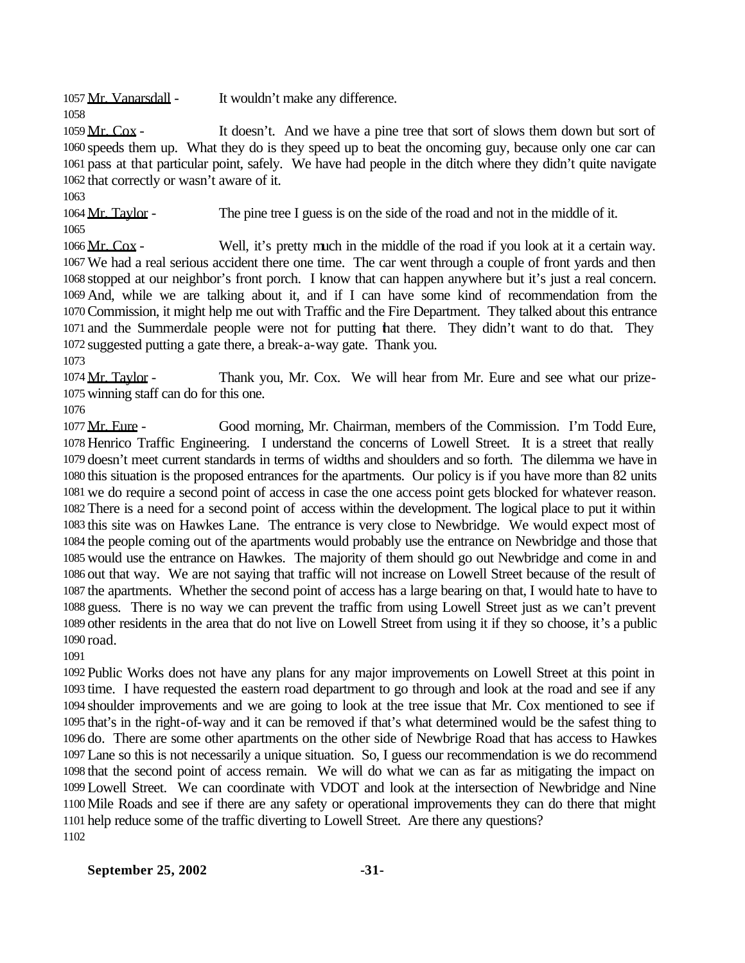1057 Mr. Vanarsdall - It wouldn't make any difference.

1059 Mr. Cox - It doesn't. And we have a pine tree that sort of slows them down but sort of speeds them up. What they do is they speed up to beat the oncoming guy, because only one car can pass at that particular point, safely. We have had people in the ditch where they didn't quite navigate that correctly or wasn't aware of it.

1064 Mr. Taylor - The pine tree I guess is on the side of the road and not in the middle of it. 

 Mr. Cox - Well, it's pretty much in the middle of the road if you look at it a certain way. We had a real serious accident there one time. The car went through a couple of front yards and then stopped at our neighbor's front porch. I know that can happen anywhere but it's just a real concern. And, while we are talking about it, and if I can have some kind of recommendation from the Commission, it might help me out with Traffic and the Fire Department. They talked about this entrance and the Summerdale people were not for putting that there. They didn't want to do that. They suggested putting a gate there, a break-a-way gate. Thank you.

1074 Mr. Taylor - Thank you, Mr. Cox. We will hear from Mr. Eure and see what our prize-winning staff can do for this one.

 Mr. Eure - Good morning, Mr. Chairman, members of the Commission. I'm Todd Eure, Henrico Traffic Engineering. I understand the concerns of Lowell Street. It is a street that really doesn't meet current standards in terms of widths and shoulders and so forth. The dilemma we have in this situation is the proposed entrances for the apartments. Our policy is if you have more than 82 units we do require a second point of access in case the one access point gets blocked for whatever reason. There is a need for a second point of access within the development. The logical place to put it within this site was on Hawkes Lane. The entrance is very close to Newbridge. We would expect most of the people coming out of the apartments would probably use the entrance on Newbridge and those that would use the entrance on Hawkes. The majority of them should go out Newbridge and come in and out that way. We are not saying that traffic will not increase on Lowell Street because of the result of the apartments. Whether the second point of access has a large bearing on that, I would hate to have to guess. There is no way we can prevent the traffic from using Lowell Street just as we can't prevent other residents in the area that do not live on Lowell Street from using it if they so choose, it's a public road.

 Public Works does not have any plans for any major improvements on Lowell Street at this point in time. I have requested the eastern road department to go through and look at the road and see if any shoulder improvements and we are going to look at the tree issue that Mr. Cox mentioned to see if that's in the right-of-way and it can be removed if that's what determined would be the safest thing to do. There are some other apartments on the other side of Newbrige Road that has access to Hawkes Lane so this is not necessarily a unique situation. So, I guess our recommendation is we do recommend that the second point of access remain. We will do what we can as far as mitigating the impact on Lowell Street. We can coordinate with VDOT and look at the intersection of Newbridge and Nine Mile Roads and see if there are any safety or operational improvements they can do there that might help reduce some of the traffic diverting to Lowell Street. Are there any questions? 

#### **September 25, 2002** -31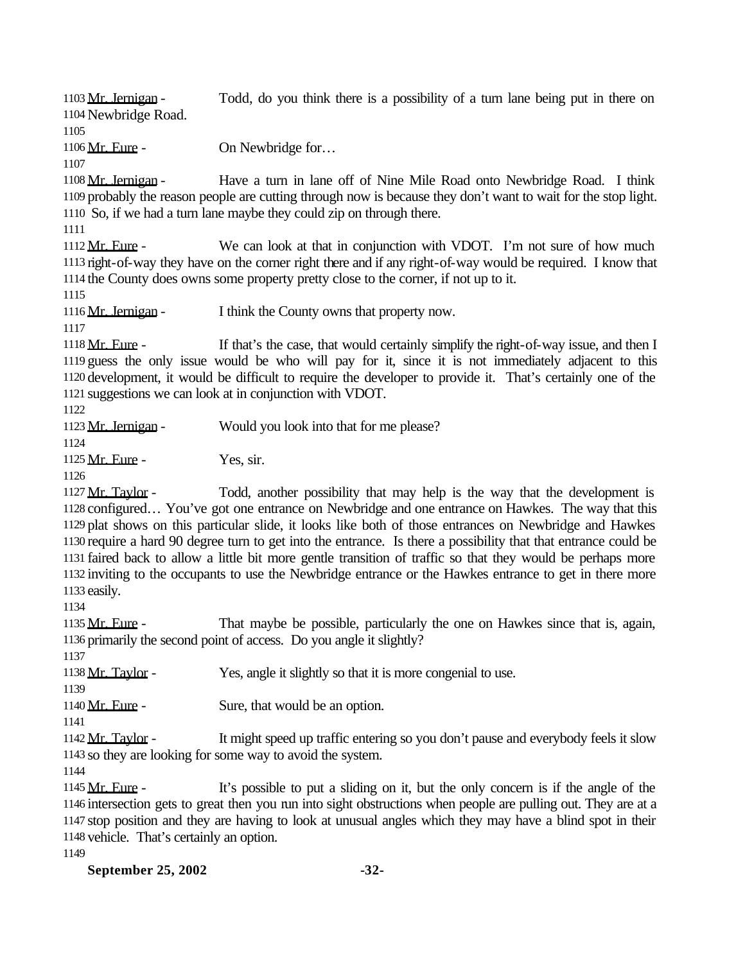1103 Mr. Jernigan - Todd, do you think there is a possibility of a turn lane being put in there on Newbridge Road. 1106 Mr. Eure - On Newbridge for... 1108 Mr. Jernigan - Have a turn in lane off of Nine Mile Road onto Newbridge Road. I think probably the reason people are cutting through now is because they don't want to wait for the stop light. So, if we had a turn lane maybe they could zip on through there. 1112 Mr. Eure - We can look at that in conjunction with VDOT. I'm not sure of how much right-of-way they have on the corner right there and if any right-of-way would be required. I know that the County does owns some property pretty close to the corner, if not up to it. 1116 Mr. Jernigan - I think the County owns that property now. 1118 Mr. Eure - If that's the case, that would certainly simplify the right-of-way issue, and then I guess the only issue would be who will pay for it, since it is not immediately adjacent to this development, it would be difficult to require the developer to provide it. That's certainly one of the suggestions we can look at in conjunction with VDOT. 1123 Mr. Jernigan - Would you look into that for me please? 1125 Mr. Eure - Yes, sir. 1127 Mr. Taylor - Todd, another possibility that may help is the way that the development is configured… You've got one entrance on Newbridge and one entrance on Hawkes. The way that this plat shows on this particular slide, it looks like both of those entrances on Newbridge and Hawkes require a hard 90 degree turn to get into the entrance. Is there a possibility that that entrance could be faired back to allow a little bit more gentle transition of traffic so that they would be perhaps more inviting to the occupants to use the Newbridge entrance or the Hawkes entrance to get in there more easily. 1135 Mr. Eure - That maybe be possible, particularly the one on Hawkes since that is, again, primarily the second point of access. Do you angle it slightly? 1138 Mr. Taylor - Yes, angle it slightly so that it is more congenial to use. 1140 Mr. Eure - Sure, that would be an option. Mr. Taylor - It might speed up traffic entering so you don't pause and everybody feels it slow so they are looking for some way to avoid the system. Mr. Eure - It's possible to put a sliding on it, but the only concern is if the angle of the intersection gets to great then you run into sight obstructions when people are pulling out. They are at a stop position and they are having to look at unusual angles which they may have a blind spot in their vehicle. That's certainly an option.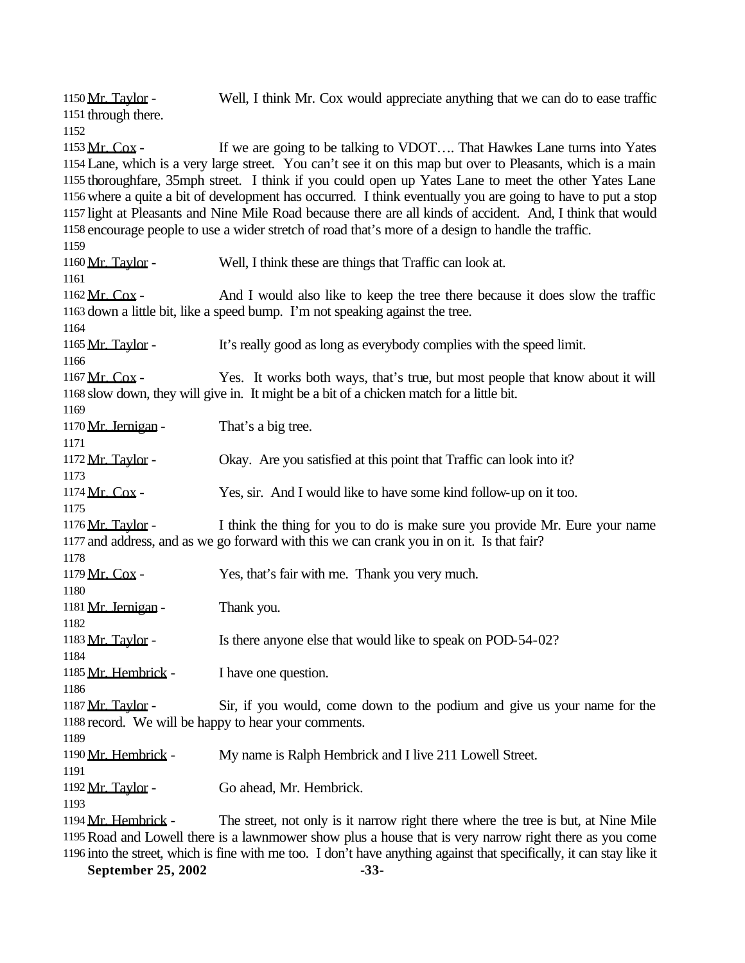1150 Mr. Taylor - Well, I think Mr. Cox would appreciate anything that we can do to ease traffic through there. 1153 Mr. Cox - If we are going to be talking to VDOT.... That Hawkes Lane turns into Yates Lane, which is a very large street. You can't see it on this map but over to Pleasants, which is a main thoroughfare, 35mph street. I think if you could open up Yates Lane to meet the other Yates Lane where a quite a bit of development has occurred. I think eventually you are going to have to put a stop light at Pleasants and Nine Mile Road because there are all kinds of accident. And, I think that would encourage people to use a wider stretch of road that's more of a design to handle the traffic. 1160 Mr. Taylor - Well, I think these are things that Traffic can look at. 1162 Mr. Cox - And I would also like to keep the tree there because it does slow the traffic down a little bit, like a speed bump. I'm not speaking against the tree. 1165 Mr. Taylor - It's really good as long as everybody complies with the speed limit. 1167 Mr. Cox - Yes. It works both ways, that's true, but most people that know about it will slow down, they will give in. It might be a bit of a chicken match for a little bit. 1170 Mr. Jernigan - That's a big tree. 1172 Mr. Taylor - Okay. Are you satisfied at this point that Traffic can look into it? 1174 Mr. Cox - Yes, sir. And I would like to have some kind follow-up on it too. 1176  $Mr. Taylor - I think the thing for you to do is make sure you provide Mr. Eure your name$  and address, and as we go forward with this we can crank you in on it. Is that fair? 1179 Mr. Cox - Yes, that's fair with me. Thank you very much. 1181 Mr. Jernigan - Thank you. 1183 Mr. Taylor - Is there anyone else that would like to speak on POD-54-02? 1185 Mr. Hembrick - I have one question. 1187 Mr. Taylor - Sir, if you would, come down to the podium and give us your name for the record. We will be happy to hear your comments. 1190 Mr. Hembrick - My name is Ralph Hembrick and I live 211 Lowell Street. Mr. Taylor - Go ahead, Mr. Hembrick. 1194 Mr. Hembrick - The street, not only is it narrow right there where the tree is but, at Nine Mile Road and Lowell there is a lawnmower show plus a house that is very narrow right there as you come

into the street, which is fine with me too. I don't have anything against that specifically, it can stay like it

September 25, 2002 -33-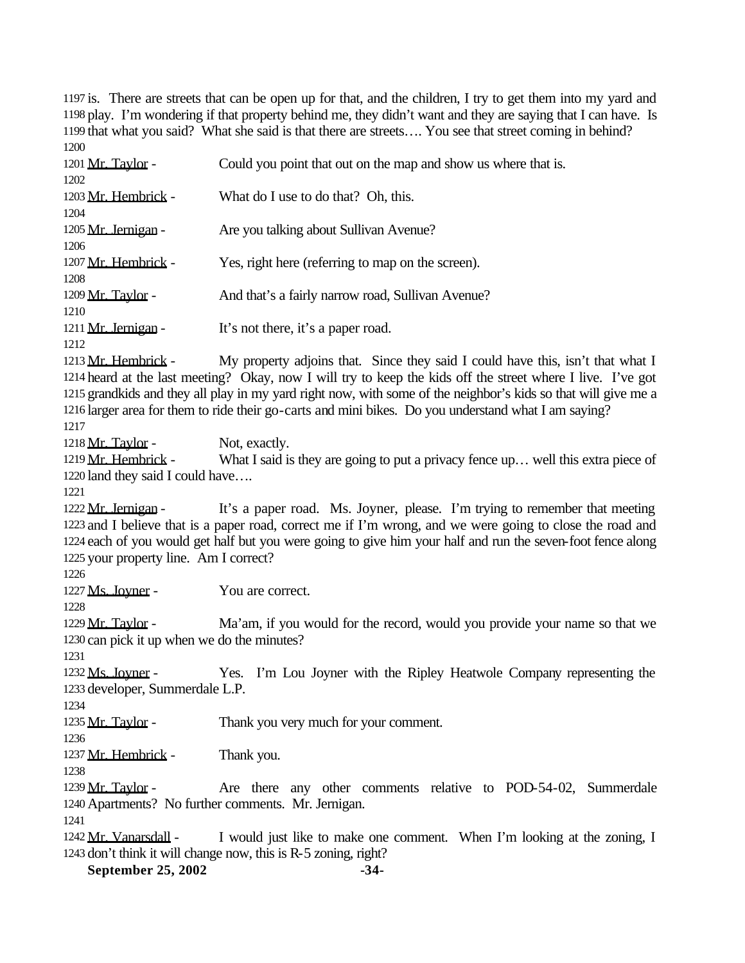is. There are streets that can be open up for that, and the children, I try to get them into my yard and play. I'm wondering if that property behind me, they didn't want and they are saying that I can have. Is that what you said? What she said is that there are streets…. You see that street coming in behind? 

| 1201 Mr. Taylor -                                                                    | Could you point that out on the map and show us where that is.                                                                                                                                                                                                                                                                                                                                                          |
|--------------------------------------------------------------------------------------|-------------------------------------------------------------------------------------------------------------------------------------------------------------------------------------------------------------------------------------------------------------------------------------------------------------------------------------------------------------------------------------------------------------------------|
| 1202<br>1203 Mr. Hembrick -                                                          | What do I use to do that? Oh, this.                                                                                                                                                                                                                                                                                                                                                                                     |
| 1204                                                                                 |                                                                                                                                                                                                                                                                                                                                                                                                                         |
| 1205 Mr. Jernigan -<br>1206                                                          | Are you talking about Sullivan Avenue?                                                                                                                                                                                                                                                                                                                                                                                  |
| 1207 Mr. Hembrick -<br>1208                                                          | Yes, right here (referring to map on the screen).                                                                                                                                                                                                                                                                                                                                                                       |
| 1209 Mr. Taylor -<br>1210                                                            | And that's a fairly narrow road, Sullivan Avenue?                                                                                                                                                                                                                                                                                                                                                                       |
| 1211 Mr. Jernigan -<br>1212                                                          | It's not there, it's a paper road.                                                                                                                                                                                                                                                                                                                                                                                      |
| 1213 Mr. Hembrick -<br>1217                                                          | My property adjoins that. Since they said I could have this, isn't that what I<br>1214 heard at the last meeting? Okay, now I will try to keep the kids off the street where I live. I've got<br>1215 grandkids and they all play in my yard right now, with some of the neighbor's kids so that will give me a<br>1216 larger area for them to ride their go-carts and mini bikes. Do you understand what I am saying? |
| 1218 Mr. Taylor -<br>1219 Mr. Hembrick -<br>1220 land they said I could have<br>1221 | Not, exactly.<br>What I said is they are going to put a privacy fence up well this extra piece of                                                                                                                                                                                                                                                                                                                       |
| 1222 Mr. Jernigan -<br>1225 your property line. Am I correct?<br>1226                | It's a paper road. Ms. Joyner, please. I'm trying to remember that meeting<br>1223 and I believe that is a paper road, correct me if I'm wrong, and we were going to close the road and<br>1224 each of you would get half but you were going to give him your half and run the seven-foot fence along                                                                                                                  |
| 1227 Ms. Joyner -<br>1228                                                            | You are correct.                                                                                                                                                                                                                                                                                                                                                                                                        |
| 1229 Mr. Taylor -<br>1230 can pick it up when we do the minutes?                     | Ma'am, if you would for the record, would you provide your name so that we                                                                                                                                                                                                                                                                                                                                              |
| 1231<br>1232 Ms. Joyner -<br>1233 developer, Summerdale L.P.<br>1234                 | Yes. I'm Lou Joyner with the Ripley Heatwole Company representing the                                                                                                                                                                                                                                                                                                                                                   |
| 1235 Mr. Taylor -<br>1236                                                            | Thank you very much for your comment.                                                                                                                                                                                                                                                                                                                                                                                   |
| 1237 Mr. Hembrick -<br>1238                                                          | Thank you.                                                                                                                                                                                                                                                                                                                                                                                                              |
| 1239 Mr. Taylor -<br>1241                                                            | Are there any other comments relative to POD-54-02, Summerdale<br>1240 Apartments? No further comments. Mr. Jernigan.                                                                                                                                                                                                                                                                                                   |
| 1242 Mr. Vanarsdall -                                                                | I would just like to make one comment. When I'm looking at the zoning, I<br>1243 don't think it will change now, this is R-5 zoning, right?                                                                                                                                                                                                                                                                             |

Coon Utility it will change now, this is **K-5** zoning, right.<br>**September 25, 2002** -34-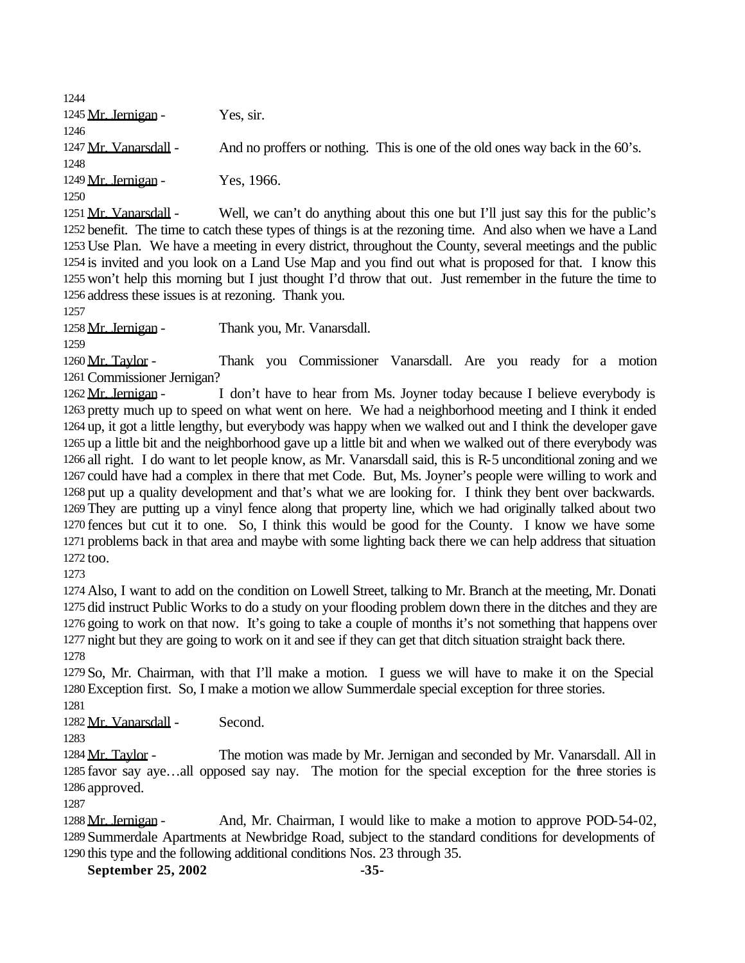Mr. Jernigan - Yes, sir. 1247 Mr. Vanarsdall - And no proffers or nothing. This is one of the old ones way back in the 60's. 1249 Mr. Jernigan - Yes, 1966. 

1251 Mr. Vanarsdall - Well, we can't do anything about this one but I'll just say this for the public's benefit. The time to catch these types of things is at the rezoning time. And also when we have a Land Use Plan. We have a meeting in every district, throughout the County, several meetings and the public is invited and you look on a Land Use Map and you find out what is proposed for that. I know this won't help this morning but I just thought I'd throw that out. Just remember in the future the time to address these issues is at rezoning. Thank you.

1258 Mr. Jernigan - Thank you, Mr. Vanarsdall.

1260 Mr. Taylor - Thank you Commissioner Vanarsdall. Are you ready for a motion Commissioner Jernigan?

1262 Mr. Jernigan - I don't have to hear from Ms. Joyner today because I believe everybody is pretty much up to speed on what went on here. We had a neighborhood meeting and I think it ended up, it got a little lengthy, but everybody was happy when we walked out and I think the developer gave up a little bit and the neighborhood gave up a little bit and when we walked out of there everybody was all right. I do want to let people know, as Mr. Vanarsdall said, this is R-5 unconditional zoning and we could have had a complex in there that met Code. But, Ms. Joyner's people were willing to work and put up a quality development and that's what we are looking for. I think they bent over backwards. They are putting up a vinyl fence along that property line, which we had originally talked about two fences but cut it to one. So, I think this would be good for the County. I know we have some problems back in that area and maybe with some lighting back there we can help address that situation too.

 Also, I want to add on the condition on Lowell Street, talking to Mr. Branch at the meeting, Mr. Donati did instruct Public Works to do a study on your flooding problem down there in the ditches and they are going to work on that now. It's going to take a couple of months it's not something that happens over night but they are going to work on it and see if they can get that ditch situation straight back there. 

 So, Mr. Chairman, with that I'll make a motion. I guess we will have to make it on the Special Exception first. So, I make a motion we allow Summerdale special exception for three stories.

Mr. Vanarsdall - Second.

1284 Mr. Taylor - The motion was made by Mr. Jernigan and seconded by Mr. Vanarsdall. All in favor say aye…all opposed say nay. The motion for the special exception for the three stories is approved.

1288 Mr. Jernigan - And, Mr. Chairman, I would like to make a motion to approve POD-54-02, Summerdale Apartments at Newbridge Road, subject to the standard conditions for developments of this type and the following additional conditions Nos. 23 through 35.

September 25, 2002 -35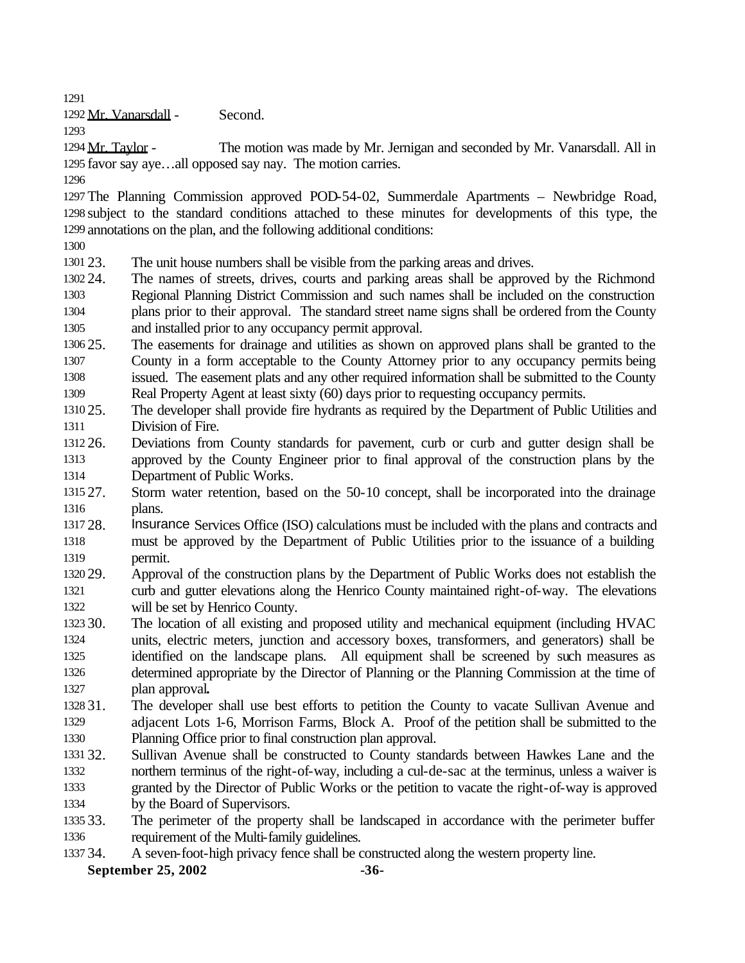Mr. Vanarsdall - Second.

1294 Mr. Taylor - The motion was made by Mr. Jernigan and seconded by Mr. Vanarsdall. All in favor say aye…all opposed say nay. The motion carries.

 The Planning Commission approved POD-54-02, Summerdale Apartments – Newbridge Road, subject to the standard conditions attached to these minutes for developments of this type, the annotations on the plan, and the following additional conditions:

23. The unit house numbers shall be visible from the parking areas and drives.

- 24. The names of streets, drives, courts and parking areas shall be approved by the Richmond Regional Planning District Commission and such names shall be included on the construction plans prior to their approval. The standard street name signs shall be ordered from the County and installed prior to any occupancy permit approval.
- 25. The easements for drainage and utilities as shown on approved plans shall be granted to the County in a form acceptable to the County Attorney prior to any occupancy permits being issued. The easement plats and any other required information shall be submitted to the County Real Property Agent at least sixty (60) days prior to requesting occupancy permits.

 25. The developer shall provide fire hydrants as required by the Department of Public Utilities and Division of Fire.

- 26. Deviations from County standards for pavement, curb or curb and gutter design shall be approved by the County Engineer prior to final approval of the construction plans by the Department of Public Works.
- 27. Storm water retention, based on the 50-10 concept, shall be incorporated into the drainage plans.
- 28. Insurance Services Office (ISO) calculations must be included with the plans and contracts and must be approved by the Department of Public Utilities prior to the issuance of a building permit.
- 29. Approval of the construction plans by the Department of Public Works does not establish the curb and gutter elevations along the Henrico County maintained right-of-way. The elevations will be set by Henrico County.
- 30. The location of all existing and proposed utility and mechanical equipment (including HVAC units, electric meters, junction and accessory boxes, transformers, and generators) shall be identified on the landscape plans. All equipment shall be screened by such measures as determined appropriate by the Director of Planning or the Planning Commission at the time of plan approval**.**
- 31. The developer shall use best efforts to petition the County to vacate Sullivan Avenue and adjacent Lots 1-6, Morrison Farms, Block A. Proof of the petition shall be submitted to the Planning Office prior to final construction plan approval.
- 32. Sullivan Avenue shall be constructed to County standards between Hawkes Lane and the northern terminus of the right-of-way, including a cul-de-sac at the terminus, unless a waiver is granted by the Director of Public Works or the petition to vacate the right-of-way is approved by the Board of Supervisors.
- 33. The perimeter of the property shall be landscaped in accordance with the perimeter buffer requirement of the Multi-family guidelines.
- 34. A seven-foot-high privacy fence shall be constructed along the western property line.

**September 25, 2002** -36-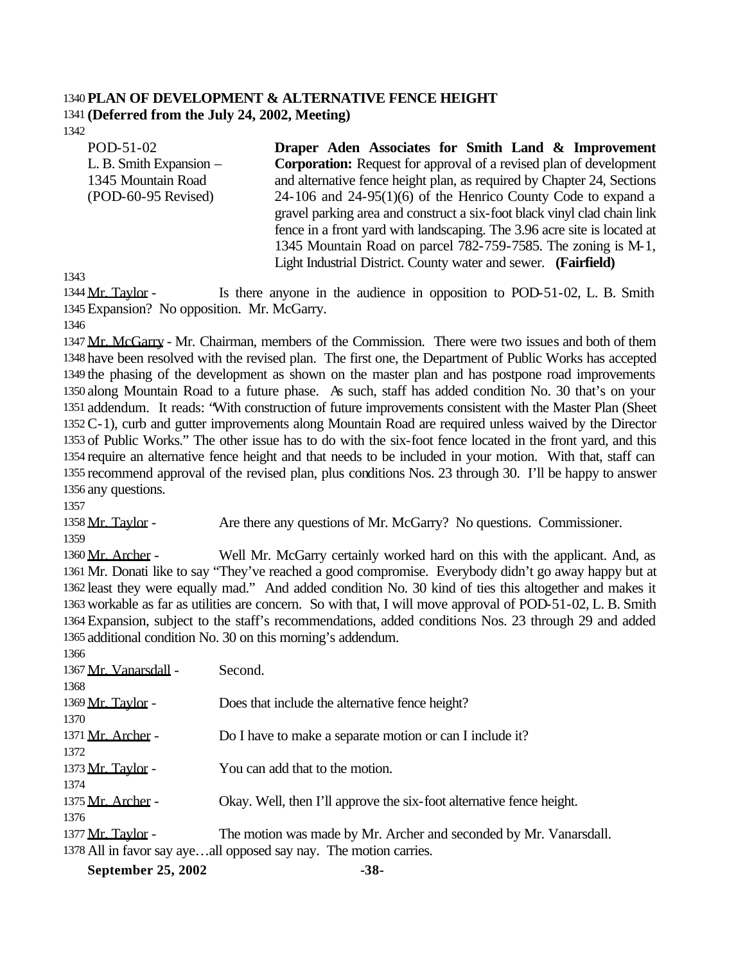## **PLAN OF DEVELOPMENT & ALTERNATIVE FENCE HEIGHT (Deferred from the July 24, 2002, Meeting)**

POD-51-02 L. B. Smith Expansion – 1345 Mountain Road (POD-60-95 Revised) **Draper Aden Associates for Smith Land & Improvement Corporation:** Request for approval of a revised plan of development and alternative fence height plan, as required by Chapter 24, Sections  $24-106$  and  $24-95(1)(6)$  of the Henrico County Code to expand a gravel parking area and construct a six-foot black vinyl clad chain link fence in a front yard with landscaping. The 3.96 acre site is located at 1345 Mountain Road on parcel 782-759-7585. The zoning is M-1, Light Industrial District. County water and sewer. **(Fairfield)**

1344 Mr. Taylor - Is there anyone in the audience in opposition to POD-51-02, L. B. Smith Expansion? No opposition. Mr. McGarry.

1347 Mr. McGarry - Mr. Chairman, members of the Commission. There were two issues and both of them have been resolved with the revised plan. The first one, the Department of Public Works has accepted the phasing of the development as shown on the master plan and has postpone road improvements along Mountain Road to a future phase. As such, staff has added condition No. 30 that's on your addendum. It reads: "With construction of future improvements consistent with the Master Plan (Sheet C-1), curb and gutter improvements along Mountain Road are required unless waived by the Director of Public Works." The other issue has to do with the six-foot fence located in the front yard, and this require an alternative fence height and that needs to be included in your motion. With that, staff can recommend approval of the revised plan, plus conditions Nos. 23 through 30. I'll be happy to answer any questions.

Mr. Taylor - Are there any questions of Mr. McGarry? No questions. Commissioner.

1360 Mr. Archer - Well Mr. McGarry certainly worked hard on this with the applicant. And, as Mr. Donati like to say "They've reached a good compromise. Everybody didn't go away happy but at least they were equally mad." And added condition No. 30 kind of ties this altogether and makes it workable as far as utilities are concern. So with that, I will move approval of POD-51-02, L. B. Smith Expansion, subject to the staff's recommendations, added conditions Nos. 23 through 29 and added additional condition No. 30 on this morning's addendum.

| 1900                  |                                                                      |
|-----------------------|----------------------------------------------------------------------|
| 1367 Mr. Vanarsdall - | Second.                                                              |
| 1368                  |                                                                      |
| 1369 Mr. Taylor -     | Does that include the alternative fence height?                      |
| 1370                  |                                                                      |
| 1371 Mr. Archer -     | Do I have to make a separate motion or can I include it?             |
| 1372                  |                                                                      |
| 1373 Mr. Taylor -     | You can add that to the motion.                                      |
| 1374                  |                                                                      |
| 1375 Mr. Archer -     | Okay. Well, then I'll approve the six-foot alternative fence height. |
| 1376                  |                                                                      |
| 1377 Mr. Taylor -     | The motion was made by Mr. Archer and seconded by Mr. Vanarsdall.    |
|                       | 1378 All in favor say ayeall opposed say nay. The motion carries.    |

**September 25, 2002** -38-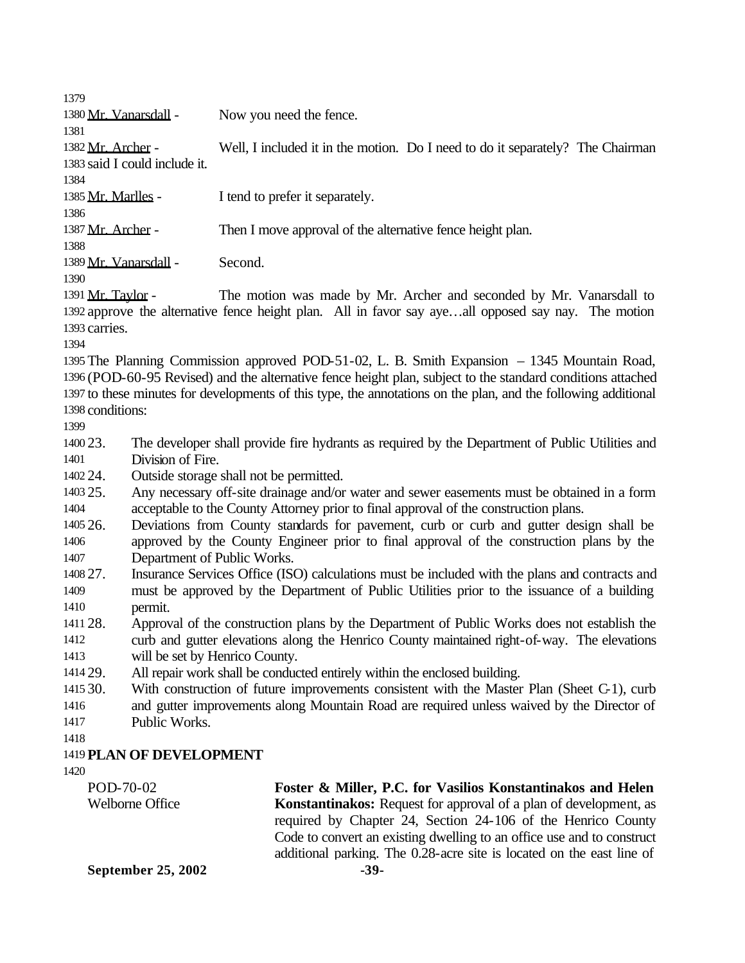1380 Mr. Vanarsdall - Now you need the fence. Mr. Archer - Well, I included it in the motion. Do I need to do it separately? The Chairman said I could include it. 1385 Mr. Marlles - I tend to prefer it separately. 1387 Mr. Archer - Then I move approval of the alternative fence height plan. Mr. Vanarsdall - Second.

1391 Mr. Taylor - The motion was made by Mr. Archer and seconded by Mr. Vanarsdall to approve the alternative fence height plan. All in favor say aye…all opposed say nay. The motion carries.

 The Planning Commission approved POD-51-02, L. B. Smith Expansion – 1345 Mountain Road, (POD-60-95 Revised) and the alternative fence height plan, subject to the standard conditions attached to these minutes for developments of this type, the annotations on the plan, and the following additional conditions:

 23. The developer shall provide fire hydrants as required by the Department of Public Utilities and Division of Fire.

24. Outside storage shall not be permitted.

 25. Any necessary off-site drainage and/or water and sewer easements must be obtained in a form acceptable to the County Attorney prior to final approval of the construction plans.

 26. Deviations from County standards for pavement, curb or curb and gutter design shall be approved by the County Engineer prior to final approval of the construction plans by the Department of Public Works.

- 27. Insurance Services Office (ISO) calculations must be included with the plans and contracts and must be approved by the Department of Public Utilities prior to the issuance of a building permit.
- 28. Approval of the construction plans by the Department of Public Works does not establish the curb and gutter elevations along the Henrico County maintained right-of-way. The elevations will be set by Henrico County.

29. All repair work shall be conducted entirely within the enclosed building.

- 30. With construction of future improvements consistent with the Master Plan (Sheet C-1), curb and gutter improvements along Mountain Road are required unless waived by the Director of
- Public Works.

## **PLAN OF DEVELOPMENT**

| POD-70-02                 | Foster & Miller, P.C. for Vasilios Konstantinakos and Helen              |
|---------------------------|--------------------------------------------------------------------------|
| Welborne Office           | <b>Konstantinakos:</b> Request for approval of a plan of development, as |
|                           | required by Chapter 24, Section 24-106 of the Henrico County             |
|                           | Code to convert an existing dwelling to an office use and to construct   |
|                           | additional parking. The 0.28-acre site is located on the east line of    |
| <b>September 25, 2002</b> | -39-                                                                     |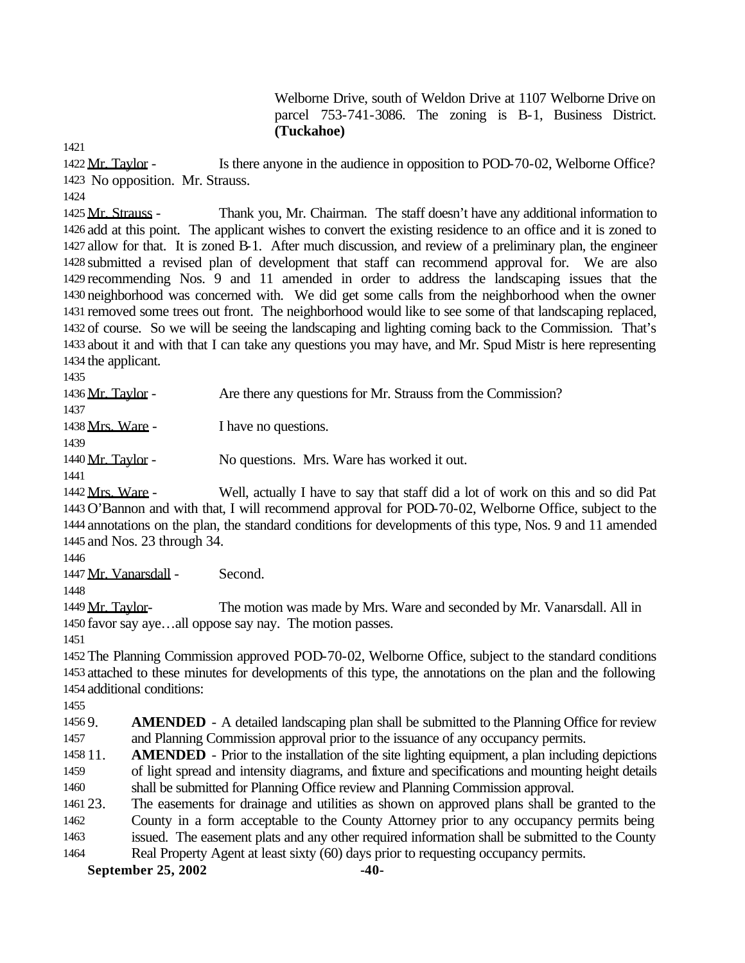Welborne Drive, south of Weldon Drive at 1107 Welborne Drive on parcel 753-741-3086. The zoning is B-1, Business District. **(Tuckahoe)**

 Mr. Taylor - Is there anyone in the audience in opposition to POD-70-02, Welborne Office? No opposition. Mr. Strauss.

1425 Mr. Strauss - Thank you, Mr. Chairman. The staff doesn't have any additional information to add at this point. The applicant wishes to convert the existing residence to an office and it is zoned to allow for that. It is zoned B-1. After much discussion, and review of a preliminary plan, the engineer submitted a revised plan of development that staff can recommend approval for. We are also recommending Nos. 9 and 11 amended in order to address the landscaping issues that the neighborhood was concerned with. We did get some calls from the neighborhood when the owner removed some trees out front. The neighborhood would like to see some of that landscaping replaced, of course. So we will be seeing the landscaping and lighting coming back to the Commission. That's about it and with that I can take any questions you may have, and Mr. Spud Mistr is here representing the applicant.

| 1436 Mr. Taylor - | Are there any questions for Mr. Strauss from the Commission? |
|-------------------|--------------------------------------------------------------|
| 1437              |                                                              |
| 1438 Mrs. Ware -  | I have no questions.                                         |
| 1439              |                                                              |
| 1440 Mr. Taylor - | No questions. Mrs. Ware has worked it out.                   |
| 1441              |                                                              |

 Mrs. Ware - Well, actually I have to say that staff did a lot of work on this and so did Pat O'Bannon and with that, I will recommend approval for POD-70-02, Welborne Office, subject to the annotations on the plan, the standard conditions for developments of this type, Nos. 9 and 11 amended and Nos. 23 through 34.

1447 Mr. Vanarsdall - Second.

1449 Mr. Taylor- The motion was made by Mrs. Ware and seconded by Mr. Vanarsdall. All in favor say aye…all oppose say nay. The motion passes.

 The Planning Commission approved POD-70-02, Welborne Office, subject to the standard conditions attached to these minutes for developments of this type, the annotations on the plan and the following additional conditions:

 9. **AMENDED** - A detailed landscaping plan shall be submitted to the Planning Office for review and Planning Commission approval prior to the issuance of any occupancy permits.

 11. **AMENDED** - Prior to the installation of the site lighting equipment, a plan including depictions of light spread and intensity diagrams, and fixture and specifications and mounting height details shall be submitted for Planning Office review and Planning Commission approval.

 23. The easements for drainage and utilities as shown on approved plans shall be granted to the County in a form acceptable to the County Attorney prior to any occupancy permits being issued. The easement plats and any other required information shall be submitted to the County Real Property Agent at least sixty (60) days prior to requesting occupancy permits.

**September 25, 2002** -40-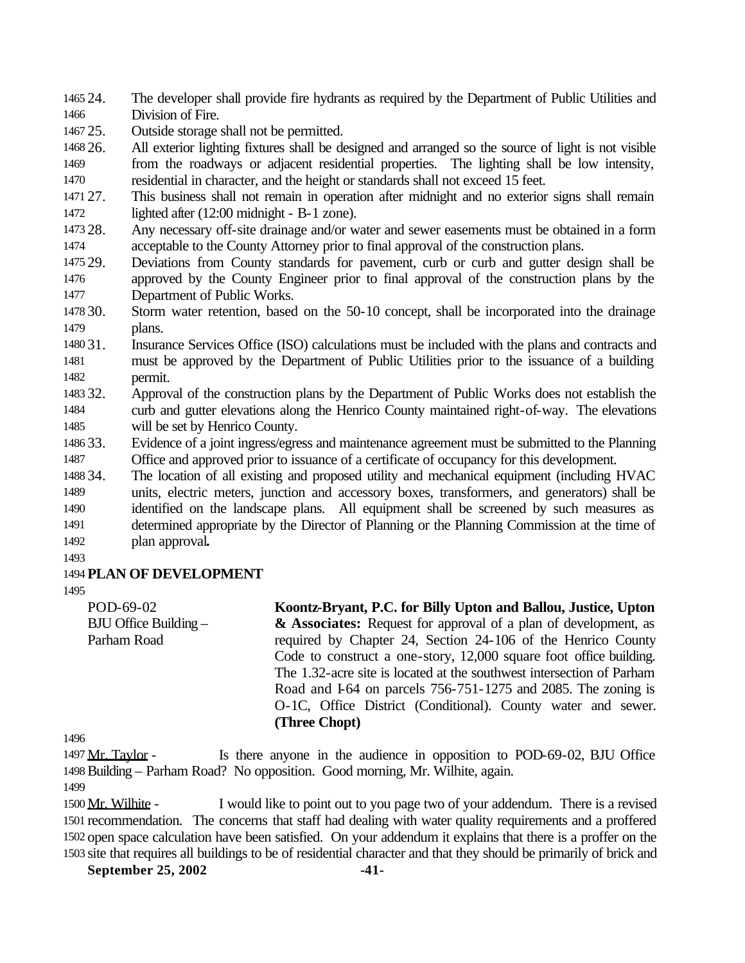24. The developer shall provide fire hydrants as required by the Department of Public Utilities and Division of Fire.

25. Outside storage shall not be permitted.

 26. All exterior lighting fixtures shall be designed and arranged so the source of light is not visible from the roadways or adjacent residential properties. The lighting shall be low intensity, residential in character, and the height or standards shall not exceed 15 feet.

 27. This business shall not remain in operation after midnight and no exterior signs shall remain lighted after (12:00 midnight - B-1 zone).

 28. Any necessary off-site drainage and/or water and sewer easements must be obtained in a form acceptable to the County Attorney prior to final approval of the construction plans.

 29. Deviations from County standards for pavement, curb or curb and gutter design shall be approved by the County Engineer prior to final approval of the construction plans by the Department of Public Works.

 30. Storm water retention, based on the 50-10 concept, shall be incorporated into the drainage plans.

 31. Insurance Services Office (ISO) calculations must be included with the plans and contracts and must be approved by the Department of Public Utilities prior to the issuance of a building permit.

 32. Approval of the construction plans by the Department of Public Works does not establish the curb and gutter elevations along the Henrico County maintained right-of-way. The elevations will be set by Henrico County.

 33. Evidence of a joint ingress/egress and maintenance agreement must be submitted to the Planning Office and approved prior to issuance of a certificate of occupancy for this development.

 34. The location of all existing and proposed utility and mechanical equipment (including HVAC units, electric meters, junction and accessory boxes, transformers, and generators) shall be identified on the landscape plans. All equipment shall be screened by such measures as determined appropriate by the Director of Planning or the Planning Commission at the time of plan approval**.**

## **PLAN OF DEVELOPMENT**

POD-69-02 BJU Office Building – Parham Road **Koontz-Bryant, P.C. for Billy Upton and Ballou, Justice, Upton & Associates:** Request for approval of a plan of development, as required by Chapter 24, Section 24-106 of the Henrico County Code to construct a one-story, 12,000 square foot office building. The 1.32-acre site is located at the southwest intersection of Parham Road and I-64 on parcels 756-751-1275 and 2085. The zoning is O-1C, Office District (Conditional). County water and sewer. **(Three Chopt)**

1497 Mr. Taylor - Is there anyone in the audience in opposition to POD-69-02, BJU Office Building – Parham Road? No opposition. Good morning, Mr. Wilhite, again.

 Mr. Wilhite - I would like to point out to you page two of your addendum. There is a revised recommendation. The concerns that staff had dealing with water quality requirements and a proffered open space calculation have been satisfied. On your addendum it explains that there is a proffer on the site that requires all buildings to be of residential character and that they should be primarily of brick and

**September 25, 2002 -41-**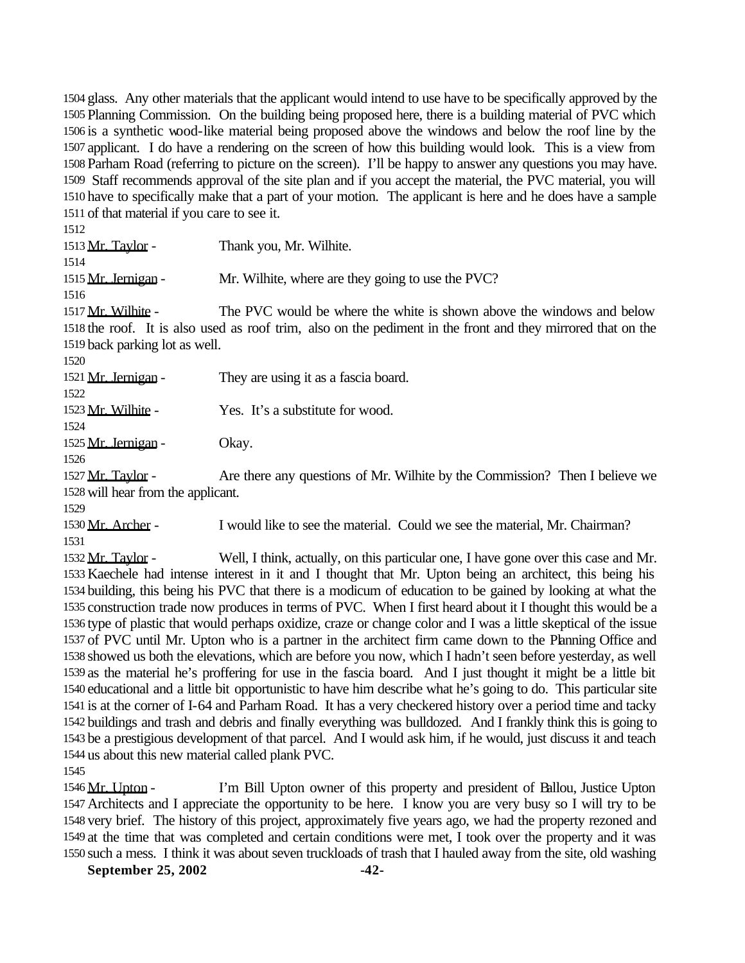glass. Any other materials that the applicant would intend to use have to be specifically approved by the Planning Commission. On the building being proposed here, there is a building material of PVC which is a synthetic wood-like material being proposed above the windows and below the roof line by the applicant. I do have a rendering on the screen of how this building would look. This is a view from Parham Road (referring to picture on the screen). I'll be happy to answer any questions you may have. Staff recommends approval of the site plan and if you accept the material, the PVC material, you will have to specifically make that a part of your motion. The applicant is here and he does have a sample of that material if you care to see it.

 1513 Mr. Taylor - Thank you, Mr. Wilhite. 1515 Mr. Jernigan - Mr. Wilhite, where are they going to use the PVC? 1517 Mr. Wilhite - The PVC would be where the white is shown above the windows and below the roof. It is also used as roof trim, also on the pediment in the front and they mirrored that on the back parking lot as well. 1521 Mr. Jernigan - They are using it as a fascia board. Mr. Wilhite - Yes. It's a substitute for wood. 1525 Mr. Jernigan - Okay. 1527 Mr. Taylor - Are there any questions of Mr. Wilhite by the Commission? Then I believe we will hear from the applicant. Mr. Archer - I would like to see the material. Could we see the material, Mr. Chairman?

 Mr. Taylor - Well, I think, actually, on this particular one, I have gone over this case and Mr. Kaechele had intense interest in it and I thought that Mr. Upton being an architect, this being his building, this being his PVC that there is a modicum of education to be gained by looking at what the construction trade now produces in terms of PVC. When I first heard about it I thought this would be a type of plastic that would perhaps oxidize, craze or change color and I was a little skeptical of the issue of PVC until Mr. Upton who is a partner in the architect firm came down to the Planning Office and showed us both the elevations, which are before you now, which I hadn't seen before yesterday, as well as the material he's proffering for use in the fascia board. And I just thought it might be a little bit educational and a little bit opportunistic to have him describe what he's going to do. This particular site is at the corner of I-64 and Parham Road. It has a very checkered history over a period time and tacky buildings and trash and debris and finally everything was bulldozed. And I frankly think this is going to be a prestigious development of that parcel. And I would ask him, if he would, just discuss it and teach us about this new material called plank PVC.

1546 Mr. Upton - I'm Bill Upton owner of this property and president of Ballou, Justice Upton Architects and I appreciate the opportunity to be here. I know you are very busy so I will try to be very brief. The history of this project, approximately five years ago, we had the property rezoned and at the time that was completed and certain conditions were met, I took over the property and it was such a mess. I think it was about seven truckloads of trash that I hauled away from the site, old washing

**September 25, 2002** -42-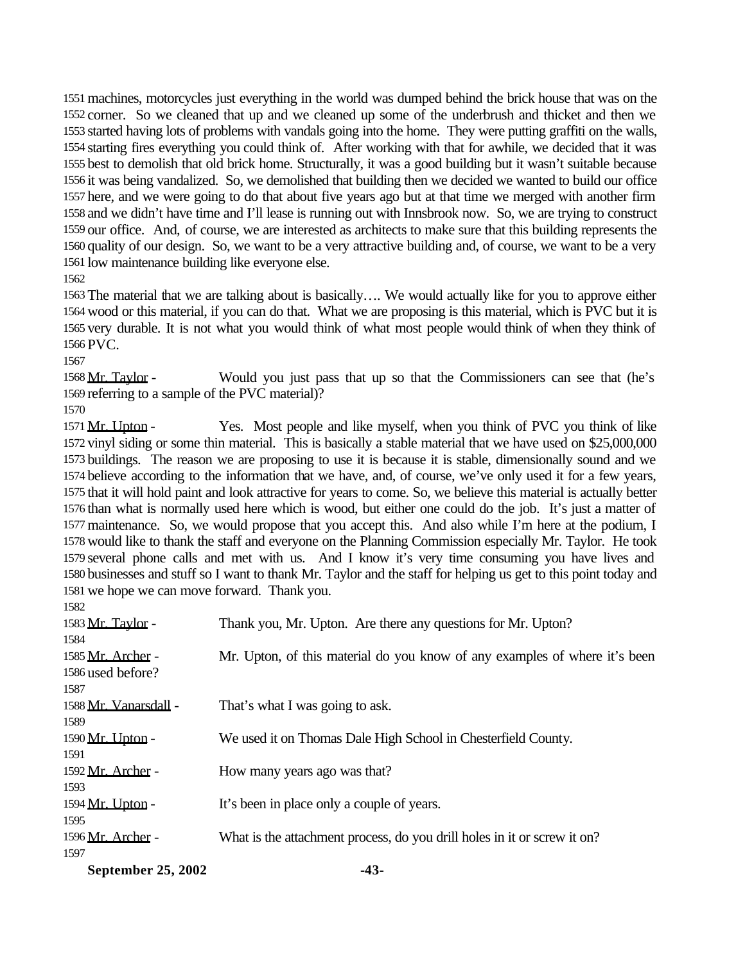machines, motorcycles just everything in the world was dumped behind the brick house that was on the corner. So we cleaned that up and we cleaned up some of the underbrush and thicket and then we started having lots of problems with vandals going into the home. They were putting graffiti on the walls, starting fires everything you could think of. After working with that for awhile, we decided that it was best to demolish that old brick home. Structurally, it was a good building but it wasn't suitable because it was being vandalized. So, we demolished that building then we decided we wanted to build our office here, and we were going to do that about five years ago but at that time we merged with another firm and we didn't have time and I'll lease is running out with Innsbrook now. So, we are trying to construct our office. And, of course, we are interested as architects to make sure that this building represents the quality of our design. So, we want to be a very attractive building and, of course, we want to be a very low maintenance building like everyone else.

 The material that we are talking about is basically…. We would actually like for you to approve either wood or this material, if you can do that. What we are proposing is this material, which is PVC but it is very durable. It is not what you would think of what most people would think of when they think of PVC.

 Mr. Taylor - Would you just pass that up so that the Commissioners can see that (he's referring to a sample of the PVC material)?

1571 Mr. Upton - Yes. Most people and like myself, when you think of PVC you think of like vinyl siding or some thin material. This is basically a stable material that we have used on \$25,000,000 buildings. The reason we are proposing to use it is because it is stable, dimensionally sound and we believe according to the information that we have, and, of course, we've only used it for a few years, that it will hold paint and look attractive for years to come. So, we believe this material is actually better than what is normally used here which is wood, but either one could do the job. It's just a matter of maintenance. So, we would propose that you accept this. And also while I'm here at the podium, I would like to thank the staff and everyone on the Planning Commission especially Mr. Taylor. He took several phone calls and met with us. And I know it's very time consuming you have lives and businesses and stuff so I want to thank Mr. Taylor and the staff for helping us get to this point today and we hope we can move forward. Thank you. 

| Thank you, Mr. Upton. Are there any questions for Mr. Upton?               |
|----------------------------------------------------------------------------|
|                                                                            |
| Mr. Upton, of this material do you know of any examples of where it's been |
|                                                                            |
|                                                                            |
| That's what I was going to ask.                                            |
|                                                                            |
| We used it on Thomas Dale High School in Chesterfield County.              |
|                                                                            |
| How many years ago was that?                                               |
|                                                                            |
| It's been in place only a couple of years.                                 |
|                                                                            |
| What is the attachment process, do you drill holes in it or screw it on?   |
|                                                                            |
|                                                                            |

September 25, 2002 -43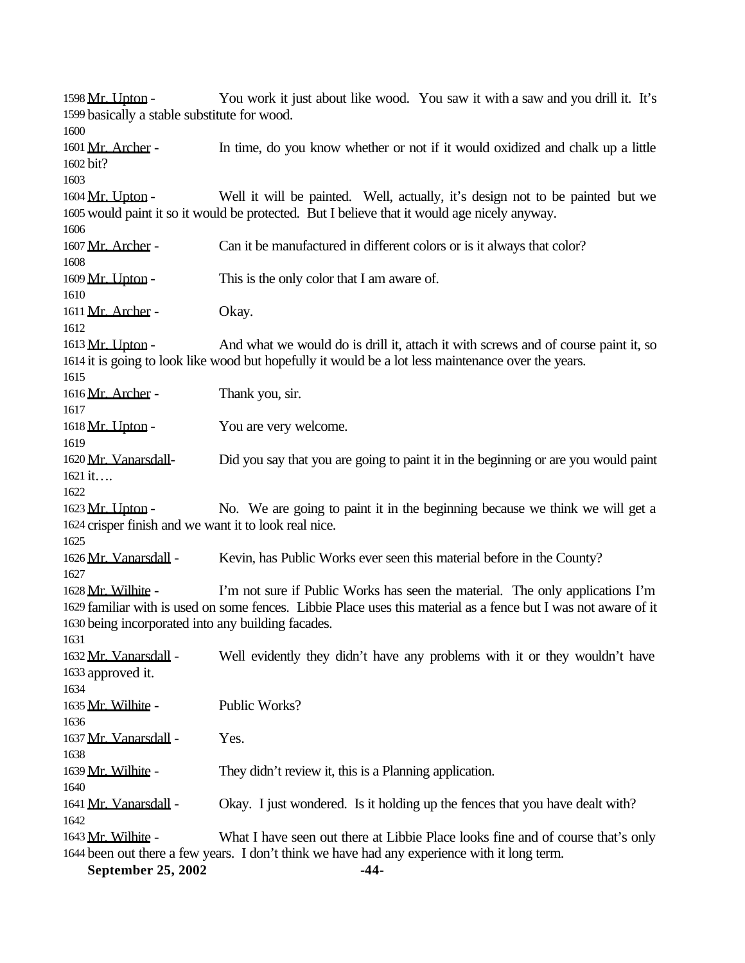1598 Mr. Upton - You work it just about like wood. You saw it with a saw and you drill it. It's basically a stable substitute for wood. Mr. Archer - In time, do you know whether or not if it would oxidized and chalk up a little bit? 1604 Mr. Upton - Well it will be painted. Well, actually, it's design not to be painted but we would paint it so it would be protected. But I believe that it would age nicely anyway. 1607 Mr. Archer - Can it be manufactured in different colors or is it always that color? 1609 Mr. Upton - This is the only color that I am aware of. 1611 Mr. Archer - Okay. 1613 Mr. Upton - And what we would do is drill it, attach it with screws and of course paint it, so it is going to look like wood but hopefully it would be a lot less maintenance over the years. 1616 Mr. Archer - Thank you, sir. 1618 Mr. Upton - You are very welcome. Mr. Vanarsdall- Did you say that you are going to paint it in the beginning or are you would paint it…. 1623 Mr. Upton - No. We are going to paint it in the beginning because we think we will get a crisper finish and we want it to look real nice. 1626 Mr. Vanarsdall - Kevin, has Public Works ever seen this material before in the County? 1628 Mr. Wilhite - I'm not sure if Public Works has seen the material. The only applications I'm familiar with is used on some fences. Libbie Place uses this material as a fence but I was not aware of it being incorporated into any building facades. Mr. Vanarsdall - Well evidently they didn't have any problems with it or they wouldn't have approved it. Mr. Wilhite - Public Works? 1637 Mr. Vanarsdall - Yes. 1639 Mr. Wilhite - They didn't review it, this is a Planning application. 1641 Mr. Vanarsdall - Okay. I just wondered. Is it holding up the fences that you have dealt with? Mr. Wilhite - What I have seen out there at Libbie Place looks fine and of course that's only been out there a few years. I don't think we have had any experience with it long term.

- **September 25, 2002** -44-
	-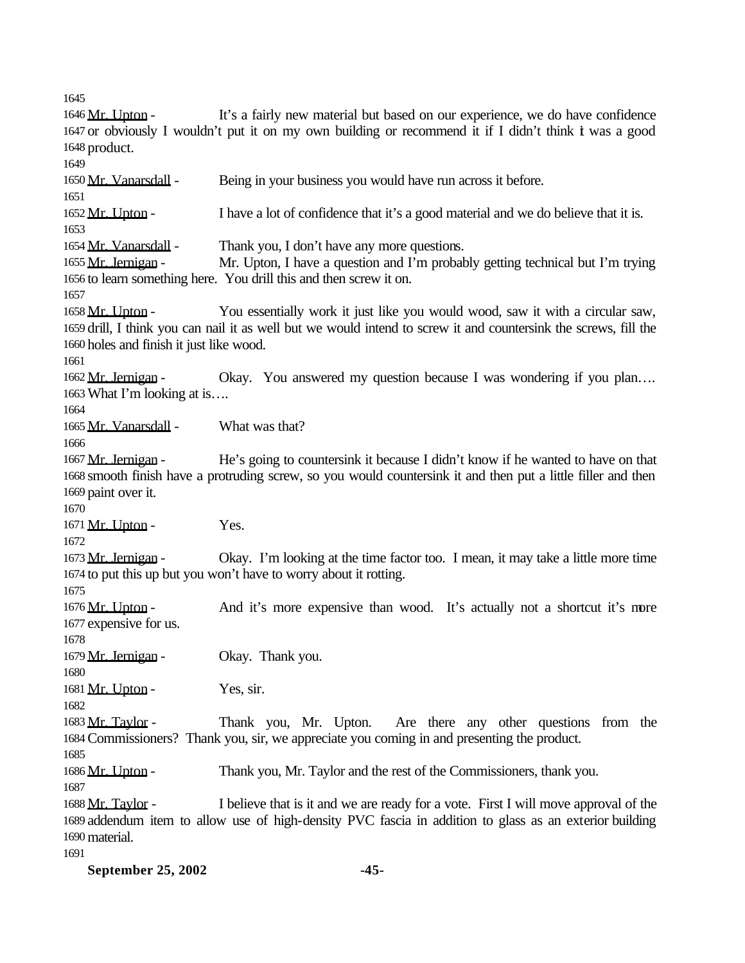1646 Mr. Upton - It's a fairly new material but based on our experience, we do have confidence or obviously I wouldn't put it on my own building or recommend it if I didn't think it was a good product. Mr. Vanarsdall - Being in your business you would have run across it before. 1652 Mr. Upton - I have a lot of confidence that it's a good material and we do believe that it is. Mr. Vanarsdall - Thank you, I don't have any more questions. 1655 Mr. Jernigan - Mr. Upton, I have a question and I'm probably getting technical but I'm trying to learn something here. You drill this and then screw it on. 1658 Mr. Upton - You essentially work it just like you would wood, saw it with a circular saw, drill, I think you can nail it as well but we would intend to screw it and countersink the screws, fill the holes and finish it just like wood. 1662 Mr. Jernigan - Okay. You answered my question because I was wondering if you plan... What I'm looking at is…. Mr. Vanarsdall - What was that? 1667 Mr. Jernigan - He's going to countersink it because I didn't know if he wanted to have on that smooth finish have a protruding screw, so you would countersink it and then put a little filler and then paint over it. 1671 Mr. Upton - Yes. 1673 Mr. Jernigan - Okay. I'm looking at the time factor too. I mean, it may take a little more time to put this up but you won't have to worry about it rotting. 1676 Mr. Upton - And it's more expensive than wood. It's actually not a shortcut it's more expensive for us. 1679 Mr. Jernigan - Okay. Thank you.  $1681 \text{ Mr. Upton}$  - Yes, sir. 1683 Mr. Taylor - Thank you, Mr. Upton. Are there any other questions from the Commissioners? Thank you, sir, we appreciate you coming in and presenting the product. 1686 Mr. Upton - Thank you, Mr. Taylor and the rest of the Commissioners, thank you. Mr. Taylor - I believe that is it and we are ready for a vote. First I will move approval of the addendum item to allow use of high-density PVC fascia in addition to glass as an exterior building material. 

**September 25, 2002 -45-**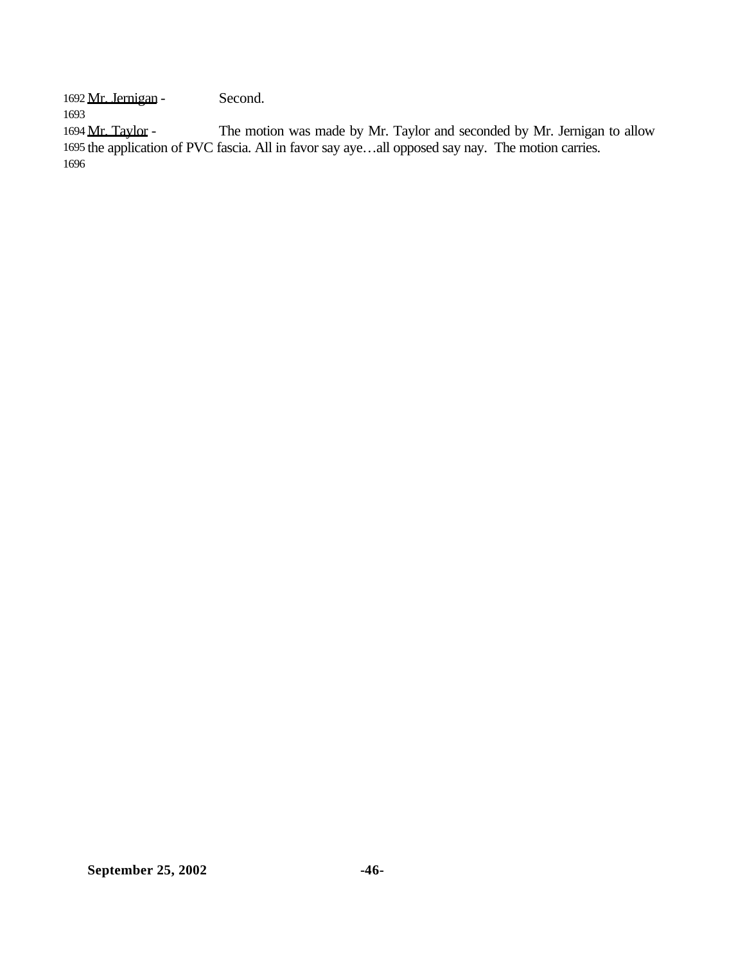Mr. Jernigan - Second.

1694 Mr. Taylor - The motion was made by Mr. Taylor and seconded by Mr. Jernigan to allow the application of PVC fascia. All in favor say aye…all opposed say nay. The motion carries.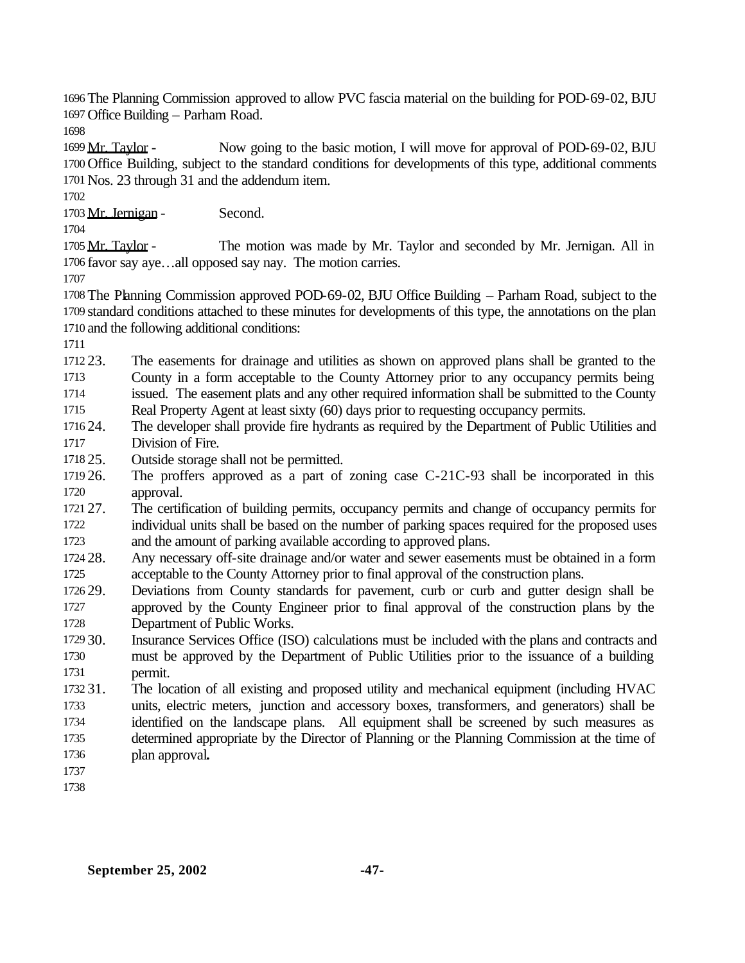The Planning Commission approved to allow PVC fascia material on the building for POD-69-02, BJU Office Building – Parham Road.

 Mr. Taylor - Now going to the basic motion, I will move for approval of POD-69-02, BJU Office Building, subject to the standard conditions for developments of this type, additional comments Nos. 23 through 31 and the addendum item.

1703 Mr. Jernigan - Second.

1705 Mr. Taylor - The motion was made by Mr. Taylor and seconded by Mr. Jernigan. All in favor say aye…all opposed say nay. The motion carries.

 The Planning Commission approved POD-69-02, BJU Office Building – Parham Road, subject to the standard conditions attached to these minutes for developments of this type, the annotations on the plan and the following additional conditions:

 23. The easements for drainage and utilities as shown on approved plans shall be granted to the County in a form acceptable to the County Attorney prior to any occupancy permits being issued. The easement plats and any other required information shall be submitted to the County

Real Property Agent at least sixty (60) days prior to requesting occupancy permits.

 24. The developer shall provide fire hydrants as required by the Department of Public Utilities and Division of Fire.

25. Outside storage shall not be permitted.

- 26. The proffers approved as a part of zoning case C-21C-93 shall be incorporated in this approval.
- 27. The certification of building permits, occupancy permits and change of occupancy permits for individual units shall be based on the number of parking spaces required for the proposed uses and the amount of parking available according to approved plans.
- 28. Any necessary off-site drainage and/or water and sewer easements must be obtained in a form acceptable to the County Attorney prior to final approval of the construction plans.
- 29. Deviations from County standards for pavement, curb or curb and gutter design shall be approved by the County Engineer prior to final approval of the construction plans by the Department of Public Works.
- 30. Insurance Services Office (ISO) calculations must be included with the plans and contracts and must be approved by the Department of Public Utilities prior to the issuance of a building permit.
- 31. The location of all existing and proposed utility and mechanical equipment (including HVAC units, electric meters, junction and accessory boxes, transformers, and generators) shall be identified on the landscape plans. All equipment shall be screened by such measures as determined appropriate by the Director of Planning or the Planning Commission at the time of plan approval**.**
-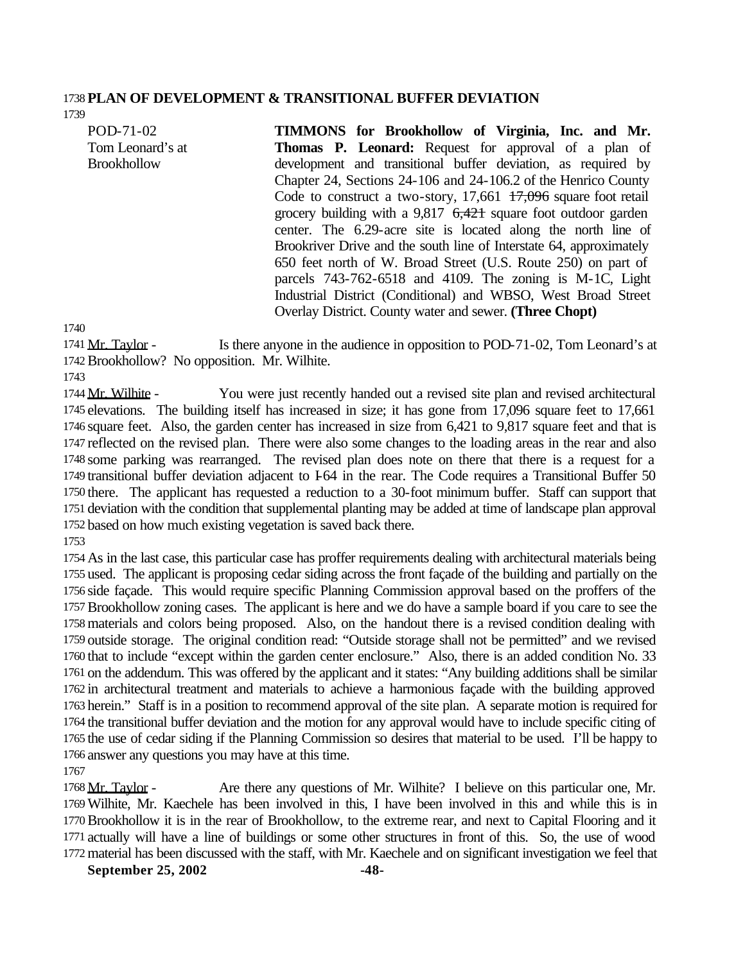#### **PLAN OF DEVELOPMENT & TRANSITIONAL BUFFER DEVIATION**

POD-71-02 Tom Leonard's at **Brookhollow** 

**TIMMONS for Brookhollow of Virginia, Inc. and Mr. Thomas P. Leonard:** Request for approval of a plan of development and transitional buffer deviation, as required by Chapter 24, Sections 24-106 and 24-106.2 of the Henrico County Code to construct a two-story,  $17,661$   $17,096$  square foot retail grocery building with a  $9,817$   $6,421$  square foot outdoor garden center. The 6.29-acre site is located along the north line of Brookriver Drive and the south line of Interstate 64, approximately 650 feet north of W. Broad Street (U.S. Route 250) on part of parcels 743-762-6518 and 4109. The zoning is M-1C, Light Industrial District (Conditional) and WBSO, West Broad Street Overlay District. County water and sewer. **(Three Chopt)**

1741 Mr. Taylor - Is there anyone in the audience in opposition to POD-71-02, Tom Leonard's at Brookhollow? No opposition. Mr. Wilhite.

1744 Mr. Wilhite - You were just recently handed out a revised site plan and revised architectural elevations. The building itself has increased in size; it has gone from 17,096 square feet to 17,661 square feet. Also, the garden center has increased in size from 6,421 to 9,817 square feet and that is reflected on the revised plan. There were also some changes to the loading areas in the rear and also some parking was rearranged. The revised plan does note on there that there is a request for a transitional buffer deviation adjacent to I-64 in the rear. The Code requires a Transitional Buffer 50 there. The applicant has requested a reduction to a 30-foot minimum buffer. Staff can support that deviation with the condition that supplemental planting may be added at time of landscape plan approval based on how much existing vegetation is saved back there.

 As in the last case, this particular case has proffer requirements dealing with architectural materials being used. The applicant is proposing cedar siding across the front façade of the building and partially on the side façade. This would require specific Planning Commission approval based on the proffers of the Brookhollow zoning cases. The applicant is here and we do have a sample board if you care to see the materials and colors being proposed. Also, on the handout there is a revised condition dealing with outside storage. The original condition read: "Outside storage shall not be permitted" and we revised that to include "except within the garden center enclosure." Also, there is an added condition No. 33 on the addendum. This was offered by the applicant and it states: "Any building additions shall be similar in architectural treatment and materials to achieve a harmonious façade with the building approved herein." Staff is in a position to recommend approval of the site plan. A separate motion is required for the transitional buffer deviation and the motion for any approval would have to include specific citing of the use of cedar siding if the Planning Commission so desires that material to be used. I'll be happy to answer any questions you may have at this time.

1768 Mr. Taylor - Are there any questions of Mr. Wilhite? I believe on this particular one, Mr. Wilhite, Mr. Kaechele has been involved in this, I have been involved in this and while this is in Brookhollow it is in the rear of Brookhollow, to the extreme rear, and next to Capital Flooring and it actually will have a line of buildings or some other structures in front of this. So, the use of wood material has been discussed with the staff, with Mr. Kaechele and on significant investigation we feel that

**September 25, 2002** -48-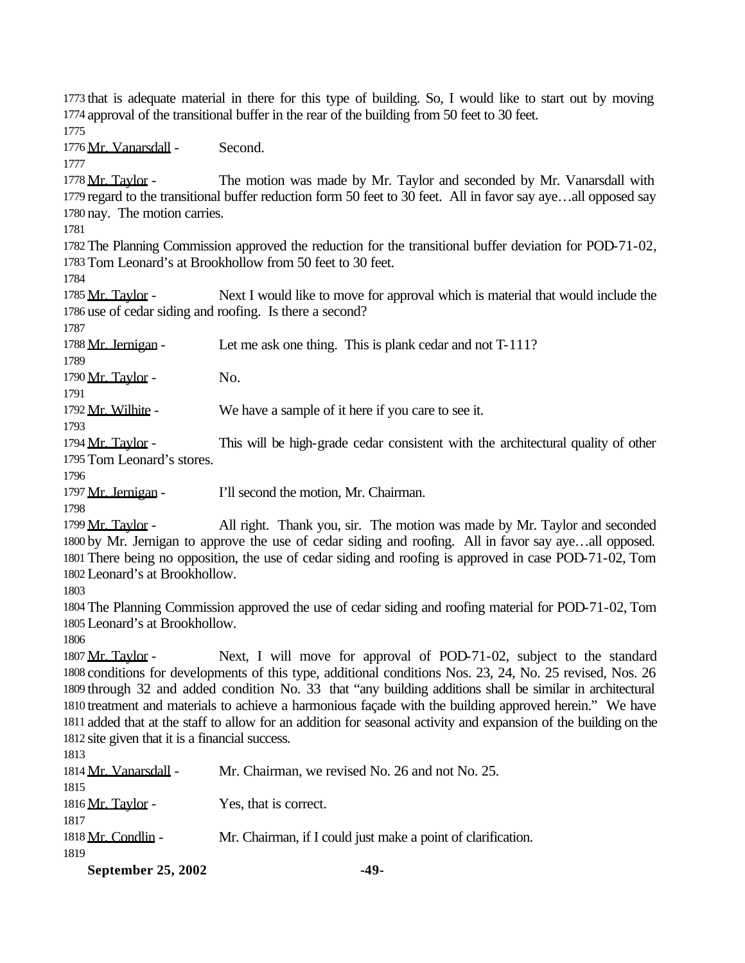that is adequate material in there for this type of building. So, I would like to start out by moving approval of the transitional buffer in the rear of the building from 50 feet to 30 feet.

Mr. Vanarsdall - Second.

1778 Mr. Taylor - The motion was made by Mr. Taylor and seconded by Mr. Vanarsdall with regard to the transitional buffer reduction form 50 feet to 30 feet. All in favor say aye…all opposed say nay. The motion carries.

 The Planning Commission approved the reduction for the transitional buffer deviation for POD-71-02, Tom Leonard's at Brookhollow from 50 feet to 30 feet.

1785 Mr. Taylor - Next I would like to move for approval which is material that would include the use of cedar siding and roofing. Is there a second?

1788 Mr. Jernigan - Let me ask one thing. This is plank cedar and not T-111?

1790 Mr. Taylor - No.

1792 Mr. Wilhite - We have a sample of it here if you care to see it.

1794 Mr. Taylor - This will be high-grade cedar consistent with the architectural quality of other Tom Leonard's stores.

1797 Mr. Jernigan - I'll second the motion, Mr. Chairman.

1799 Mr. Taylor - All right. Thank you, sir. The motion was made by Mr. Taylor and seconded by Mr. Jernigan to approve the use of cedar siding and roofing. All in favor say aye…all opposed. There being no opposition, the use of cedar siding and roofing is approved in case POD-71-02, Tom Leonard's at Brookhollow.

 The Planning Commission approved the use of cedar siding and roofing material for POD-71-02, Tom Leonard's at Brookhollow.

 Mr. Taylor - Next, I will move for approval of POD-71-02, subject to the standard conditions for developments of this type, additional conditions Nos. 23, 24, No. 25 revised, Nos. 26 through 32 and added condition No. 33 that "any building additions shall be similar in architectural treatment and materials to achieve a harmonious façade with the building approved herein." We have added that at the staff to allow for an addition for seasonal activity and expansion of the building on the site given that it is a financial success.

| ۰.<br>× | v<br>v |  |
|---------|--------|--|
|         |        |  |

| September 25, 2002    | -49-                                                         |
|-----------------------|--------------------------------------------------------------|
| 1819                  |                                                              |
| 1818 Mr. Condlin -    | Mr. Chairman, if I could just make a point of clarification. |
| 1817                  |                                                              |
| 1816 Mr. Taylor -     | Yes, that is correct.                                        |
| 1815                  |                                                              |
| 1814 Mr. Vanarsdall - | Mr. Chairman, we revised No. 26 and not No. 25.              |
|                       |                                                              |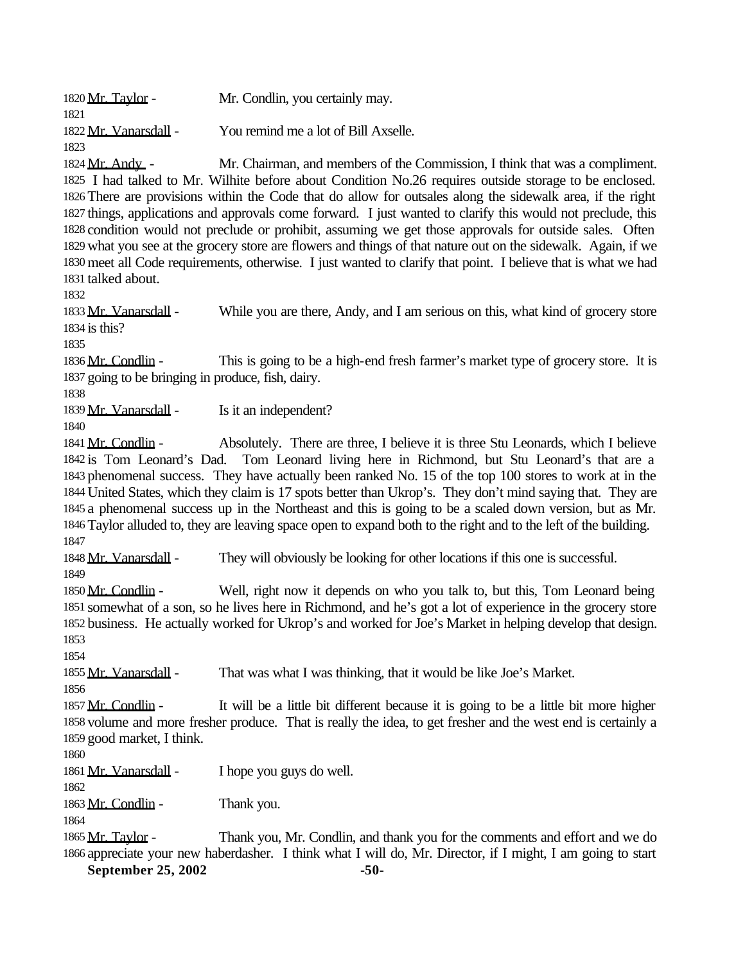| 1820 Mr. Taylor -                                                                | Mr. Condlin, you certainly may.                                                                                                                                                                                                                                                                                                                                                                                                                                                                                                                                                                                                                                                                                                                                    |
|----------------------------------------------------------------------------------|--------------------------------------------------------------------------------------------------------------------------------------------------------------------------------------------------------------------------------------------------------------------------------------------------------------------------------------------------------------------------------------------------------------------------------------------------------------------------------------------------------------------------------------------------------------------------------------------------------------------------------------------------------------------------------------------------------------------------------------------------------------------|
| 1821                                                                             |                                                                                                                                                                                                                                                                                                                                                                                                                                                                                                                                                                                                                                                                                                                                                                    |
| 1822 Mr. Vanarsdall -<br>1823                                                    | You remind me a lot of Bill Axselle.                                                                                                                                                                                                                                                                                                                                                                                                                                                                                                                                                                                                                                                                                                                               |
| 1824 Mr. Andy -<br>1831 talked about.                                            | Mr. Chairman, and members of the Commission, I think that was a compliment.<br>1825 I had talked to Mr. Wilhite before about Condition No.26 requires outside storage to be enclosed.<br>1826 There are provisions within the Code that do allow for outsales along the sidewalk area, if the right<br>1827 things, applications and approvals come forward. I just wanted to clarify this would not preclude, this<br>1828 condition would not preclude or prohibit, assuming we get those approvals for outside sales. Often<br>1829 what you see at the grocery store are flowers and things of that nature out on the sidewalk. Again, if we<br>1830 meet all Code requirements, otherwise. I just wanted to clarify that point. I believe that is what we had |
| 1832<br>1833 Mr. Vanarsdall -<br>1834 is this?<br>1835                           | While you are there, Andy, and I am serious on this, what kind of grocery store                                                                                                                                                                                                                                                                                                                                                                                                                                                                                                                                                                                                                                                                                    |
| 1836 Mr. Condlin -<br>1837 going to be bringing in produce, fish, dairy.<br>1838 | This is going to be a high-end fresh farmer's market type of grocery store. It is                                                                                                                                                                                                                                                                                                                                                                                                                                                                                                                                                                                                                                                                                  |
| 1839 Mr. Vanarsdall -<br>1840                                                    | Is it an independent?                                                                                                                                                                                                                                                                                                                                                                                                                                                                                                                                                                                                                                                                                                                                              |
| 1841 Mr. Condlin -<br>1847                                                       | Absolutely. There are three, I believe it is three Stu Leonards, which I believe<br>1842 is Tom Leonard's Dad. Tom Leonard living here in Richmond, but Stu Leonard's that are a<br>1843 phenomenal success. They have actually been ranked No. 15 of the top 100 stores to work at in the<br>1844 United States, which they claim is 17 spots better than Ukrop's. They don't mind saying that. They are<br>1845 a phenomenal success up in the Northeast and this is going to be a scaled down version, but as Mr.<br>1846 Taylor alluded to, they are leaving space open to expand both to the right and to the left of the building.                                                                                                                           |
| 1848 Mr. Vanarsdall -<br>1849                                                    | They will obviously be looking for other locations if this one is successful.                                                                                                                                                                                                                                                                                                                                                                                                                                                                                                                                                                                                                                                                                      |
| 1850 Mr. Condlin -<br>1853                                                       | Well, right now it depends on who you talk to, but this, Tom Leonard being<br>1851 somewhat of a son, so he lives here in Richmond, and he's got a lot of experience in the grocery store<br>1852 business. He actually worked for Ukrop's and worked for Joe's Market in helping develop that design.                                                                                                                                                                                                                                                                                                                                                                                                                                                             |
| 1854<br>1855 Mr. Vanarsdall -                                                    | That was what I was thinking, that it would be like Joe's Market.                                                                                                                                                                                                                                                                                                                                                                                                                                                                                                                                                                                                                                                                                                  |

1857 Mr. Condlin - It will be a little bit different because it is going to be a little bit more higher volume and more fresher produce. That is really the idea, to get fresher and the west end is certainly a good market, I think.

Mr. Vanarsdall - I hope you guys do well.

1863 Mr. Condlin - Thank you.

1865 Mr. Taylor - Thank you, Mr. Condlin, and thank you for the comments and effort and we do appreciate your new haberdasher. I think what I will do, Mr. Director, if I might, I am going to start

**September 25, 2002** -50-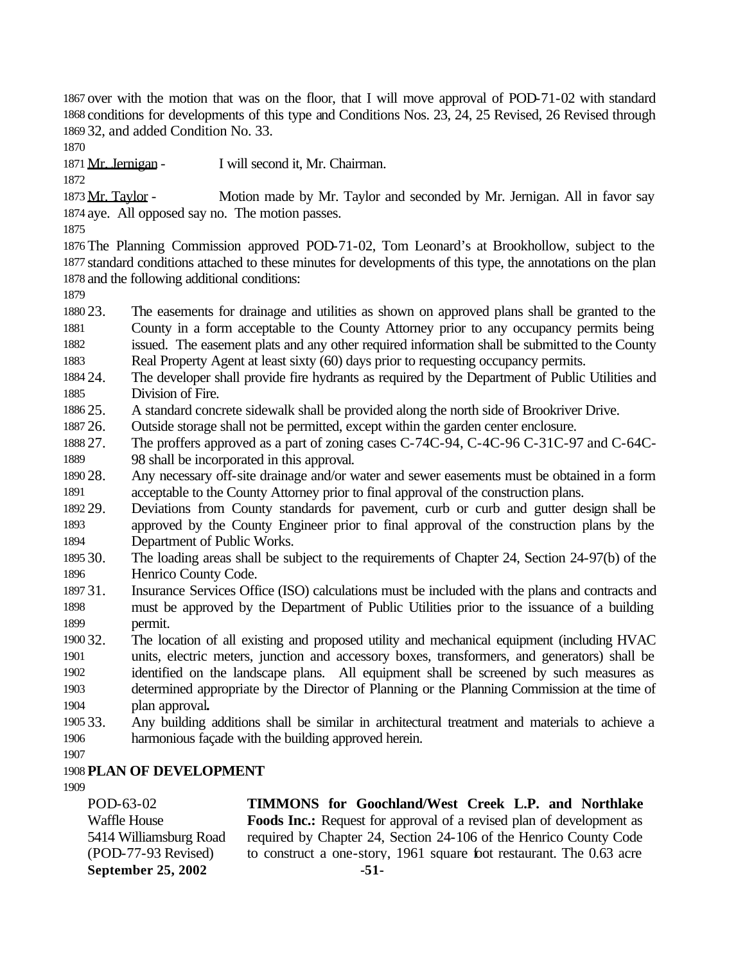over with the motion that was on the floor, that I will move approval of POD-71-02 with standard conditions for developments of this type and Conditions Nos. 23, 24, 25 Revised, 26 Revised through 32, and added Condition No. 33.

Mr. Jernigan - I will second it, Mr. Chairman.

1873 Mr. Taylor - Motion made by Mr. Taylor and seconded by Mr. Jernigan. All in favor say aye. All opposed say no. The motion passes.

 The Planning Commission approved POD-71-02, Tom Leonard's at Brookhollow, subject to the standard conditions attached to these minutes for developments of this type, the annotations on the plan and the following additional conditions:

 23. The easements for drainage and utilities as shown on approved plans shall be granted to the County in a form acceptable to the County Attorney prior to any occupancy permits being issued. The easement plats and any other required information shall be submitted to the County

Real Property Agent at least sixty (60) days prior to requesting occupancy permits.

 24. The developer shall provide fire hydrants as required by the Department of Public Utilities and Division of Fire.

25. A standard concrete sidewalk shall be provided along the north side of Brookriver Drive.

- 1887 26. Outside storage shall not be permitted, except within the garden center enclosure.<br>1888 27. The proffers approved as a part of zoning cases C-74C-94. C-4C-96 C-31C-9
- The proffers approved as a part of zoning cases C-74C-94, C-4C-96 C-31C-97 and C-64C-98 shall be incorporated in this approval.

 28. Any necessary off-site drainage and/or water and sewer easements must be obtained in a form acceptable to the County Attorney prior to final approval of the construction plans.

 29. Deviations from County standards for pavement, curb or curb and gutter design shall be approved by the County Engineer prior to final approval of the construction plans by the Department of Public Works.

 30. The loading areas shall be subject to the requirements of Chapter 24, Section 24-97(b) of the Henrico County Code.

 31. Insurance Services Office (ISO) calculations must be included with the plans and contracts and must be approved by the Department of Public Utilities prior to the issuance of a building permit.

 32. The location of all existing and proposed utility and mechanical equipment (including HVAC units, electric meters, junction and accessory boxes, transformers, and generators) shall be identified on the landscape plans. All equipment shall be screened by such measures as determined appropriate by the Director of Planning or the Planning Commission at the time of plan approval**.**

- 33. Any building additions shall be similar in architectural treatment and materials to achieve a harmonious façade with the building approved herein.
- 

# **PLAN OF DEVELOPMENT**

September 25, 2002 -51 POD-63-02 Waffle House 5414 Williamsburg Road (POD-77-93 Revised) **TIMMONS for Goochland/West Creek L.P. and Northlake Foods Inc.:** Request for approval of a revised plan of development as required by Chapter 24, Section 24-106 of the Henrico County Code to construct a one-story, 1961 square foot restaurant. The 0.63 acre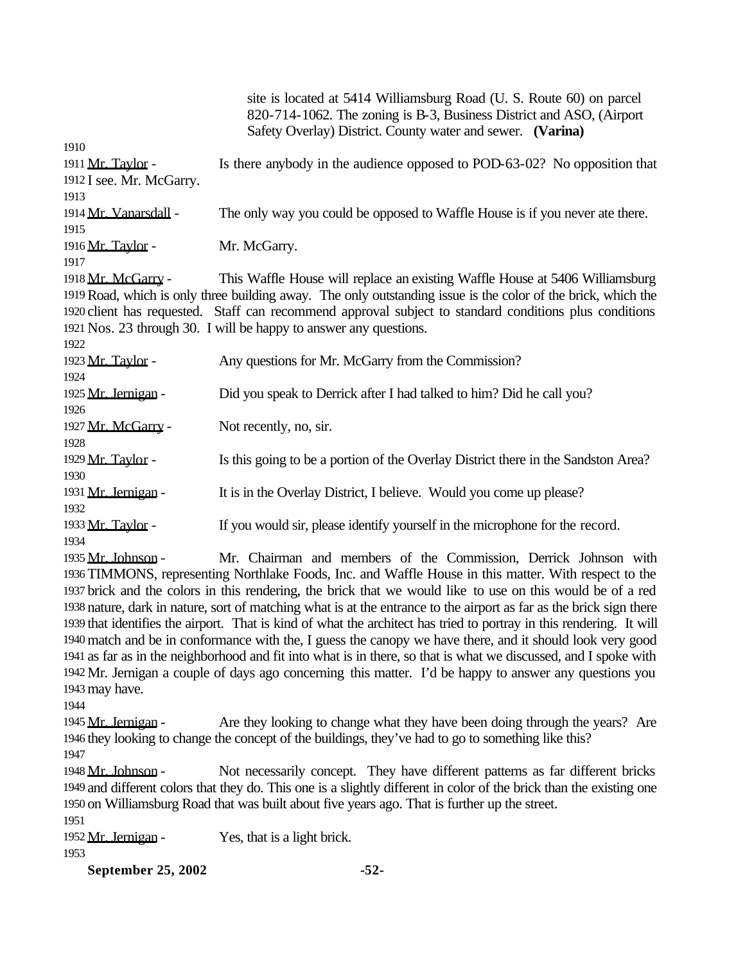| site is located at 5414 Williamsburg Road (U. S. Route 60) on parcel<br>820-714-1062. The zoning is B-3, Business District and ASO, (Airport<br>Safety Overlay) District. County water and sewer. (Varina) |  |  |
|------------------------------------------------------------------------------------------------------------------------------------------------------------------------------------------------------------|--|--|
|                                                                                                                                                                                                            |  |  |
| Is there anybody in the audience opposed to POD-63-02? No opposition that                                                                                                                                  |  |  |
|                                                                                                                                                                                                            |  |  |
|                                                                                                                                                                                                            |  |  |
| The only way you could be opposed to Waffle House is if you never ate there.                                                                                                                               |  |  |
| Mr. McGarry.                                                                                                                                                                                               |  |  |
|                                                                                                                                                                                                            |  |  |
| This Waffle House will replace an existing Waffle House at 5406 Williamsburg                                                                                                                               |  |  |
| 1919 Road, which is only three building away. The only outstanding issue is the color of the brick, which the                                                                                              |  |  |
| 1920 client has requested. Staff can recommend approval subject to standard conditions plus conditions                                                                                                     |  |  |
| 1921 Nos. 23 through 30. I will be happy to answer any questions.                                                                                                                                          |  |  |
|                                                                                                                                                                                                            |  |  |
| Any questions for Mr. McGarry from the Commission?                                                                                                                                                         |  |  |
|                                                                                                                                                                                                            |  |  |
| Did you speak to Derrick after I had talked to him? Did he call you?                                                                                                                                       |  |  |
|                                                                                                                                                                                                            |  |  |
| Not recently, no, sir.                                                                                                                                                                                     |  |  |
|                                                                                                                                                                                                            |  |  |
| Is this going to be a portion of the Overlay District there in the Sandston Area?                                                                                                                          |  |  |
|                                                                                                                                                                                                            |  |  |
| It is in the Overlay District, I believe. Would you come up please?                                                                                                                                        |  |  |
|                                                                                                                                                                                                            |  |  |
| If you would sir, please identify yourself in the microphone for the record.                                                                                                                               |  |  |
|                                                                                                                                                                                                            |  |  |
| Mr. Chairman and members of the Commission, Derrick Johnson with                                                                                                                                           |  |  |
| 1936 TIMMONS, representing Northlake Foods, Inc. and Waffle House in this matter. With respect to the                                                                                                      |  |  |
|                                                                                                                                                                                                            |  |  |

 brick and the colors in this rendering, the brick that we would like to use on this would be of a red nature, dark in nature, sort of matching what is at the entrance to the airport as far as the brick sign there that identifies the airport. That is kind of what the architect has tried to portray in this rendering. It will match and be in conformance with the, I guess the canopy we have there, and it should look very good as far as in the neighborhood and fit into what is in there, so that is what we discussed, and I spoke with Mr. Jernigan a couple of days ago concerning this matter. I'd be happy to answer any questions you may have.

1945 Mr. Jernigan - Are they looking to change what they have been doing through the years? Are they looking to change the concept of the buildings, they've had to go to something like this? 

1948 Mr. Johnson - Not necessarily concept. They have different patterns as far different bricks and different colors that they do. This one is a slightly different in color of the brick than the existing one on Williamsburg Road that was built about five years ago. That is further up the street.

1952 Mr. Jernigan - Yes, that is a light brick.

**September 25, 2002 -52-**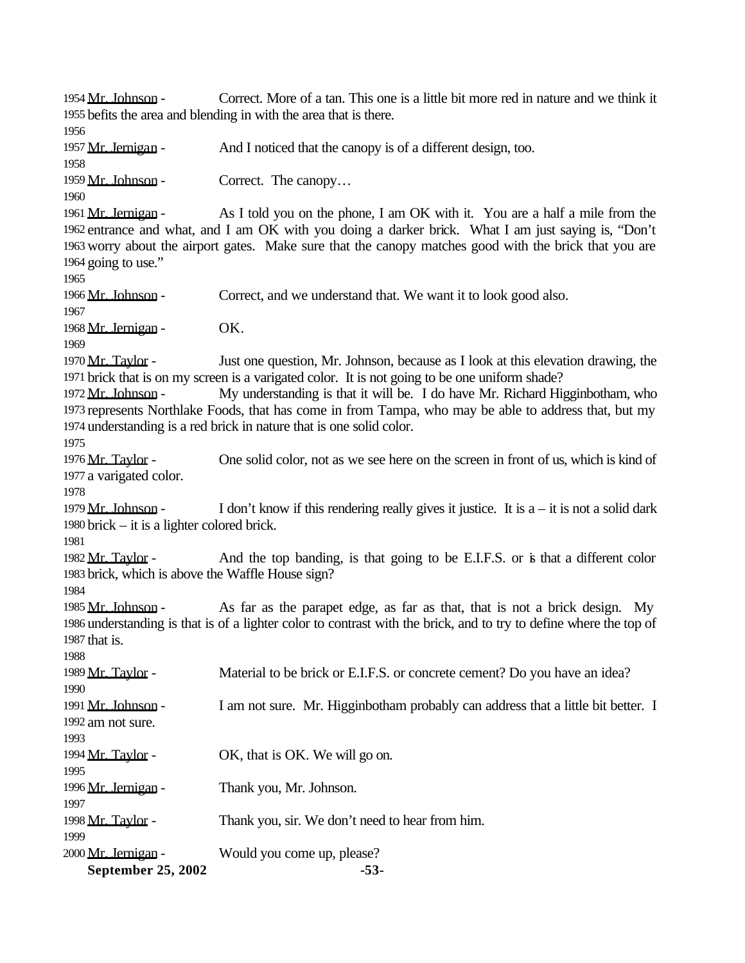September 25, 2002 -53 Mr. Johnson - Correct. More of a tan. This one is a little bit more red in nature and we think it befits the area and blending in with the area that is there. 1957 Mr. Jernigan - And I noticed that the canopy is of a different design, too. 1959 Mr. Johnson - Correct. The canopy... 1961 Mr. Jernigan - As I told you on the phone, I am OK with it. You are a half a mile from the entrance and what, and I am OK with you doing a darker brick. What I am just saying is, "Don't worry about the airport gates. Make sure that the canopy matches good with the brick that you are going to use." Mr. Johnson - Correct, and we understand that. We want it to look good also. 1968 Mr. Jernigan - OK. 1970 Mr. Taylor - Just one question, Mr. Johnson, because as I look at this elevation drawing, the brick that is on my screen is a varigated color. It is not going to be one uniform shade? 1972 Mr. Johnson - My understanding is that it will be. I do have Mr. Richard Higginbotham, who represents Northlake Foods, that has come in from Tampa, who may be able to address that, but my understanding is a red brick in nature that is one solid color. Mr. Taylor - One solid color, not as we see here on the screen in front of us, which is kind of a varigated color. 1979 Mr. Johnson - I don't know if this rendering really gives it justice. It is  $a - it$  is not a solid dark brick – it is a lighter colored brick. 1982 Mr. Taylor - And the top banding, is that going to be E.I.F.S. or is that a different color brick, which is above the Waffle House sign? 1985 Mr. Johnson - As far as the parapet edge, as far as that, that is not a brick design. My understanding is that is of a lighter color to contrast with the brick, and to try to define where the top of that is. 1989 Mr. Taylor - Material to be brick or E.I.F.S. or concrete cement? Do you have an idea? Mr. Johnson - I am not sure. Mr. Higginbotham probably can address that a little bit better. I am not sure. 1994 Mr. Taylor - OK, that is OK. We will go on. 1996 Mr. Jernigan - Thank you, Mr. Johnson. 1998 Mr. Taylor - Thank you, sir. We don't need to hear from him. Mr. Jernigan - Would you come up, please?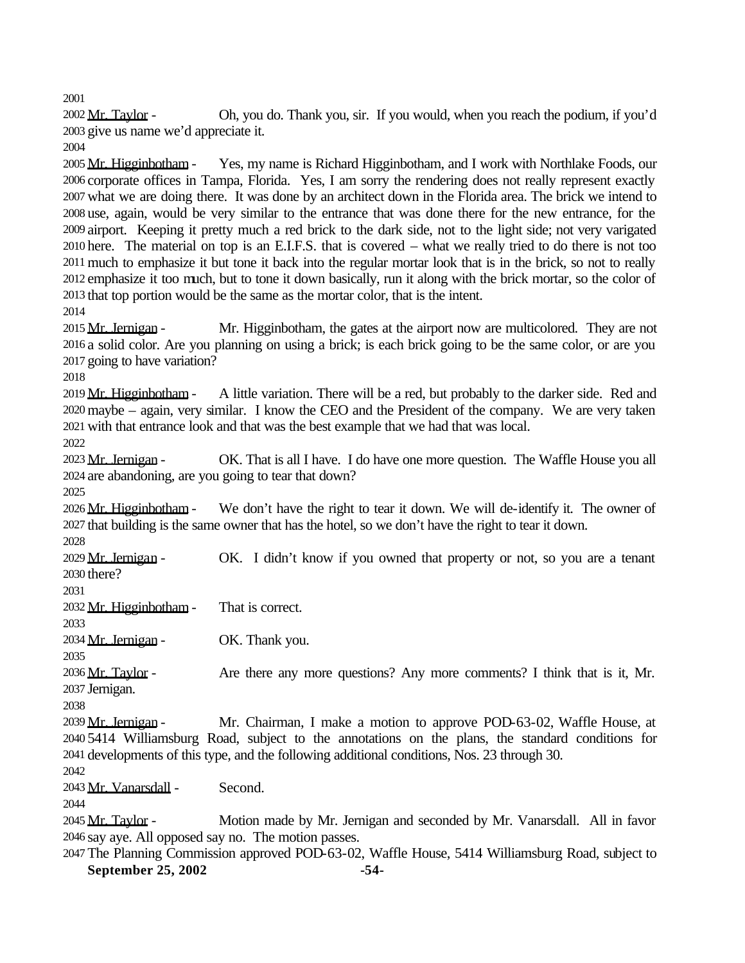Mr. Taylor - Oh, you do. Thank you, sir. If you would, when you reach the podium, if you'd give us name we'd appreciate it.

2005 Mr. Higginbotham - Yes, my name is Richard Higginbotham, and I work with Northlake Foods, our corporate offices in Tampa, Florida. Yes, I am sorry the rendering does not really represent exactly what we are doing there. It was done by an architect down in the Florida area. The brick we intend to use, again, would be very similar to the entrance that was done there for the new entrance, for the airport. Keeping it pretty much a red brick to the dark side, not to the light side; not very varigated here. The material on top is an E.I.F.S. that is covered – what we really tried to do there is not too much to emphasize it but tone it back into the regular mortar look that is in the brick, so not to really emphasize it too much, but to tone it down basically, run it along with the brick mortar, so the color of that top portion would be the same as the mortar color, that is the intent.

2015 Mr. Jernigan - Mr. Higginbotham, the gates at the airport now are multicolored. They are not a solid color. Are you planning on using a brick; is each brick going to be the same color, or are you going to have variation?

2019 Mr. Higginbotham - A little variation. There will be a red, but probably to the darker side. Red and maybe – again, very similar. I know the CEO and the President of the company. We are very taken with that entrance look and that was the best example that we had that was local.

2023 Mr. Jernigan - OK. That is all I have. I do have one more question. The Waffle House you all are abandoning, are you going to tear that down?

 Mr. Higginbotham- We don't have the right to tear it down. We will de-identify it. The owner of that building is the same owner that has the hotel, so we don't have the right to tear it down.

2029 Mr. Jernigan - OK. I didn't know if you owned that property or not, so you are a tenant there?

Mr. Higginbotham- That is correct.

2034 Mr. Jernigan - OK. Thank you.

2036 Mr. Taylor - Are there any more questions? Any more comments? I think that is it, Mr. Jernigan.

2039 Mr. Jernigan - Mr. Chairman, I make a motion to approve POD-63-02, Waffle House, at 5414 Williamsburg Road, subject to the annotations on the plans, the standard conditions for developments of this type, and the following additional conditions, Nos. 23 through 30.

Mr. Vanarsdall - Second.

2045 Mr. Taylor - Motion made by Mr. Jernigan and seconded by Mr. Vanarsdall. All in favor say aye. All opposed say no. The motion passes.

**September 25, 2002 -54-** The Planning Commission approved POD-63-02, Waffle House, 5414 Williamsburg Road, subject to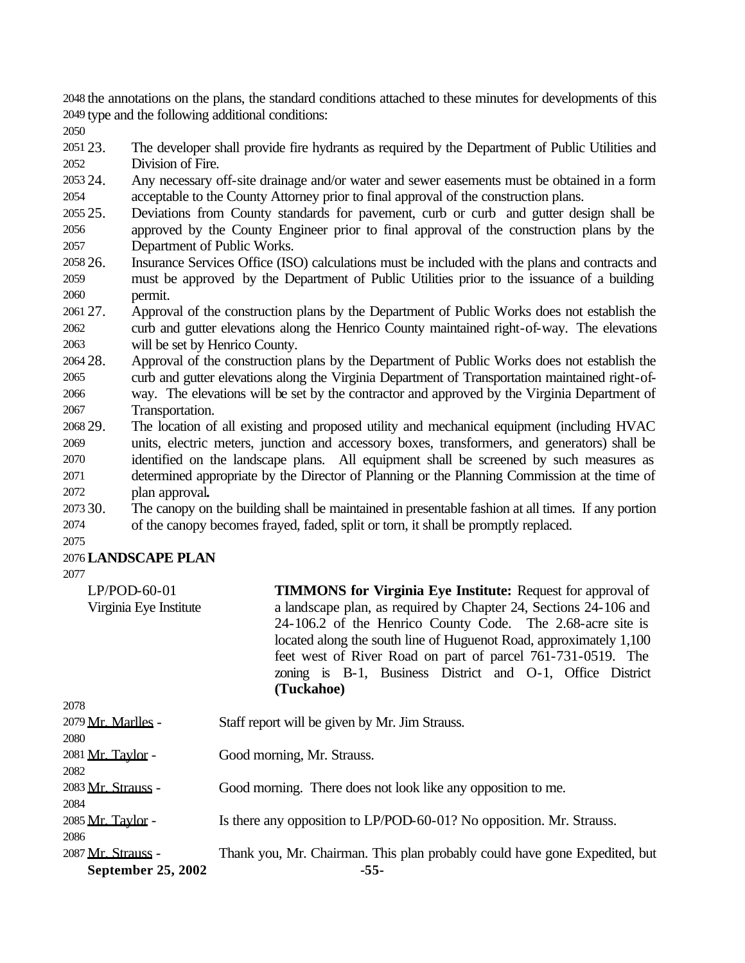the annotations on the plans, the standard conditions attached to these minutes for developments of this type and the following additional conditions:

 23. The developer shall provide fire hydrants as required by the Department of Public Utilities and Division of Fire.

- 24. Any necessary off-site drainage and/or water and sewer easements must be obtained in a form acceptable to the County Attorney prior to final approval of the construction plans.
- 25. Deviations from County standards for pavement, curb or curb and gutter design shall be approved by the County Engineer prior to final approval of the construction plans by the Department of Public Works.
- 26. Insurance Services Office (ISO) calculations must be included with the plans and contracts and must be approved by the Department of Public Utilities prior to the issuance of a building permit.
- 27. Approval of the construction plans by the Department of Public Works does not establish the curb and gutter elevations along the Henrico County maintained right-of-way. The elevations will be set by Henrico County.
- 28. Approval of the construction plans by the Department of Public Works does not establish the curb and gutter elevations along the Virginia Department of Transportation maintained right-of- way. The elevations will be set by the contractor and approved by the Virginia Department of Transportation.
- 29. The location of all existing and proposed utility and mechanical equipment (including HVAC units, electric meters, junction and accessory boxes, transformers, and generators) shall be identified on the landscape plans. All equipment shall be screened by such measures as determined appropriate by the Director of Planning or the Planning Commission at the time of plan approval**.**
- 30. The canopy on the building shall be maintained in presentable fashion at all times. If any portion of the canopy becomes frayed, faded, split or torn, it shall be promptly replaced.

## **LANDSCAPE PLAN**

| $LP/POD-60-01$<br>Virginia Eye Institute | <b>TIMMONS for Virginia Eye Institute: Request for approval of</b><br>a landscape plan, as required by Chapter 24, Sections 24-106 and<br>24-106.2 of the Henrico County Code. The 2.68-acre site is<br>located along the south line of Huguenot Road, approximately 1,100<br>feet west of River Road on part of parcel 761-731-0519. The<br>zoning is B-1, Business District and O-1, Office District<br>(Tuckahoe) |
|------------------------------------------|----------------------------------------------------------------------------------------------------------------------------------------------------------------------------------------------------------------------------------------------------------------------------------------------------------------------------------------------------------------------------------------------------------------------|
| 2078                                     |                                                                                                                                                                                                                                                                                                                                                                                                                      |
| 2079 Mr. Marlles -                       | Staff report will be given by Mr. Jim Strauss.                                                                                                                                                                                                                                                                                                                                                                       |
| 2080                                     |                                                                                                                                                                                                                                                                                                                                                                                                                      |
| 2081 Mr. Taylor -                        | Good morning, Mr. Strauss.                                                                                                                                                                                                                                                                                                                                                                                           |
| 2082                                     |                                                                                                                                                                                                                                                                                                                                                                                                                      |
| 2083 Mr. Strauss -                       | Good morning. There does not look like any opposition to me.                                                                                                                                                                                                                                                                                                                                                         |
| 2084                                     |                                                                                                                                                                                                                                                                                                                                                                                                                      |
| 2085 Mr. Taylor -                        | Is there any opposition to LP/POD-60-01? No opposition. Mr. Strauss.                                                                                                                                                                                                                                                                                                                                                 |
| 2086                                     |                                                                                                                                                                                                                                                                                                                                                                                                                      |

**September 25, 2002 -55-** 2087 Mr. Strauss - Thank you, Mr. Chairman. This plan probably could have gone Expedited, but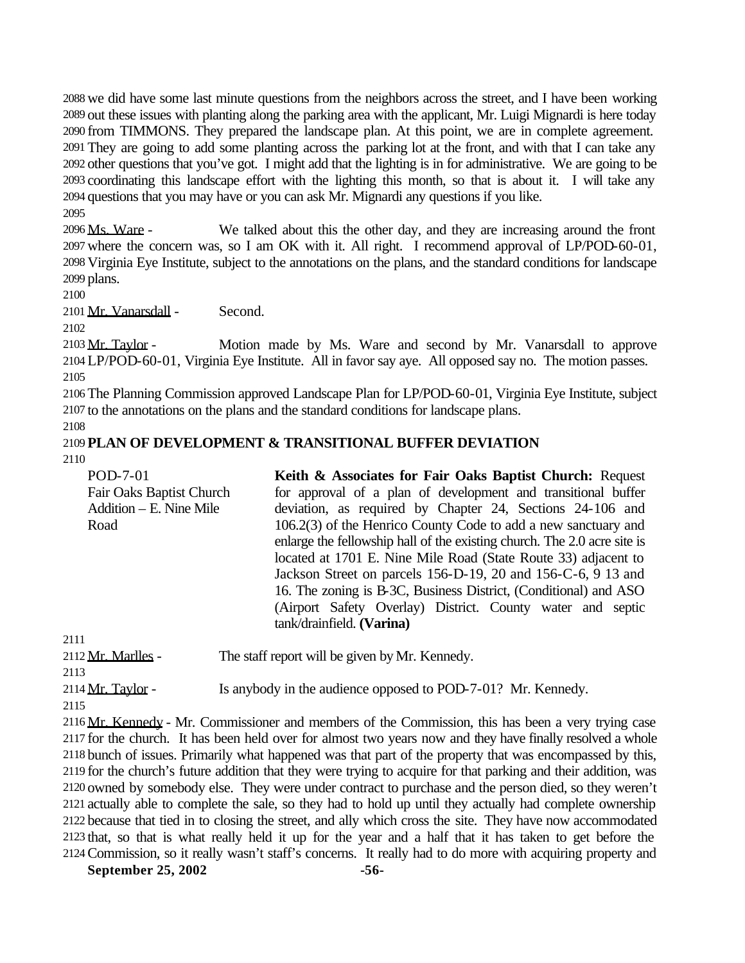we did have some last minute questions from the neighbors across the street, and I have been working out these issues with planting along the parking area with the applicant, Mr. Luigi Mignardi is here today from TIMMONS. They prepared the landscape plan. At this point, we are in complete agreement. They are going to add some planting across the parking lot at the front, and with that I can take any other questions that you've got. I might add that the lighting is in for administrative. We are going to be coordinating this landscape effort with the lighting this month, so that is about it. I will take any questions that you may have or you can ask Mr. Mignardi any questions if you like.

 Ms. Ware - We talked about this the other day, and they are increasing around the front where the concern was, so I am OK with it. All right. I recommend approval of LP/POD-60-01, Virginia Eye Institute, subject to the annotations on the plans, and the standard conditions for landscape plans.

Mr. Vanarsdall - Second.

2103 Mr. Taylor - Motion made by Ms. Ware and second by Mr. Vanarsdall to approve LP/POD-60-01, Virginia Eye Institute. All in favor say aye. All opposed say no. The motion passes. 

 The Planning Commission approved Landscape Plan for LP/POD-60-01, Virginia Eye Institute, subject to the annotations on the plans and the standard conditions for landscape plans.

#### **PLAN OF DEVELOPMENT & TRANSITIONAL BUFFER DEVIATION**

POD-7-01 Fair Oaks Baptist Church Addition – E. Nine Mile Road **Keith & Associates for Fair Oaks Baptist Church:** Request for approval of a plan of development and transitional buffer deviation, as required by Chapter 24, Sections 24-106 and 106.2(3) of the Henrico County Code to add a new sanctuary and enlarge the fellowship hall of the existing church. The 2.0 acre site is located at 1701 E. Nine Mile Road (State Route 33) adjacent to Jackson Street on parcels 156-D-19, 20 and 156-C-6, 9 13 and 16. The zoning is B-3C, Business District, (Conditional) and ASO (Airport Safety Overlay) District. County water and septic tank/drainfield. **(Varina)** 

 Mr. Marlles - The staff report will be given by Mr. Kennedy. 2114 Mr. Taylor - Is anybody in the audience opposed to POD-7-01? Mr. Kennedy.

 Mr. Kennedy - Mr. Commissioner and members of the Commission, this has been a very trying case for the church. It has been held over for almost two years now and they have finally resolved a whole bunch of issues. Primarily what happened was that part of the property that was encompassed by this, for the church's future addition that they were trying to acquire for that parking and their addition, was owned by somebody else. They were under contract to purchase and the person died, so they weren't actually able to complete the sale, so they had to hold up until they actually had complete ownership because that tied in to closing the street, and ally which cross the site. They have now accommodated that, so that is what really held it up for the year and a half that it has taken to get before the Commission, so it really wasn't staff's concerns. It really had to do more with acquiring property and

September 25, 2002 - 56-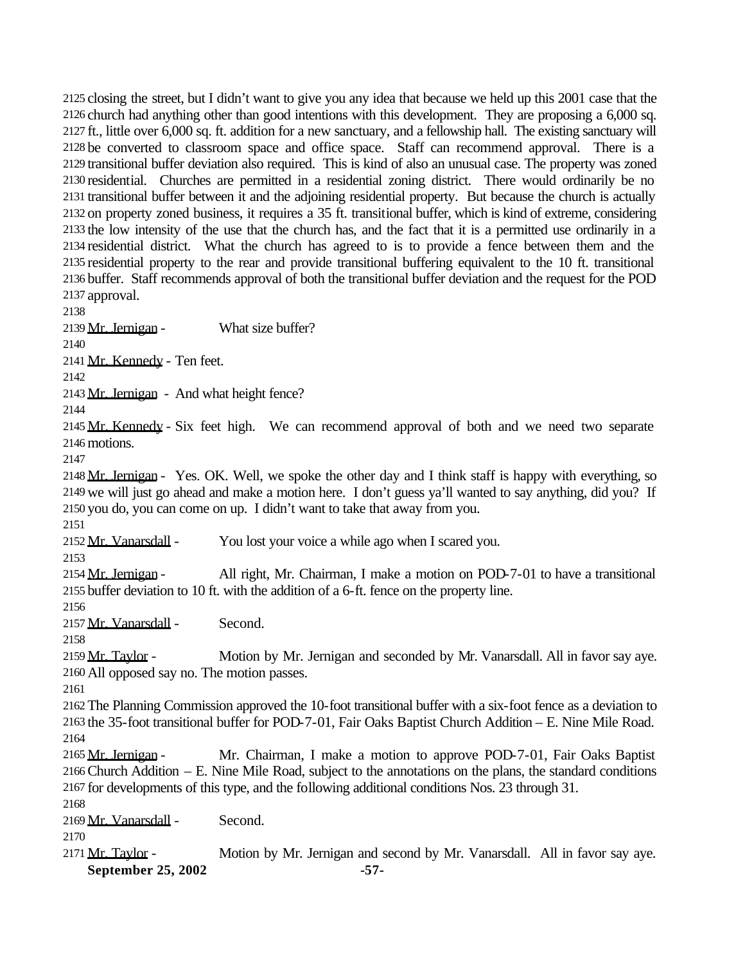closing the street, but I didn't want to give you any idea that because we held up this 2001 case that the church had anything other than good intentions with this development. They are proposing a 6,000 sq. ft., little over 6,000 sq. ft. addition for a new sanctuary, and a fellowship hall. The existing sanctuary will be converted to classroom space and office space. Staff can recommend approval. There is a transitional buffer deviation also required. This is kind of also an unusual case. The property was zoned residential. Churches are permitted in a residential zoning district. There would ordinarily be no transitional buffer between it and the adjoining residential property. But because the church is actually on property zoned business, it requires a 35 ft. transitional buffer, which is kind of extreme, considering the low intensity of the use that the church has, and the fact that it is a permitted use ordinarily in a residential district. What the church has agreed to is to provide a fence between them and the residential property to the rear and provide transitional buffering equivalent to the 10 ft. transitional buffer. Staff recommends approval of both the transitional buffer deviation and the request for the POD approval.

 2139 Mr. Jernigan - What size buffer?

Mr. Kennedy - Ten feet.

Mr. Jernigan - And what height fence?

2145 Mr. Kennedy - Six feet high. We can recommend approval of both and we need two separate motions.

 Mr. Jernigan - Yes. OK. Well, we spoke the other day and I think staff is happy with everything, so we will just go ahead and make a motion here. I don't guess ya'll wanted to say anything, did you? If you do, you can come on up. I didn't want to take that away from you.

2152 Mr. Vanarsdall - You lost your voice a while ago when I scared you.

 Mr. Jernigan - All right, Mr. Chairman, I make a motion on POD-7-01 to have a transitional buffer deviation to 10 ft. with the addition of a 6-ft. fence on the property line.

Mr. Vanarsdall - Second.

 Mr. Taylor - Motion by Mr. Jernigan and seconded by Mr. Vanarsdall. All in favor say aye. All opposed say no. The motion passes.

 The Planning Commission approved the 10-foot transitional buffer with a six-foot fence as a deviation to the 35-foot transitional buffer for POD-7-01, Fair Oaks Baptist Church Addition – E. Nine Mile Road. 

2165 Mr. Jernigan - Mr. Chairman, I make a motion to approve POD-7-01, Fair Oaks Baptist Church Addition – E. Nine Mile Road, subject to the annotations on the plans, the standard conditions for developments of this type, and the following additional conditions Nos. 23 through 31.

Mr. Vanarsdall - Second.

September 25, 2002 - 57-2171 Mr. Taylor - Motion by Mr. Jernigan and second by Mr. Vanarsdall. All in favor say aye.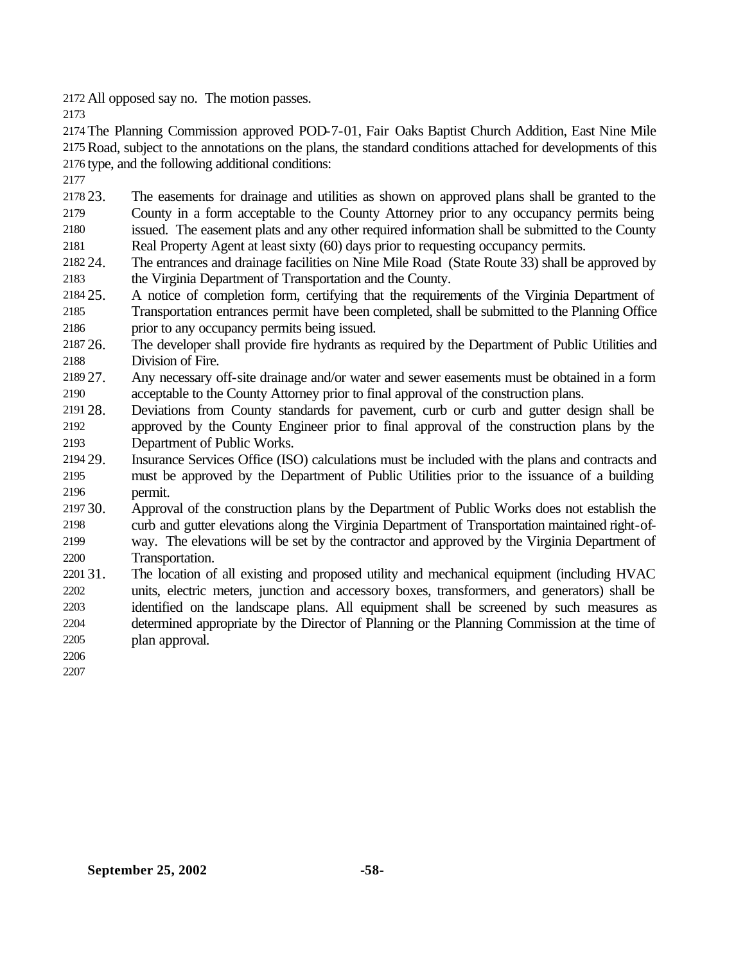All opposed say no. The motion passes.

 The Planning Commission approved POD-7-01, Fair Oaks Baptist Church Addition, East Nine Mile Road, subject to the annotations on the plans, the standard conditions attached for developments of this type, and the following additional conditions:

 23. The easements for drainage and utilities as shown on approved plans shall be granted to the County in a form acceptable to the County Attorney prior to any occupancy permits being issued. The easement plats and any other required information shall be submitted to the County Real Property Agent at least sixty (60) days prior to requesting occupancy permits.

- 24. The entrances and drainage facilities on Nine Mile Road (State Route 33) shall be approved by the Virginia Department of Transportation and the County.
- 25. A notice of completion form, certifying that the requirements of the Virginia Department of Transportation entrances permit have been completed, shall be submitted to the Planning Office prior to any occupancy permits being issued.
- 26. The developer shall provide fire hydrants as required by the Department of Public Utilities and Division of Fire.
- 27. Any necessary off-site drainage and/or water and sewer easements must be obtained in a form acceptable to the County Attorney prior to final approval of the construction plans.
- 28. Deviations from County standards for pavement, curb or curb and gutter design shall be approved by the County Engineer prior to final approval of the construction plans by the Department of Public Works.
- 29. Insurance Services Office (ISO) calculations must be included with the plans and contracts and must be approved by the Department of Public Utilities prior to the issuance of a building permit.
- 30. Approval of the construction plans by the Department of Public Works does not establish the curb and gutter elevations along the Virginia Department of Transportation maintained right-of- way. The elevations will be set by the contractor and approved by the Virginia Department of Transportation.
- 31. The location of all existing and proposed utility and mechanical equipment (including HVAC units, electric meters, junction and accessory boxes, transformers, and generators) shall be identified on the landscape plans. All equipment shall be screened by such measures as determined appropriate by the Director of Planning or the Planning Commission at the time of plan approval.
-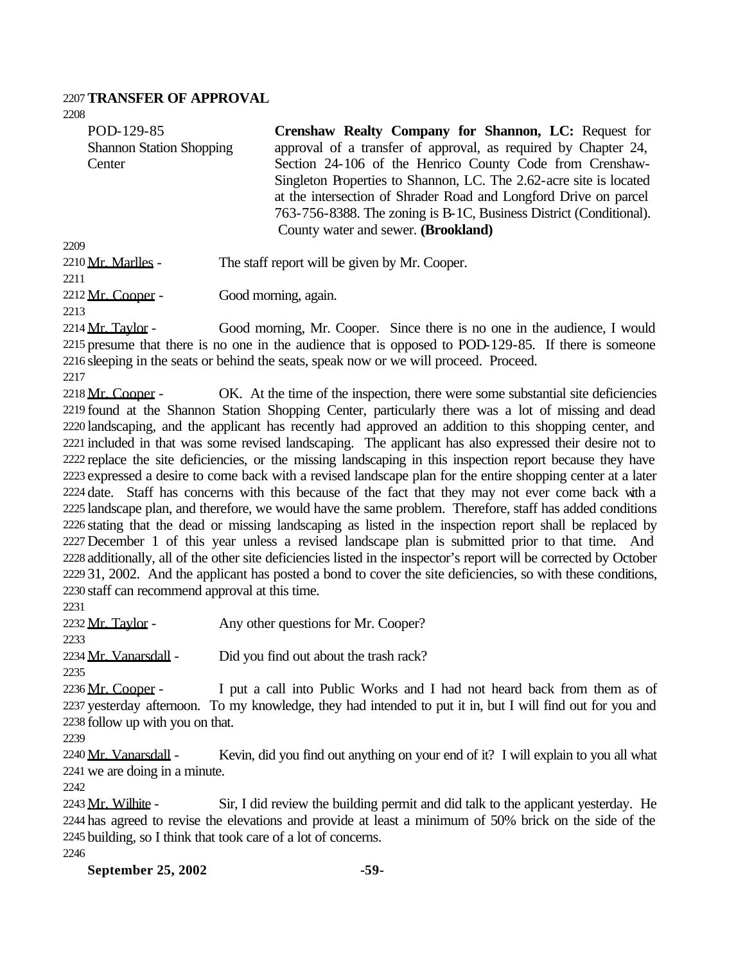#### **TRANSFER OF APPROVAL**

POD-129-85 Shannon Station Shopping **Center** 

**Crenshaw Realty Company for Shannon, LC:** Request for approval of a transfer of approval, as required by Chapter 24, Section 24-106 of the Henrico County Code from Crenshaw-Singleton Properties to Shannon, LC. The 2.62-acre site is located at the intersection of Shrader Road and Longford Drive on parcel 763-756-8388. The zoning is B-1C, Business District (Conditional). County water and sewer. **(Brookland)**

2210 Mr. Marlles - The staff report will be given by Mr. Cooper.

2212 Mr. Cooper - Good morning, again.

 Mr. Taylor - Good morning, Mr. Cooper. Since there is no one in the audience, I would presume that there is no one in the audience that is opposed to POD-129-85. If there is someone sleeping in the seats or behind the seats, speak now or we will proceed. Proceed.

2218 Mr. Cooper - OK. At the time of the inspection, there were some substantial site deficiencies found at the Shannon Station Shopping Center, particularly there was a lot of missing and dead landscaping, and the applicant has recently had approved an addition to this shopping center, and included in that was some revised landscaping. The applicant has also expressed their desire not to replace the site deficiencies, or the missing landscaping in this inspection report because they have expressed a desire to come back with a revised landscape plan for the entire shopping center at a later date. Staff has concerns with this because of the fact that they may not ever come back with a landscape plan, and therefore, we would have the same problem. Therefore, staff has added conditions stating that the dead or missing landscaping as listed in the inspection report shall be replaced by December 1 of this year unless a revised landscape plan is submitted prior to that time. And additionally, all of the other site deficiencies listed in the inspector's report will be corrected by October 31, 2002. And the applicant has posted a bond to cover the site deficiencies, so with these conditions, staff can recommend approval at this time.

2232 Mr. Taylor - Any other questions for Mr. Cooper?

 2234 Mr. Vanarsdall - Did you find out about the trash rack?

2236 Mr. Cooper - I put a call into Public Works and I had not heard back from them as of yesterday afternoon. To my knowledge, they had intended to put it in, but I will find out for you and follow up with you on that.

2240 Mr. Vanarsdall - Kevin, did you find out anything on your end of it? I will explain to you all what we are doing in a minute.

2243 Mr. Wilhite - Sir, I did review the building permit and did talk to the applicant yesterday. He has agreed to revise the elevations and provide at least a minimum of 50% brick on the side of the building, so I think that took care of a lot of concerns.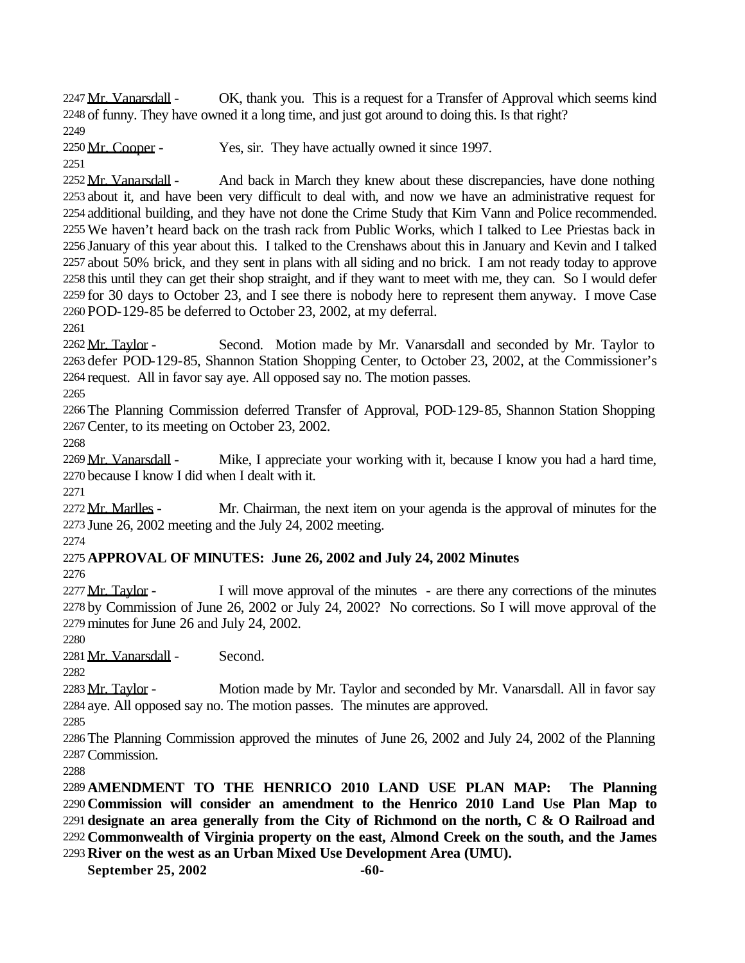2247 Mr. Vanarsdall - OK, thank you. This is a request for a Transfer of Approval which seems kind of funny. They have owned it a long time, and just got around to doing this. Is that right? 

2250 Mr. Cooper - Yes, sir. They have actually owned it since 1997.

2252 Mr. Vanarsdall - And back in March they knew about these discrepancies, have done nothing about it, and have been very difficult to deal with, and now we have an administrative request for additional building, and they have not done the Crime Study that Kim Vann and Police recommended. We haven't heard back on the trash rack from Public Works, which I talked to Lee Priestas back in January of this year about this. I talked to the Crenshaws about this in January and Kevin and I talked about 50% brick, and they sent in plans with all siding and no brick. I am not ready today to approve this until they can get their shop straight, and if they want to meet with me, they can. So I would defer for 30 days to October 23, and I see there is nobody here to represent them anyway. I move Case POD-129-85 be deferred to October 23, 2002, at my deferral.

2262 Mr. Taylor - Second. Motion made by Mr. Vanarsdall and seconded by Mr. Taylor to defer POD-129-85, Shannon Station Shopping Center, to October 23, 2002, at the Commissioner's request. All in favor say aye. All opposed say no. The motion passes.

 The Planning Commission deferred Transfer of Approval, POD-129-85, Shannon Station Shopping Center, to its meeting on October 23, 2002.

2269 Mr. Vanarsdall - Mike, I appreciate your working with it, because I know you had a hard time, because I know I did when I dealt with it.

2272 Mr. Marlles - Mr. Chairman, the next item on your agenda is the approval of minutes for the June 26, 2002 meeting and the July 24, 2002 meeting.

# **APPROVAL OF MINUTES: June 26, 2002 and July 24, 2002 Minutes**

 Mr. Taylor - I will move approval of the minutes - are there any corrections of the minutes by Commission of June 26, 2002 or July 24, 2002? No corrections. So I will move approval of the minutes for June 26 and July 24, 2002.

Mr. Vanarsdall - Second.

2283 Mr. Taylor - Motion made by Mr. Taylor and seconded by Mr. Vanarsdall. All in favor say aye. All opposed say no. The motion passes. The minutes are approved.

 The Planning Commission approved the minutes of June 26, 2002 and July 24, 2002 of the Planning Commission.

 **AMENDMENT TO THE HENRICO 2010 LAND USE PLAN MAP: The Planning Commission will consider an amendment to the Henrico 2010 Land Use Plan Map to designate an area generally from the City of Richmond on the north, C & O Railroad and Commonwealth of Virginia property on the east, Almond Creek on the south, and the James River on the west as an Urban Mixed Use Development Area (UMU).**

**September 25, 2002** -60-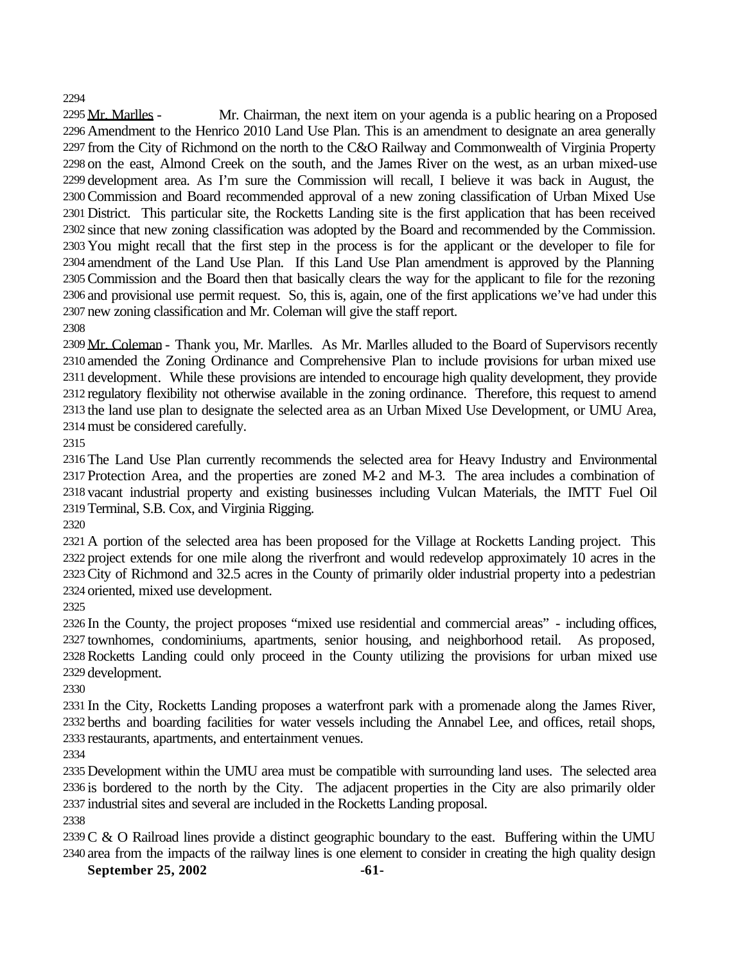Mr. Marlles - Mr. Chairman, the next item on your agenda is a public hearing on a Proposed Amendment to the Henrico 2010 Land Use Plan. This is an amendment to designate an area generally from the City of Richmond on the north to the C&O Railway and Commonwealth of Virginia Property on the east, Almond Creek on the south, and the James River on the west, as an urban mixed-use development area. As I'm sure the Commission will recall, I believe it was back in August, the Commission and Board recommended approval of a new zoning classification of Urban Mixed Use District. This particular site, the Rocketts Landing site is the first application that has been received since that new zoning classification was adopted by the Board and recommended by the Commission. You might recall that the first step in the process is for the applicant or the developer to file for amendment of the Land Use Plan. If this Land Use Plan amendment is approved by the Planning Commission and the Board then that basically clears the way for the applicant to file for the rezoning and provisional use permit request. So, this is, again, one of the first applications we've had under this new zoning classification and Mr. Coleman will give the staff report.

2309 Mr. Coleman - Thank you, Mr. Marlles. As Mr. Marlles alluded to the Board of Supervisors recently amended the Zoning Ordinance and Comprehensive Plan to include provisions for urban mixed use development. While these provisions are intended to encourage high quality development, they provide regulatory flexibility not otherwise available in the zoning ordinance. Therefore, this request to amend the land use plan to designate the selected area as an Urban Mixed Use Development, or UMU Area, must be considered carefully.

 The Land Use Plan currently recommends the selected area for Heavy Industry and Environmental Protection Area, and the properties are zoned M-2 and M-3. The area includes a combination of vacant industrial property and existing businesses including Vulcan Materials, the IMTT Fuel Oil Terminal, S.B. Cox, and Virginia Rigging.

 A portion of the selected area has been proposed for the Village at Rocketts Landing project. This project extends for one mile along the riverfront and would redevelop approximately 10 acres in the City of Richmond and 32.5 acres in the County of primarily older industrial property into a pedestrian oriented, mixed use development.

 In the County, the project proposes "mixed use residential and commercial areas" - including offices, townhomes, condominiums, apartments, senior housing, and neighborhood retail. As proposed, Rocketts Landing could only proceed in the County utilizing the provisions for urban mixed use development.

 In the City, Rocketts Landing proposes a waterfront park with a promenade along the James River, berths and boarding facilities for water vessels including the Annabel Lee, and offices, retail shops, restaurants, apartments, and entertainment venues.

 Development within the UMU area must be compatible with surrounding land uses. The selected area is bordered to the north by the City. The adjacent properties in the City are also primarily older industrial sites and several are included in the Rocketts Landing proposal.

C & O Railroad lines provide a distinct geographic boundary to the east. Buffering within the UMU area from the impacts of the railway lines is one element to consider in creating the high quality design

September 25, 2002 -61-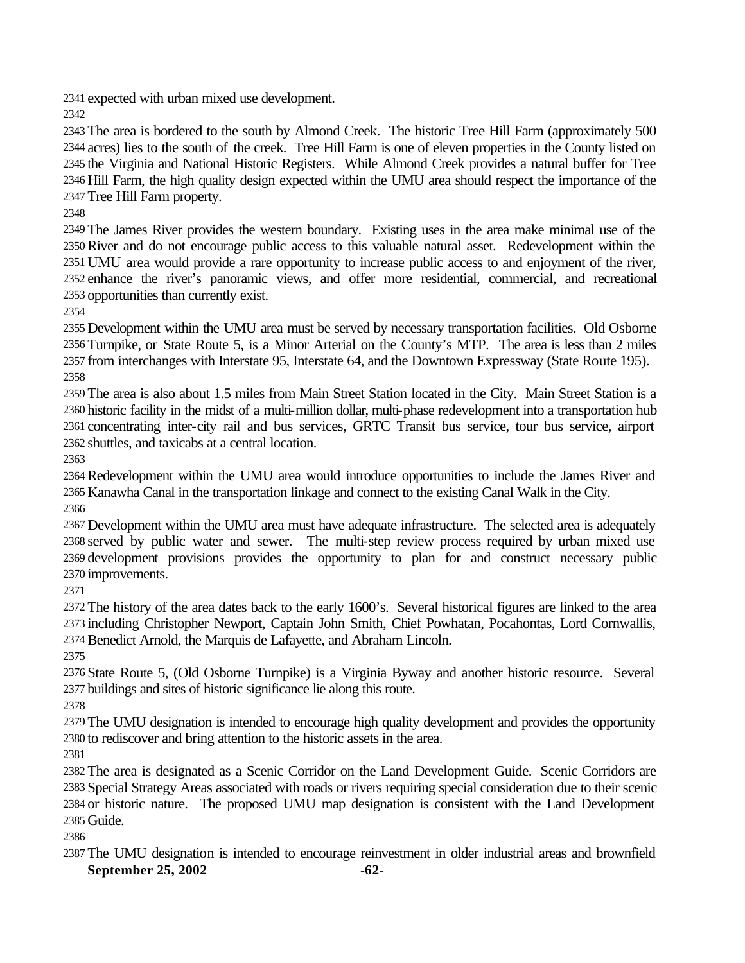expected with urban mixed use development.

 The area is bordered to the south by Almond Creek. The historic Tree Hill Farm (approximately 500 acres) lies to the south of the creek. Tree Hill Farm is one of eleven properties in the County listed on the Virginia and National Historic Registers. While Almond Creek provides a natural buffer for Tree Hill Farm, the high quality design expected within the UMU area should respect the importance of the Tree Hill Farm property.

 The James River provides the western boundary. Existing uses in the area make minimal use of the River and do not encourage public access to this valuable natural asset. Redevelopment within the UMU area would provide a rare opportunity to increase public access to and enjoyment of the river, enhance the river's panoramic views, and offer more residential, commercial, and recreational opportunities than currently exist.

 Development within the UMU area must be served by necessary transportation facilities. Old Osborne Turnpike, or State Route 5, is a Minor Arterial on the County's MTP. The area is less than 2 miles from interchanges with Interstate 95, Interstate 64, and the Downtown Expressway (State Route 195). 

 The area is also about 1.5 miles from Main Street Station located in the City. Main Street Station is a historic facility in the midst of a multi-million dollar, multi-phase redevelopment into a transportation hub concentrating inter-city rail and bus services, GRTC Transit bus service, tour bus service, airport shuttles, and taxicabs at a central location.

Redevelopment within the UMU area would introduce opportunities to include the James River and Kanawha Canal in the transportation linkage and connect to the existing Canal Walk in the City. 

 Development within the UMU area must have adequate infrastructure. The selected area is adequately served by public water and sewer. The multi-step review process required by urban mixed use development provisions provides the opportunity to plan for and construct necessary public improvements.

 The history of the area dates back to the early 1600's. Several historical figures are linked to the area including Christopher Newport, Captain John Smith, Chief Powhatan, Pocahontas, Lord Cornwallis, Benedict Arnold, the Marquis de Lafayette, and Abraham Lincoln.

 State Route 5, (Old Osborne Turnpike) is a Virginia Byway and another historic resource. Several buildings and sites of historic significance lie along this route.

 The UMU designation is intended to encourage high quality development and provides the opportunity to rediscover and bring attention to the historic assets in the area.

 The area is designated as a Scenic Corridor on the Land Development Guide. Scenic Corridors are Special Strategy Areas associated with roads or rivers requiring special consideration due to their scenic or historic nature. The proposed UMU map designation is consistent with the Land Development Guide.

September 25, 2002 -62-The UMU designation is intended to encourage reinvestment in older industrial areas and brownfield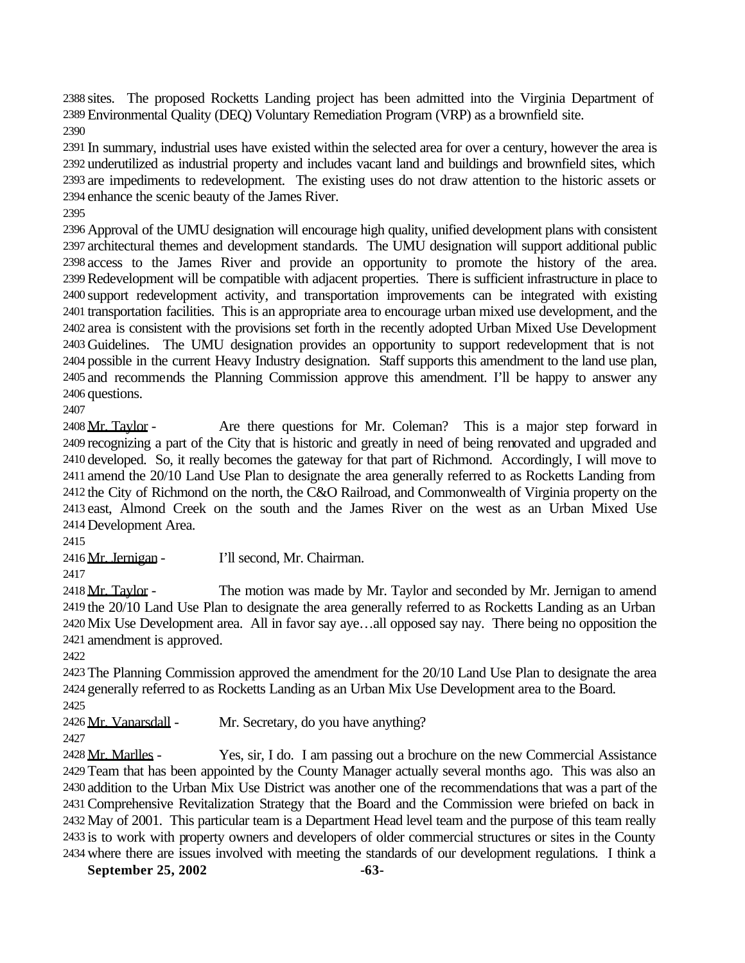sites. The proposed Rocketts Landing project has been admitted into the Virginia Department of Environmental Quality (DEQ) Voluntary Remediation Program (VRP) as a brownfield site. 

 In summary, industrial uses have existed within the selected area for over a century, however the area is underutilized as industrial property and includes vacant land and buildings and brownfield sites, which are impediments to redevelopment. The existing uses do not draw attention to the historic assets or enhance the scenic beauty of the James River.

 Approval of the UMU designation will encourage high quality, unified development plans with consistent architectural themes and development standards. The UMU designation will support additional public access to the James River and provide an opportunity to promote the history of the area. Redevelopment will be compatible with adjacent properties. There is sufficient infrastructure in place to support redevelopment activity, and transportation improvements can be integrated with existing transportation facilities. This is an appropriate area to encourage urban mixed use development, and the area is consistent with the provisions set forth in the recently adopted Urban Mixed Use Development Guidelines. The UMU designation provides an opportunity to support redevelopment that is not possible in the current Heavy Industry designation. Staff supports this amendment to the land use plan, and recommends the Planning Commission approve this amendment. I'll be happy to answer any questions.

2408 Mr. Taylor - Are there questions for Mr. Coleman? This is a major step forward in recognizing a part of the City that is historic and greatly in need of being renovated and upgraded and developed. So, it really becomes the gateway for that part of Richmond. Accordingly, I will move to amend the 20/10 Land Use Plan to designate the area generally referred to as Rocketts Landing from the City of Richmond on the north, the C&O Railroad, and Commonwealth of Virginia property on the east, Almond Creek on the south and the James River on the west as an Urban Mixed Use Development Area.

Mr. Jernigan - I'll second, Mr. Chairman.

2418 Mr. Taylor - The motion was made by Mr. Taylor and seconded by Mr. Jernigan to amend the 20/10 Land Use Plan to designate the area generally referred to as Rocketts Landing as an Urban Mix Use Development area. All in favor say aye…all opposed say nay. There being no opposition the amendment is approved.

 The Planning Commission approved the amendment for the 20/10 Land Use Plan to designate the area generally referred to as Rocketts Landing as an Urban Mix Use Development area to the Board.

2426 Mr. Vanarsdall - Mr. Secretary, do you have anything?

 Mr. Marlles - Yes, sir, I do. I am passing out a brochure on the new Commercial Assistance Team that has been appointed by the County Manager actually several months ago. This was also an addition to the Urban Mix Use District was another one of the recommendations that was a part of the Comprehensive Revitalization Strategy that the Board and the Commission were briefed on back in May of 2001. This particular team is a Department Head level team and the purpose of this team really is to work with property owners and developers of older commercial structures or sites in the County where there are issues involved with meeting the standards of our development regulations. I think a

September 25, 2002 -63-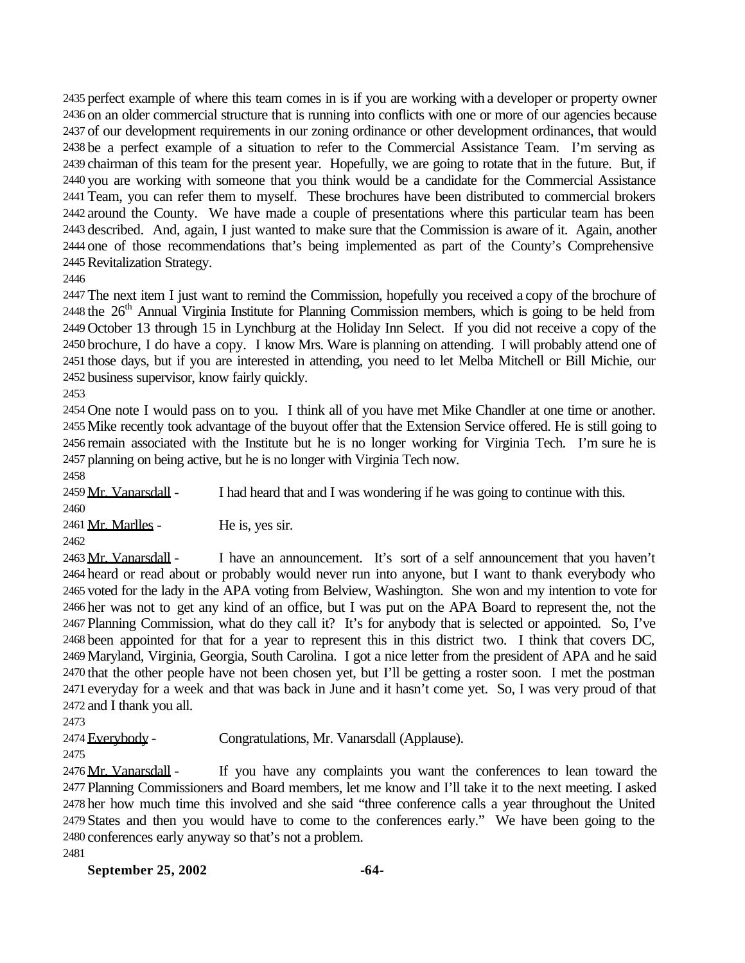perfect example of where this team comes in is if you are working with a developer or property owner on an older commercial structure that is running into conflicts with one or more of our agencies because of our development requirements in our zoning ordinance or other development ordinances, that would be a perfect example of a situation to refer to the Commercial Assistance Team. I'm serving as chairman of this team for the present year. Hopefully, we are going to rotate that in the future. But, if you are working with someone that you think would be a candidate for the Commercial Assistance Team, you can refer them to myself. These brochures have been distributed to commercial brokers around the County. We have made a couple of presentations where this particular team has been described. And, again, I just wanted to make sure that the Commission is aware of it. Again, another one of those recommendations that's being implemented as part of the County's Comprehensive Revitalization Strategy.

 The next item I just want to remind the Commission, hopefully you received a copy of the brochure of 2448 the 26<sup>th</sup> Annual Virginia Institute for Planning Commission members, which is going to be held from October 13 through 15 in Lynchburg at the Holiday Inn Select. If you did not receive a copy of the brochure, I do have a copy. I know Mrs. Ware is planning on attending. I will probably attend one of those days, but if you are interested in attending, you need to let Melba Mitchell or Bill Michie, our business supervisor, know fairly quickly.

 One note I would pass on to you. I think all of you have met Mike Chandler at one time or another. Mike recently took advantage of the buyout offer that the Extension Service offered. He is still going to remain associated with the Institute but he is no longer working for Virginia Tech. I'm sure he is planning on being active, but he is no longer with Virginia Tech now.

2459 Mr. Vanarsdall - I had heard that and I was wondering if he was going to continue with this. 

Mr. Marlles - He is, yes sir.

2463 Mr. Vanarsdall - I have an announcement. It's sort of a self announcement that you haven't heard or read about or probably would never run into anyone, but I want to thank everybody who voted for the lady in the APA voting from Belview, Washington. She won and my intention to vote for her was not to get any kind of an office, but I was put on the APA Board to represent the, not the Planning Commission, what do they call it? It's for anybody that is selected or appointed. So, I've been appointed for that for a year to represent this in this district two. I think that covers DC, Maryland, Virginia, Georgia, South Carolina. I got a nice letter from the president of APA and he said that the other people have not been chosen yet, but I'll be getting a roster soon. I met the postman everyday for a week and that was back in June and it hasn't come yet. So, I was very proud of that and I thank you all.

2474 Everybody - Congratulations, Mr. Vanarsdall (Applause).

2476 Mr. Vanarsdall - If you have any complaints you want the conferences to lean toward the Planning Commissioners and Board members, let me know and I'll take it to the next meeting. I asked her how much time this involved and she said "three conference calls a year throughout the United States and then you would have to come to the conferences early." We have been going to the

conferences early anyway so that's not a problem.

**September 25, 2002 -64-**